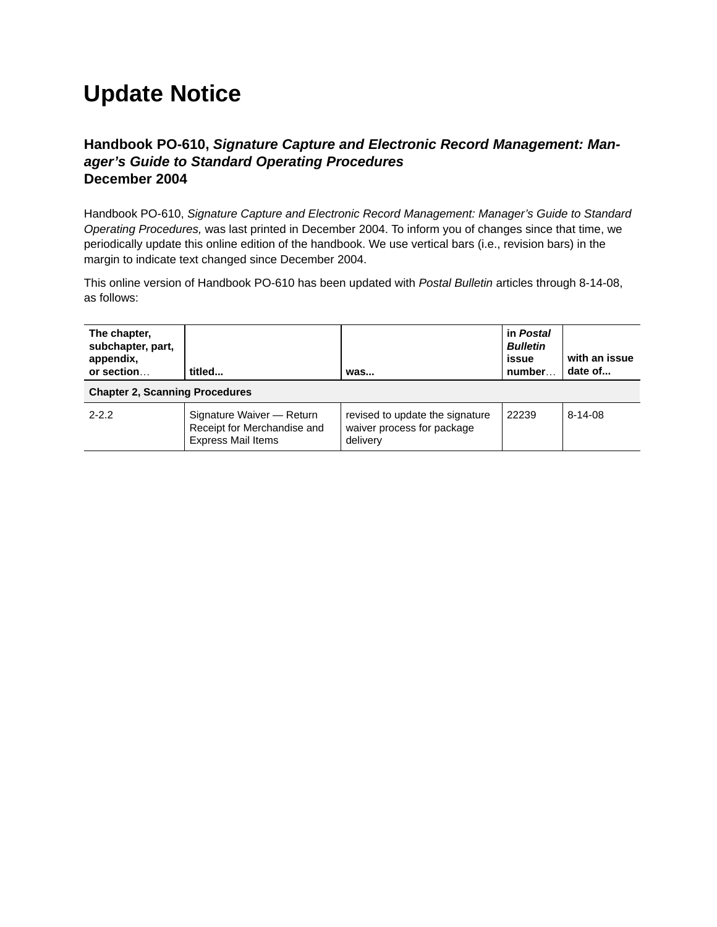# **Update Notice**

### **Handbook PO-610,** *Signature Capture and Electronic Record Management: Manager's Guide to Standard Operating Procedures* **December 2004**

Handbook PO-610, *Signature Capture and Electronic Record Management: Manager's Guide to Standard Operating Procedures,* was last printed in December 2004. To inform you of changes since that time, we periodically update this online edition of the handbook. We use vertical bars (i.e., revision bars) in the margin to indicate text changed since December 2004.

This online version of Handbook PO-610 has been updated with *Postal Bulletin* articles through 8-14-08, as follows:

| The chapter,<br>subchapter, part,<br>appendix,<br>or section | titled                                                                                | was                                                                       | in Postal<br><b>Bulletin</b><br>issue<br>number | with an issue<br>date of |
|--------------------------------------------------------------|---------------------------------------------------------------------------------------|---------------------------------------------------------------------------|-------------------------------------------------|--------------------------|
| <b>Chapter 2, Scanning Procedures</b>                        |                                                                                       |                                                                           |                                                 |                          |
| $2 - 2.2$                                                    | Signature Waiver - Return<br>Receipt for Merchandise and<br><b>Express Mail Items</b> | revised to update the signature<br>waiver process for package<br>delivery | 22239                                           | $8 - 14 - 08$            |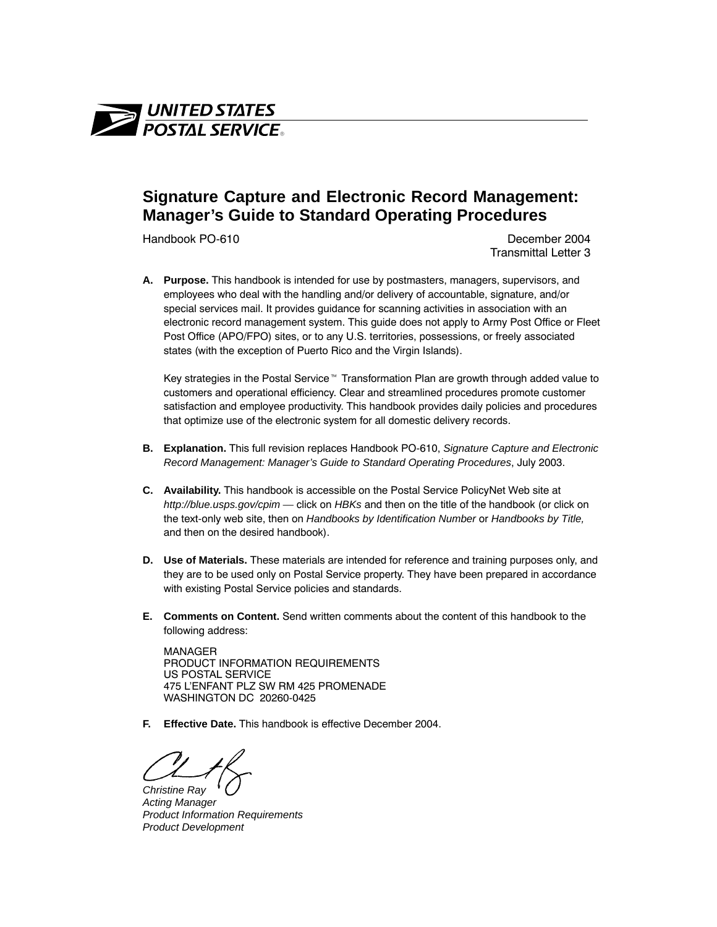

## **Signature Capture and Electronic Record Management: Manager's Guide to Standard Operating Procedures**

Handbook PO-610 **December 2004** December 2004

Transmittal Letter 3

**A. Purpose.** This handbook is intended for use by postmasters, managers, supervisors, and employees who deal with the handling and/or delivery of accountable, signature, and/or special services mail. It provides guidance for scanning activities in association with an electronic record management system. This guide does not apply to Army Post Office or Fleet Post Office (APO/FPO) sites, or to any U.S. territories, possessions, or freely associated states (with the exception of Puerto Rico and the Virgin Islands).

Key strategies in the Postal Service™ Transformation Plan are growth through added value to customers and operational efficiency. Clear and streamlined procedures promote customer satisfaction and employee productivity. This handbook provides daily policies and procedures that optimize use of the electronic system for all domestic delivery records.

- **B. Explanation.** This full revision replaces Handbook PO-610, *Signature Capture and Electronic Record Management: Manager's Guide to Standard Operating Procedures*, July 2003.
- **C. Availability.** This handbook is accessible on the Postal Service PolicyNet Web site at *http://blue.usps.gov/cpim* — click on *HBKs* and then on the title of the handbook (or click on the text-only web site, then on *Handbooks by Identification Number* or *Handbooks by Title,* and then on the desired handbook).
- **D. Use of Materials.** These materials are intended for reference and training purposes only, and they are to be used only on Postal Service property. They have been prepared in accordance with existing Postal Service policies and standards.
- **E. Comments on Content.** Send written comments about the content of this handbook to the following address:

MANAGER PRODUCT INFORMATION REQUIREMENTS US POSTAL SERVICE 475 L'ENFANT PLZ SW RM 425 PROMENADE WASHINGTON DC 20260-0425

**F. Effective Date.** This handbook is effective December 2004.

*Christine Ray*

*Acting Manager Product Information Requirements Product Development*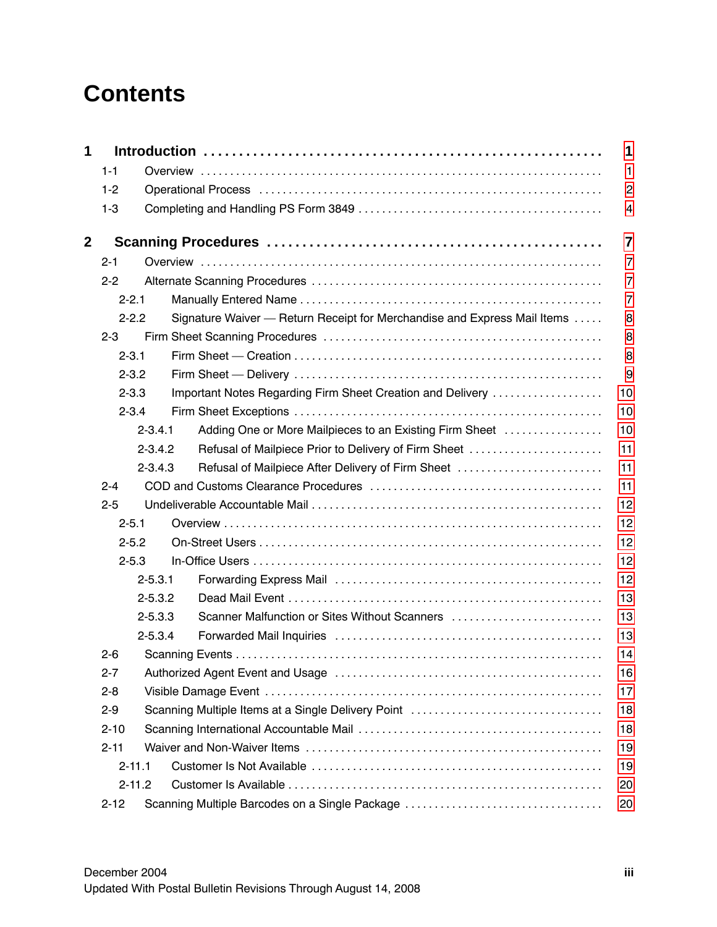# **Contents**

| 1              |            |             |                                                                          | 1                       |
|----------------|------------|-------------|--------------------------------------------------------------------------|-------------------------|
|                | $1 - 1$    |             |                                                                          | 1                       |
|                | $1 - 2$    |             |                                                                          | $\overline{2}$          |
|                | $1 - 3$    |             |                                                                          | $\overline{\mathbf{4}}$ |
| $\overline{2}$ |            |             |                                                                          | $\overline{7}$          |
|                | $2 - 1$    |             |                                                                          | $\overline{7}$          |
|                | $2 - 2$    |             |                                                                          | 7                       |
|                | $2 - 2.1$  |             |                                                                          | $\overline{7}$          |
|                | $2 - 2.2$  |             | Signature Waiver - Return Receipt for Merchandise and Express Mail Items | 8                       |
|                | $2 - 3$    |             |                                                                          | 8                       |
|                | $2 - 3.1$  |             |                                                                          | 8                       |
|                | $2 - 3.2$  |             |                                                                          | 9                       |
|                | $2 - 3.3$  |             | Important Notes Regarding Firm Sheet Creation and Delivery               | 10                      |
|                | $2 - 3.4$  |             |                                                                          | 10                      |
|                |            | $2 - 3.4.1$ | Adding One or More Mailpieces to an Existing Firm Sheet                  | 10                      |
|                |            | $2 - 3.4.2$ | Refusal of Mailpiece Prior to Delivery of Firm Sheet                     | 11                      |
|                |            | $2 - 3.4.3$ | Refusal of Mailpiece After Delivery of Firm Sheet                        | 11                      |
|                | $2 - 4$    |             |                                                                          | 11                      |
|                | $2 - 5$    |             |                                                                          | 12                      |
|                | $2 - 5.1$  |             |                                                                          | 12                      |
|                | $2 - 5.2$  |             |                                                                          | 12                      |
|                | $2 - 5.3$  |             |                                                                          | 12                      |
|                |            | $2 - 5.3.1$ |                                                                          | 12                      |
|                |            | $2 - 5.3.2$ |                                                                          | 13                      |
|                |            | $2 - 5.3.3$ | Scanner Malfunction or Sites Without Scanners                            | 13                      |
|                |            | $2 - 5.3.4$ |                                                                          | 13                      |
|                | $2-6$      |             |                                                                          | 14                      |
|                | $2 - 7$    |             |                                                                          | 16                      |
|                | $2 - 8$    |             |                                                                          | 17                      |
|                | $2 - 9$    |             | Scanning Multiple Items at a Single Delivery Point                       | 18                      |
|                | $2 - 10$   |             |                                                                          | 18                      |
|                | $2 - 11$   |             |                                                                          | 19                      |
|                | $2 - 11.1$ |             |                                                                          | 19                      |
|                |            | $2 - 11.2$  |                                                                          | 20                      |
|                | $2 - 12$   |             | Scanning Multiple Barcodes on a Single Package                           | 20                      |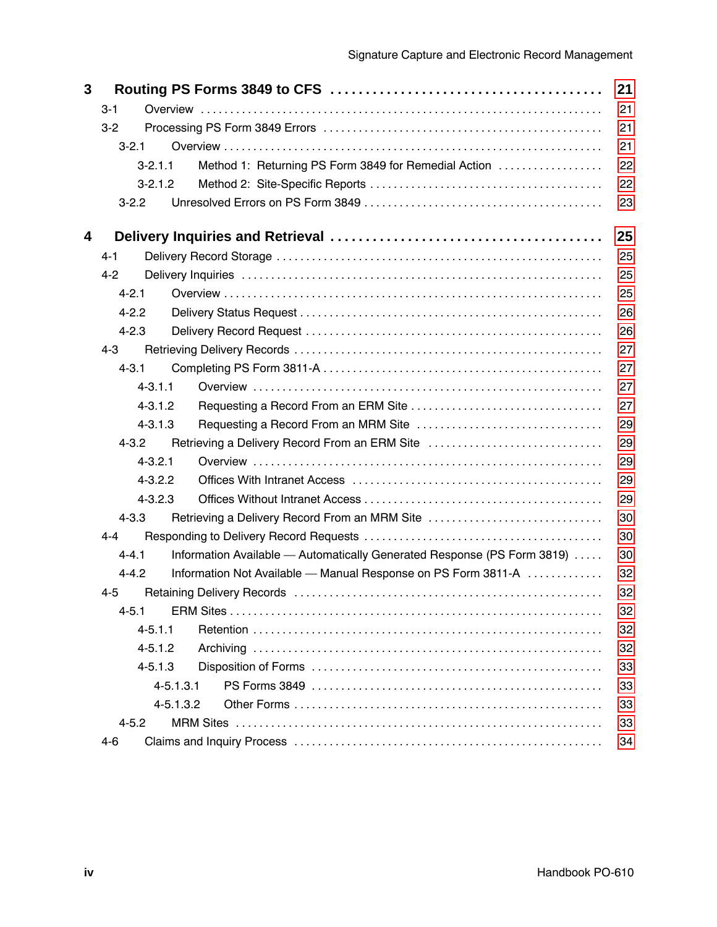| 3 |           |               |                                                                         | 21 |
|---|-----------|---------------|-------------------------------------------------------------------------|----|
|   | $3 - 1$   |               |                                                                         | 21 |
|   | $3-2$     |               |                                                                         | 21 |
|   | $3 - 2.1$ |               |                                                                         | 21 |
|   |           | $3 - 2.1.1$   | Method 1: Returning PS Form 3849 for Remedial Action                    | 22 |
|   |           | $3 - 2.1.2$   |                                                                         | 22 |
|   | $3 - 2.2$ |               |                                                                         | 23 |
| 4 |           |               |                                                                         | 25 |
|   | $4 - 1$   |               |                                                                         | 25 |
|   | $4 - 2$   |               |                                                                         | 25 |
|   | $4 - 2.1$ |               |                                                                         | 25 |
|   | $4 - 2.2$ |               |                                                                         | 26 |
|   | $4 - 2.3$ |               |                                                                         | 26 |
|   | $4 - 3$   |               |                                                                         | 27 |
|   | $4-3.1$   |               |                                                                         | 27 |
|   |           | $4-3.1.1$     |                                                                         | 27 |
|   |           | $4 - 3.1.2$   |                                                                         | 27 |
|   |           | $4 - 3.1.3$   |                                                                         | 29 |
|   | $4 - 3.2$ |               | Retrieving a Delivery Record From an ERM Site                           | 29 |
|   |           | $4 - 3.2.1$   |                                                                         | 29 |
|   |           | $4 - 3.2.2$   |                                                                         | 29 |
|   |           | $4 - 3.2.3$   |                                                                         | 29 |
|   | $4 - 3.3$ |               | Retrieving a Delivery Record From an MRM Site                           | 30 |
|   | 4-4       |               |                                                                         | 30 |
|   | $4 - 4.1$ |               | Information Available - Automatically Generated Response (PS Form 3819) | 30 |
|   | 4-4.2     |               | Information Not Available - Manual Response on PS Form 3811-A           | 32 |
|   | $4 - 5$   |               |                                                                         | 32 |
|   | $4 - 5.1$ |               |                                                                         | 32 |
|   |           | $4 - 5.1.1$   |                                                                         | 32 |
|   |           | $4 - 5.1.2$   |                                                                         | 32 |
|   |           | $4 - 5.1.3$   |                                                                         | 33 |
|   |           | $4 - 5.1.3.1$ |                                                                         | 33 |
|   |           | $4 - 5.1.3.2$ |                                                                         | 33 |
|   | $4 - 5.2$ |               |                                                                         | 33 |
|   | 4-6       |               |                                                                         | 34 |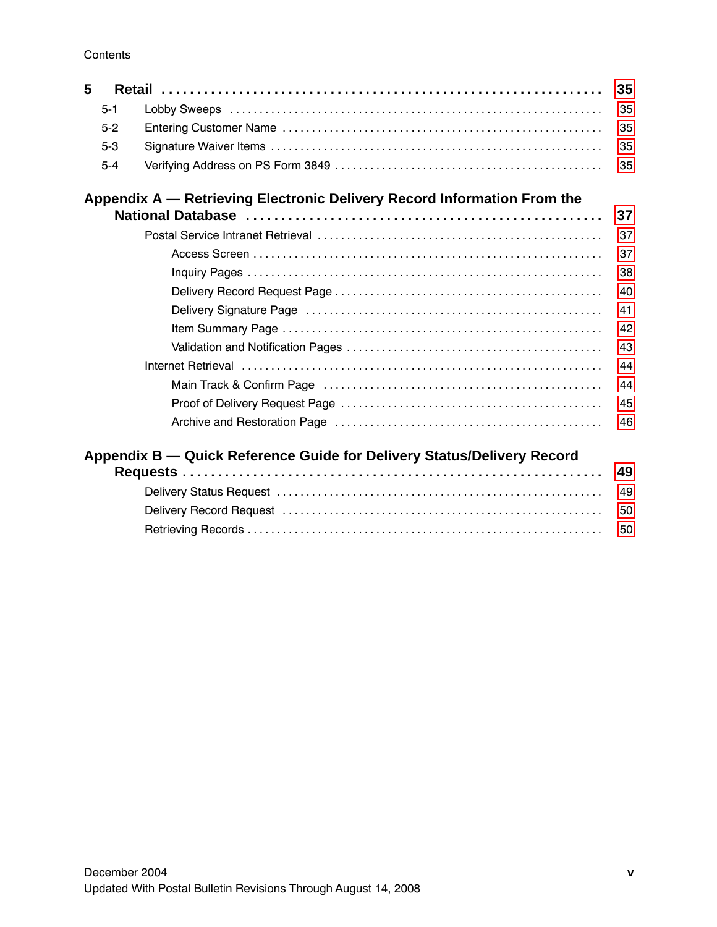| 5       |                                                                         | 35 |
|---------|-------------------------------------------------------------------------|----|
| $5 - 1$ |                                                                         | 35 |
| $5-2$   |                                                                         | 35 |
| $5-3$   |                                                                         | 35 |
| $5 - 4$ |                                                                         | 35 |
|         | Appendix A — Retrieving Electronic Delivery Record Information From the | 37 |
|         |                                                                         | 37 |
|         |                                                                         | 37 |
|         |                                                                         | 38 |
|         |                                                                         | 40 |
|         |                                                                         | 41 |
|         |                                                                         | 42 |
|         |                                                                         | 43 |
|         |                                                                         | 44 |
|         |                                                                         | 44 |
|         |                                                                         | 45 |
|         |                                                                         | 46 |
|         | Appendix B - Quick Reference Guide for Delivery Status/Delivery Record  |    |
|         |                                                                         | 49 |
|         |                                                                         | 49 |
|         |                                                                         | 50 |

Retrieving Records . . . . . . . . . . . . . . . . . . . . . . . . . . . . . . . . . . . . . . . . . . . . . . . . . . . . . . . . . . . . . [50](#page-59-0)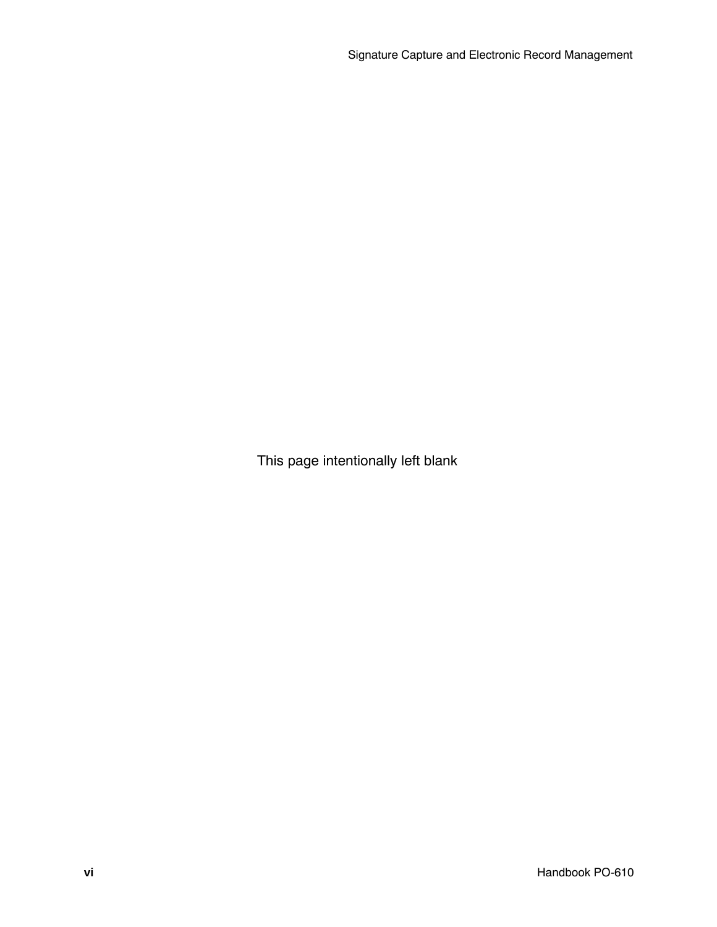This page intentionally left blank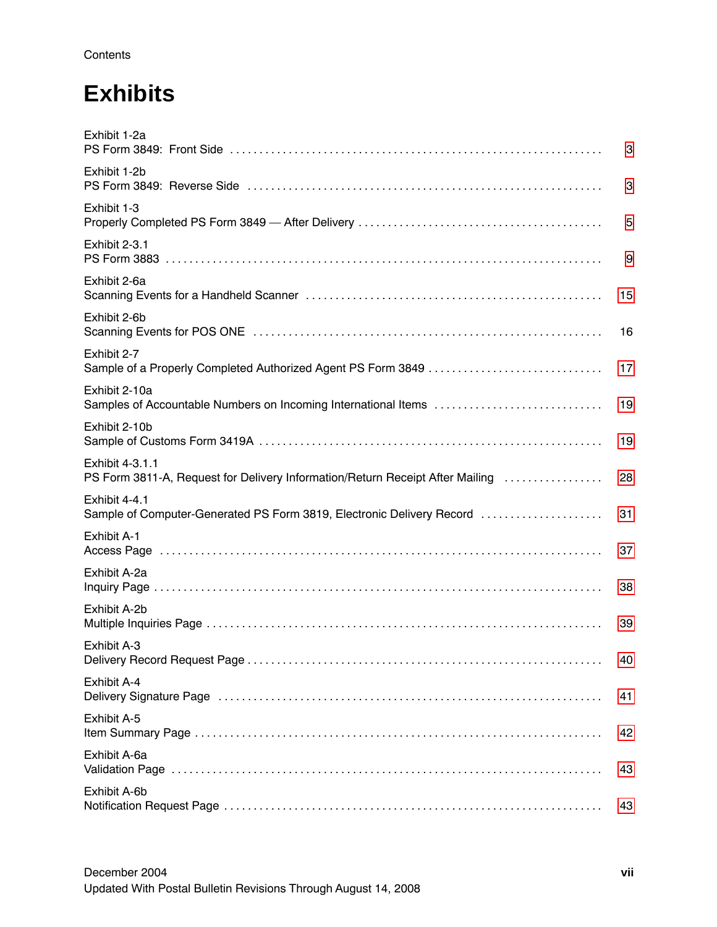### **Contents**

# **Exhibits**

| Exhibit 1-2a                                                                                     | 3  |
|--------------------------------------------------------------------------------------------------|----|
| Exhibit 1-2b                                                                                     | 3  |
| Exhibit 1-3                                                                                      | 5  |
| Exhibit 2-3.1                                                                                    | 9  |
| Exhibit 2-6a                                                                                     | 15 |
| Exhibit 2-6b                                                                                     | 16 |
| Exhibit 2-7<br>Sample of a Properly Completed Authorized Agent PS Form 3849                      | 17 |
| Exhibit 2-10a<br>Samples of Accountable Numbers on Incoming International Items                  | 19 |
| Exhibit 2-10b                                                                                    | 19 |
| Exhibit 4-3.1.1<br>PS Form 3811-A, Request for Delivery Information/Return Receipt After Mailing | 28 |
| Exhibit 4-4.1<br>Sample of Computer-Generated PS Form 3819, Electronic Delivery Record           | 31 |
| <b>Exhibit A-1</b>                                                                               | 37 |
| Exhibit A-2a                                                                                     | 38 |
| Exhibit A-2b                                                                                     | 39 |
| Exhibit A-3                                                                                      | 40 |
| Exhibit A-4<br>Delivery Signature Page ………………………………………………………………………                               | 41 |
| Exhibit A-5                                                                                      | 42 |
| Exhibit A-6a                                                                                     | 43 |
| Exhibit A-6b                                                                                     | 43 |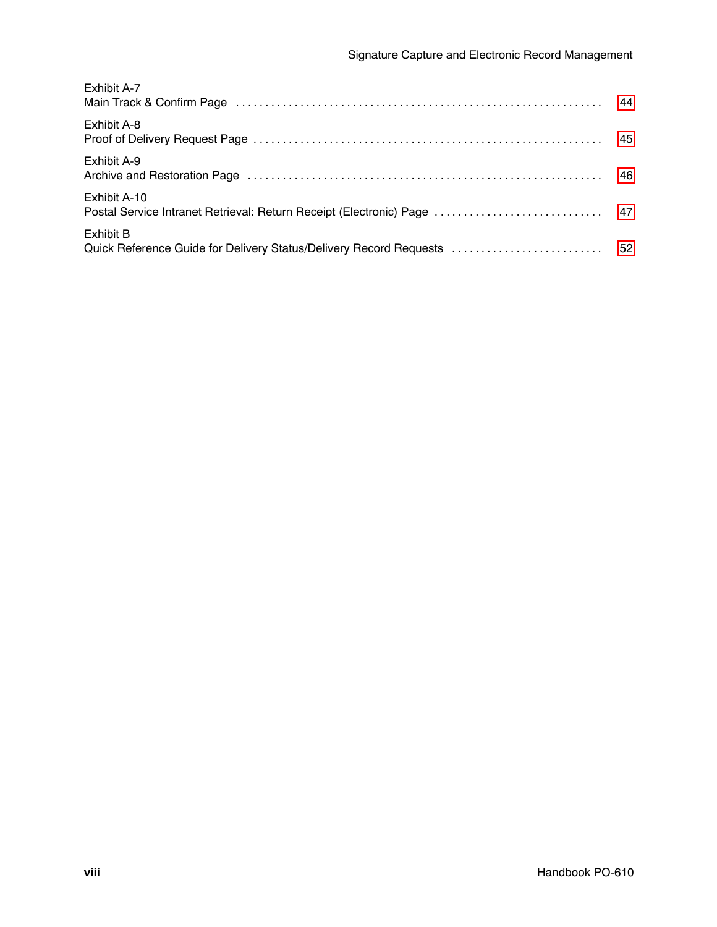| Exhibit A-7                                                                                |  |
|--------------------------------------------------------------------------------------------|--|
| Exhibit A-8                                                                                |  |
| Exhibit A-9                                                                                |  |
| Exhibit A-10                                                                               |  |
| <b>Exhibit B</b><br>Quick Reference Guide for Delivery Status/Delivery Record Requests  52 |  |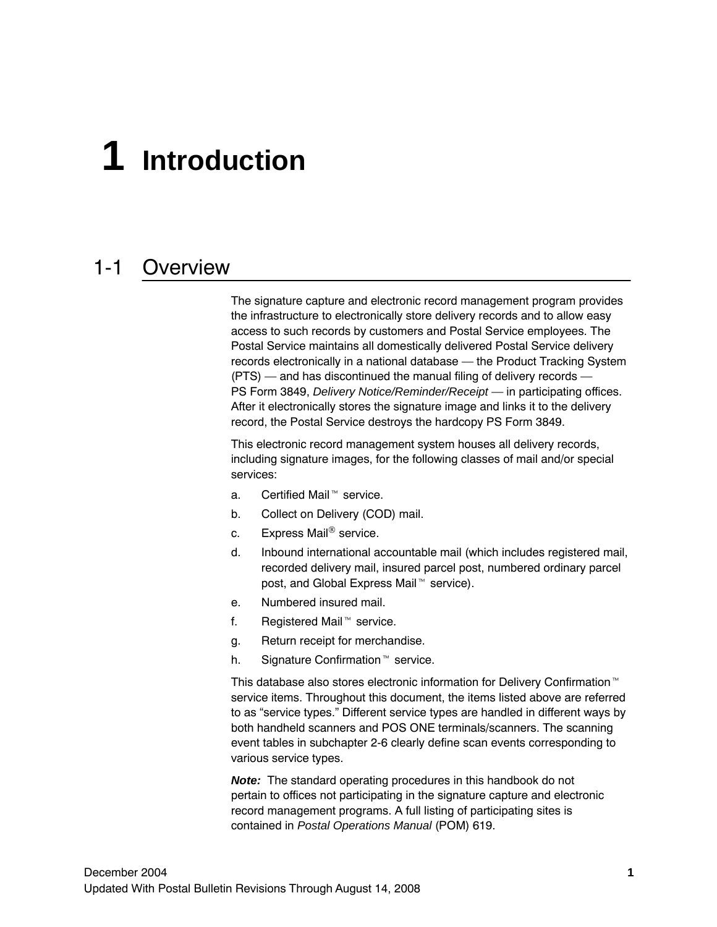# <span id="page-10-0"></span>**1 Introduction**

# 1-1 Overview

The signature capture and electronic record management program provides the infrastructure to electronically store delivery records and to allow easy access to such records by customers and Postal Service employees. The Postal Service maintains all domestically delivered Postal Service delivery records electronically in a national database — the Product Tracking System (PTS) — and has discontinued the manual filing of delivery records — PS Form 3849, *Delivery Notice/Reminder/Receipt* — in participating offices. After it electronically stores the signature image and links it to the delivery record, the Postal Service destroys the hardcopy PS Form 3849.

This electronic record management system houses all delivery records, including signature images, for the following classes of mail and/or special services:

- a. Certified Mail<sup>™</sup> service.
- b. Collect on Delivery (COD) mail.
- c. Express Mail $^{\circledR}$  service.
- d. Inbound international accountable mail (which includes registered mail, recorded delivery mail, insured parcel post, numbered ordinary parcel post, and Global Express Mail<sup>™</sup> service).
- e. Numbered insured mail.
- f. Registered Mail<sup>™</sup> service.
- g. Return receipt for merchandise.
- h. Signature Confirmation<sup>™</sup> service.

This database also stores electronic information for Delivery Confirmation<sup>™</sup> service items. Throughout this document, the items listed above are referred to as "service types." Different service types are handled in different ways by both handheld scanners and POS ONE terminals/scanners. The scanning event tables in subchapter 2-6 clearly define scan events corresponding to various service types.

*Note:*The standard operating procedures in this handbook do not pertain to offices not participating in the signature capture and electronic record management programs. A full listing of participating sites is contained in *Postal Operations Manual* (POM) 619.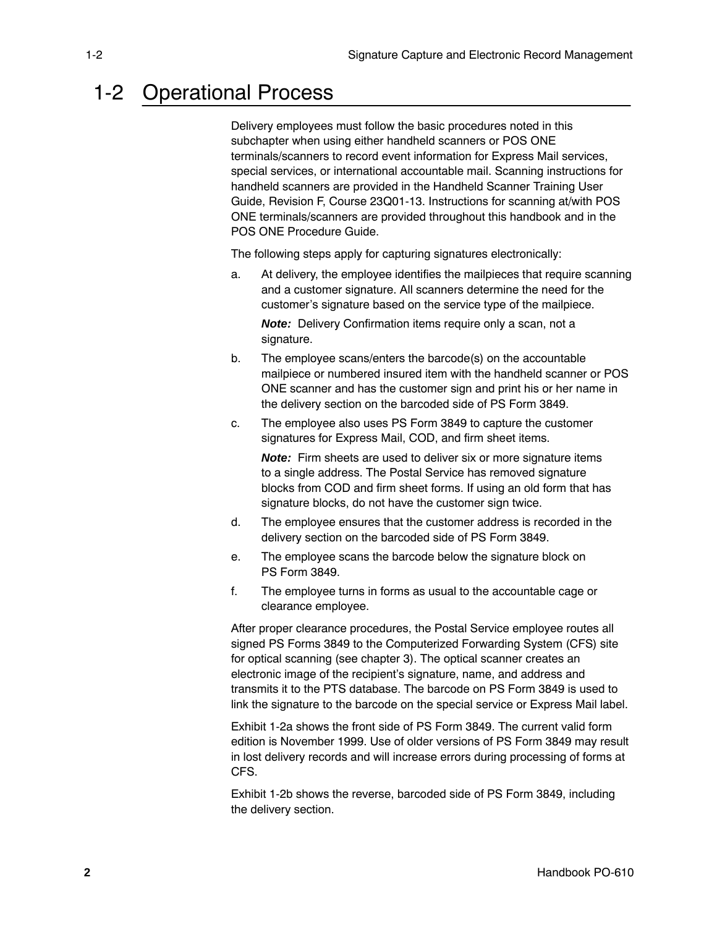# <span id="page-11-0"></span>1-2 Operational Process

Delivery employees must follow the basic procedures noted in this subchapter when using either handheld scanners or POS ONE terminals/scanners to record event information for Express Mail services, special services, or international accountable mail. Scanning instructions for handheld scanners are provided in the Handheld Scanner Training User Guide, Revision F, Course 23Q01-13. Instructions for scanning at/with POS ONE terminals/scanners are provided throughout this handbook and in the POS ONE Procedure Guide.

The following steps apply for capturing signatures electronically:

a. At delivery, the employee identifies the mailpieces that require scanning and a customer signature. All scanners determine the need for the customer's signature based on the service type of the mailpiece.

*Note:* Delivery Confirmation items require only a scan, not a signature.

- b. The employee scans/enters the barcode(s) on the accountable mailpiece or numbered insured item with the handheld scanner or POS ONE scanner and has the customer sign and print his or her name in the delivery section on the barcoded side of PS Form 3849.
- c. The employee also uses PS Form 3849 to capture the customer signatures for Express Mail, COD, and firm sheet items.

*Note:* Firm sheets are used to deliver six or more signature items to a single address. The Postal Service has removed signature blocks from COD and firm sheet forms. If using an old form that has signature blocks, do not have the customer sign twice.

- d. The employee ensures that the customer address is recorded in the delivery section on the barcoded side of PS Form 3849.
- e. The employee scans the barcode below the signature block on PS Form 3849.
- f. The employee turns in forms as usual to the accountable cage or clearance employee.

After proper clearance procedures, the Postal Service employee routes all signed PS Forms 3849 to the Computerized Forwarding System (CFS) site for optical scanning (see chapter 3). The optical scanner creates an electronic image of the recipient's signature, name, and address and transmits it to the PTS database. The barcode on PS Form 3849 is used to link the signature to the barcode on the special service or Express Mail label.

Exhibit 1-2a shows the front side of PS Form 3849. The current valid form edition is November 1999. Use of older versions of PS Form 3849 may result in lost delivery records and will increase errors during processing of forms at CFS.

Exhibit 1-2b shows the reverse, barcoded side of PS Form 3849, including the delivery section.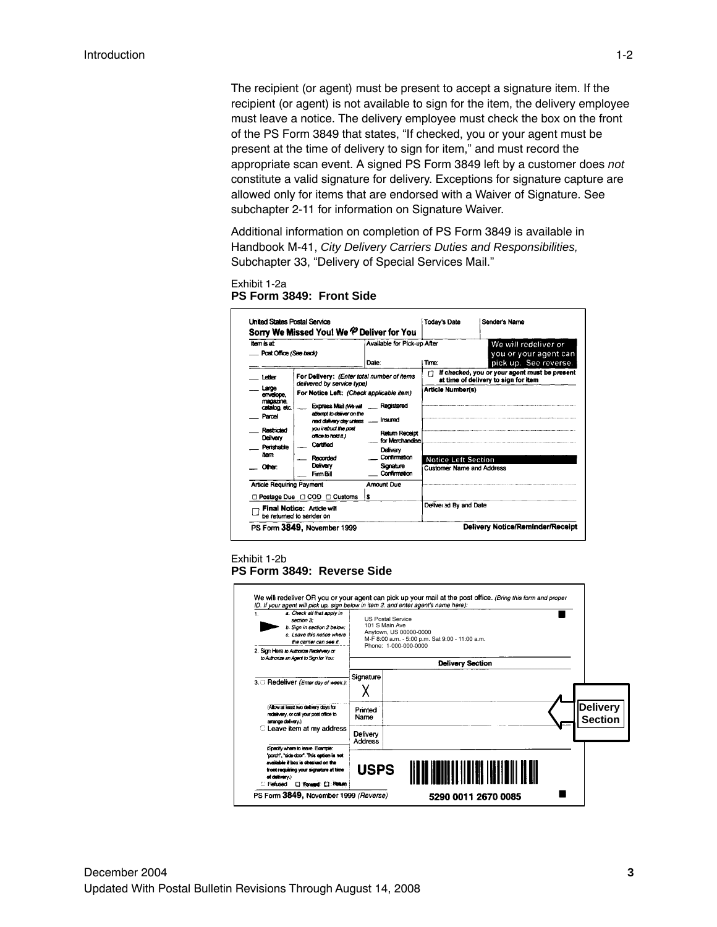<span id="page-12-0"></span>The recipient (or agent) must be present to accept a signature item. If the recipient (or agent) is not available to sign for the item, the delivery employee must leave a notice. The delivery employee must check the box on the front of the PS Form 3849 that states, "If checked, you or your agent must be present at the time of delivery to sign for item," and must record the appropriate scan event. A signed PS Form 3849 left by a customer does *not* constitute a valid signature for delivery. Exceptions for signature capture are allowed only for items that are endorsed with a Waiver of Signature. See subchapter 2-11 for information on Signature Waiver.

Additional information on completion of PS Form 3849 is available in Handbook M-41, *City Delivery Carriers Duties and Responsibilities,* Subchapter 33, "Delivery of Special Services Mail."

Exhibit 1-2a **PS Form 3849: Front Side**

|                                                                                                                                     | Sorry We Missed You! We <sup>29</sup> Deliver for You                                                                                                                                                                                                                                      |                                                                                                                   |                                                                                          |                                                                                       |
|-------------------------------------------------------------------------------------------------------------------------------------|--------------------------------------------------------------------------------------------------------------------------------------------------------------------------------------------------------------------------------------------------------------------------------------------|-------------------------------------------------------------------------------------------------------------------|------------------------------------------------------------------------------------------|---------------------------------------------------------------------------------------|
| ltern is at:<br>Post Office (See back)                                                                                              |                                                                                                                                                                                                                                                                                            | Available for Pick-up After<br>Date:                                                                              | Time:                                                                                    | We will redeliver or<br>you or your agent can<br>pick up. See reverse.                |
| <b>Letter</b><br>Large<br>envelope.<br>magazine.<br>catalog etc.<br>Parrel<br>Restricted<br>Delivery<br>Perishable<br>dern<br>Other | For Delivery: (Enter total number of items<br>delivered by service type)<br>For Notice Left: (Check applicable item)<br>Express Mail (Me wif<br>attempt to deliver on the<br>next dailyery day unless<br>you instruct the post<br>office to hold it.)<br>Certified<br>Recorded<br>Delivery | Registered<br><b>Insured</b><br><b>Return Receipt</b><br>for Merchandise<br>Delivery<br>Confirmation<br>Signature | л<br>Article Number(s)<br><b>Notice Left Section</b><br><b>Customer Name and Address</b> | If checked, you or your agent must be present<br>at time of delivery to sign for item |
| Article Requiring Payment                                                                                                           | Firm Bill<br>Postage Due □ COD □ Customs<br><b>Final Notice: Article will</b>                                                                                                                                                                                                              | Confirmation<br><b>Amount Due</b><br>l S                                                                          | Delivered By and Date                                                                    |                                                                                       |

#### Exhibit 1-2b **PS Form 3849: Reverse Side**

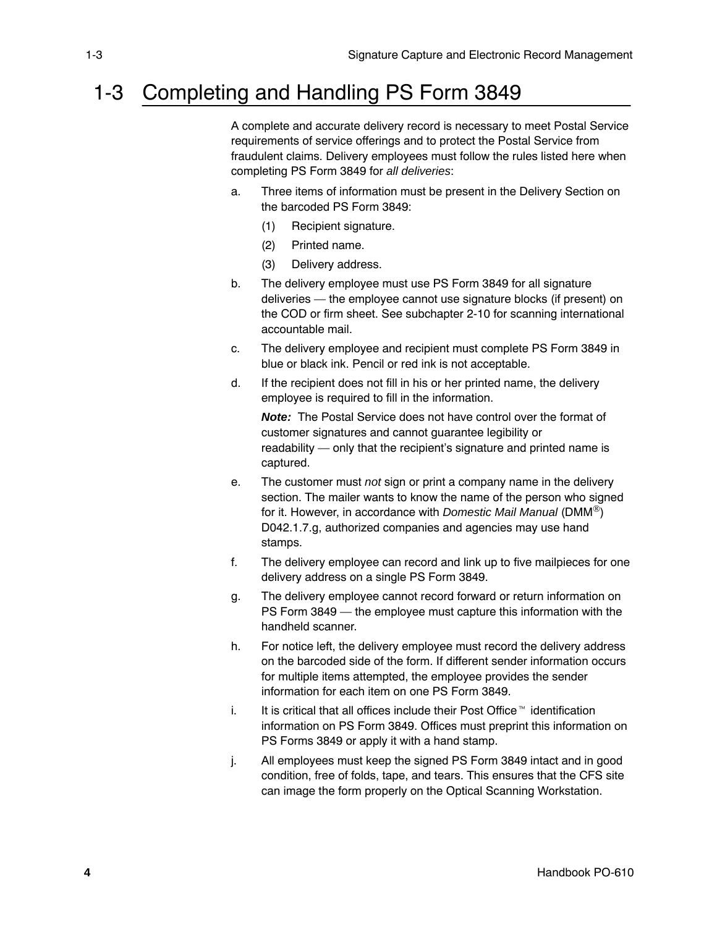# <span id="page-13-0"></span>1-3 Completing and Handling PS Form 3849

A complete and accurate delivery record is necessary to meet Postal Service requirements of service offerings and to protect the Postal Service from fraudulent claims. Delivery employees must follow the rules listed here when completing PS Form 3849 for *all deliveries*:

- a. Three items of information must be present in the Delivery Section on the barcoded PS Form 3849:
	- (1) Recipient signature.
	- (2) Printed name.
	- (3) Delivery address.
- b. The delivery employee must use PS Form 3849 for all signature deliveries — the employee cannot use signature blocks (if present) on the COD or firm sheet. See subchapter 2-10 for scanning international accountable mail.
- c. The delivery employee and recipient must complete PS Form 3849 in blue or black ink. Pencil or red ink is not acceptable.
- d. If the recipient does not fill in his or her printed name, the delivery employee is required to fill in the information.

*Note:* The Postal Service does not have control over the format of customer signatures and cannot guarantee legibility or readability — only that the recipient's signature and printed name is captured.

- e. The customer must *not* sign or print a company name in the delivery section. The mailer wants to know the name of the person who signed for it. However, in accordance with *Domestic Mail Manual* (DMM<sup>®</sup>) D042.1.7.g, authorized companies and agencies may use hand stamps.
- f. The delivery employee can record and link up to five mailpieces for one delivery address on a single PS Form 3849.
- g. The delivery employee cannot record forward or return information on PS Form 3849 — the employee must capture this information with the handheld scanner.
- h. For notice left, the delivery employee must record the delivery address on the barcoded side of the form. If different sender information occurs for multiple items attempted, the employee provides the sender information for each item on one PS Form 3849.
- i. It is critical that all offices include their Post Office™ identification information on PS Form 3849. Offices must preprint this information on PS Forms 3849 or apply it with a hand stamp.
- j. All employees must keep the signed PS Form 3849 intact and in good condition, free of folds, tape, and tears. This ensures that the CFS site can image the form properly on the Optical Scanning Workstation.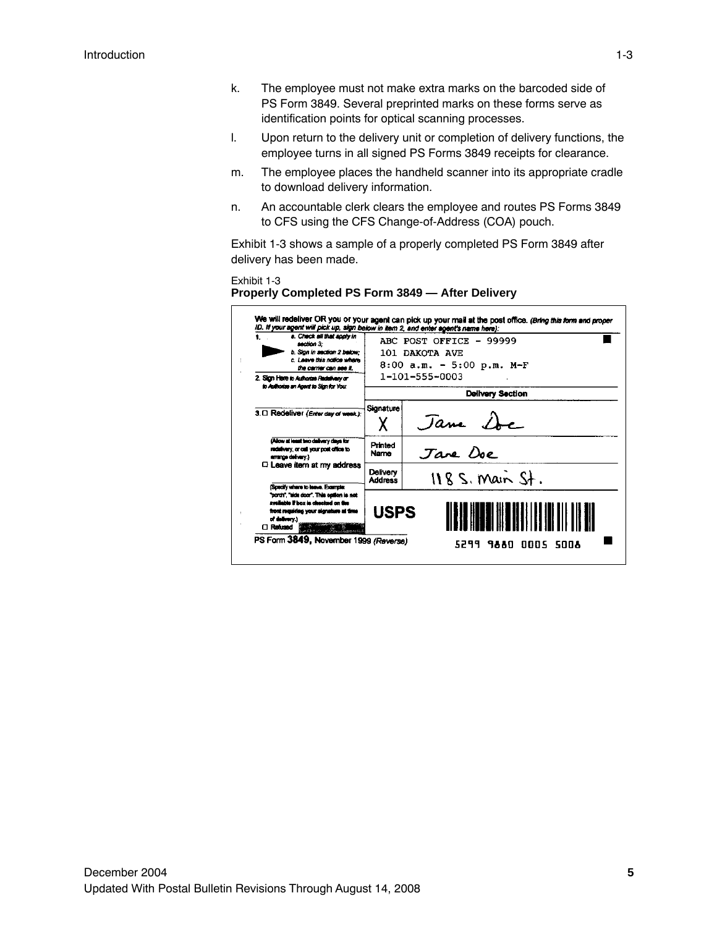- <span id="page-14-0"></span>k. The employee must not make extra marks on the barcoded side of PS Form 3849. Several preprinted marks on these forms serve as identification points for optical scanning processes.
- l. Upon return to the delivery unit or completion of delivery functions, the employee turns in all signed PS Forms 3849 receipts for clearance.
- m. The employee places the handheld scanner into its appropriate cradle to download delivery information.
- n. An accountable clerk clears the employee and routes PS Forms 3849 to CFS using the CFS Change-of-Address (COA) pouch.

Exhibit 1-3 shows a sample of a properly completed PS Form 3849 after delivery has been made.

| a. Check all that apply in<br>1.<br>section 3:<br>b. Sign in section 2 below.<br>c. Leave this notice where<br>the carrier can see it.                                                                               | ABC POST OFFICE - 99999<br>101 DAKOTA AVE<br>8:00 a.m. - 5:00 p.m. M-F |                                           |  |
|----------------------------------------------------------------------------------------------------------------------------------------------------------------------------------------------------------------------|------------------------------------------------------------------------|-------------------------------------------|--|
| 2. Sign Here to Authorize Redailway or<br>to Authorize an Agent to Sign for You:                                                                                                                                     |                                                                        | 1-101-555-0003<br><b>Delivery Section</b> |  |
| 3. [ Redeliver (Enter day of week.):                                                                                                                                                                                 | Signature<br>χ                                                         | Jane De                                   |  |
| (Allow at least two delivery days for<br>redailyery, or call your post office to<br>arrange delivery.)                                                                                                               | Printed<br>Name                                                        | Jare Doe                                  |  |
| $\Box$ Leave item at my address                                                                                                                                                                                      | Delivery<br>Address                                                    | $1185.$ Main $st.$                        |  |
| (Specify where to leave, Example:<br>"porch" "side door". This collon is not<br>available if box is checked on the<br>front requiries your signature at time<br>of delivery.)<br>O Refused <b>Company of Company</b> | <b>USPS</b>                                                            |                                           |  |

Exhibit  $1-3$ **Properly Completed PS Form 3849 — After Delivery**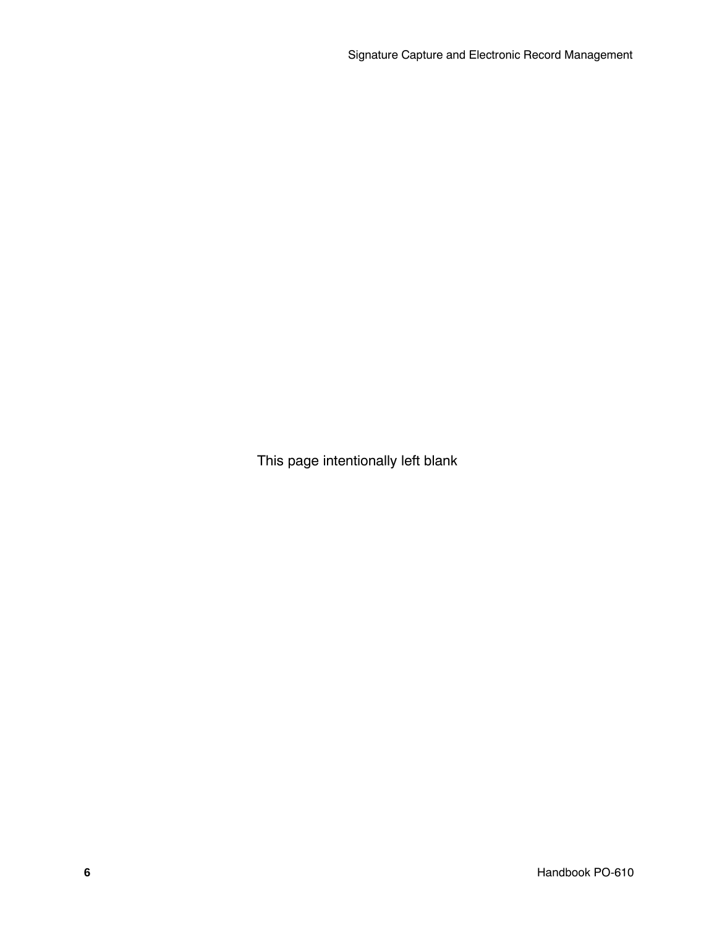This page intentionally left blank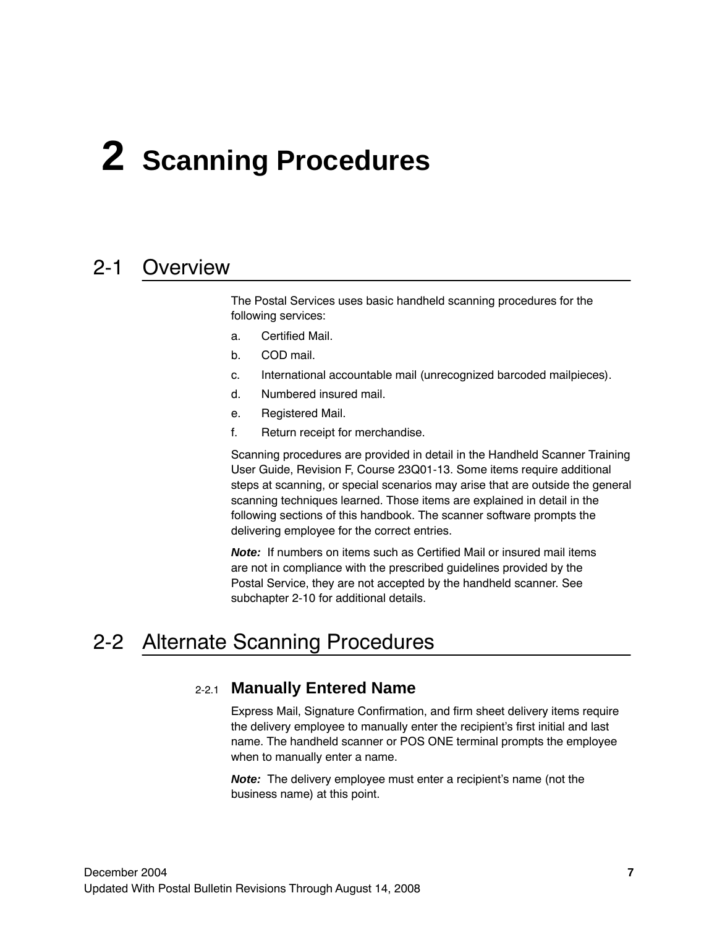# <span id="page-16-0"></span>**2 Scanning Procedures**

# 2-1 Overview

The Postal Services uses basic handheld scanning procedures for the following services:

- a. Certified Mail.
- b. COD mail.
- c. International accountable mail (unrecognized barcoded mailpieces).
- d. Numbered insured mail.
- e. Registered Mail.
- f. Return receipt for merchandise.

Scanning procedures are provided in detail in the Handheld Scanner Training User Guide, Revision F, Course 23Q01-13. Some items require additional steps at scanning, or special scenarios may arise that are outside the general scanning techniques learned. Those items are explained in detail in the following sections of this handbook. The scanner software prompts the delivering employee for the correct entries.

**Note:** If numbers on items such as Certified Mail or insured mail items are not in compliance with the prescribed guidelines provided by the Postal Service, they are not accepted by the handheld scanner. See subchapter 2-10 for additional details.

## 2-2 Alternate Scanning Procedures

#### 2-2.1 **Manually Entered Name**

Express Mail, Signature Confirmation, and firm sheet delivery items require the delivery employee to manually enter the recipient's first initial and last name. The handheld scanner or POS ONE terminal prompts the employee when to manually enter a name.

*Note:*The delivery employee must enter a recipient's name (not the business name) at this point.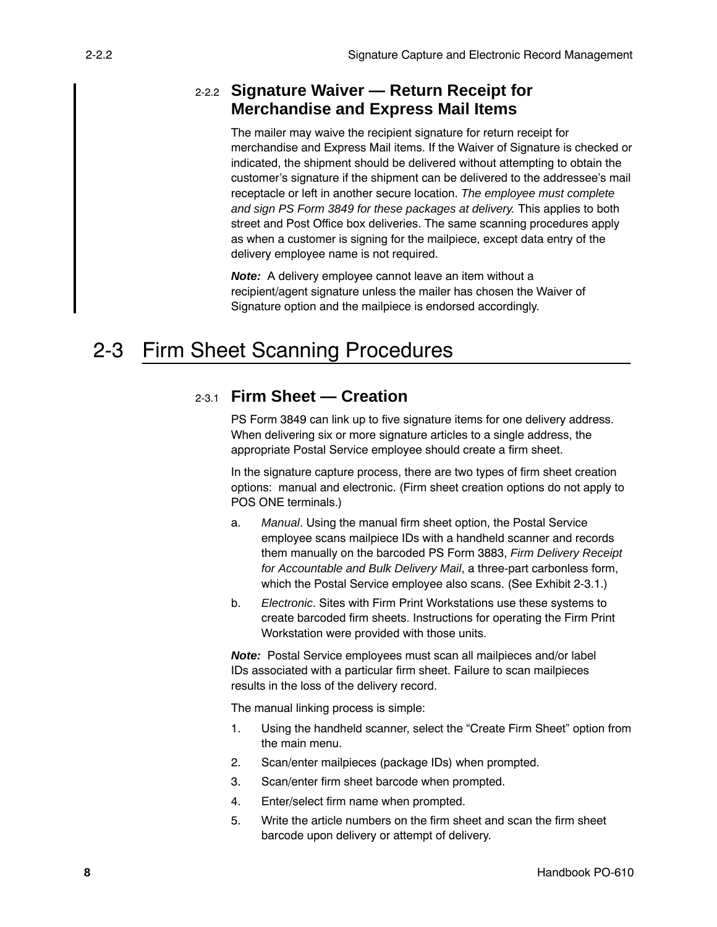## <span id="page-17-0"></span>2-2.2 **Signature Waiver — Return Receipt for Merchandise and Express Mail Items**

The mailer may waive the recipient signature for return receipt for merchandise and Express Mail items. If the Waiver of Signature is checked or indicated, the shipment should be delivered without attempting to obtain the customer's signature if the shipment can be delivered to the addressee's mail receptacle or left in another secure location. *The employee must complete and sign PS Form 3849 for these packages at delivery.* This applies to both street and Post Office box deliveries. The same scanning procedures apply as when a customer is signing for the mailpiece, except data entry of the delivery employee name is not required.

*Note:*A delivery employee cannot leave an item without a recipient/agent signature unless the mailer has chosen the Waiver of Signature option and the mailpiece is endorsed accordingly.

# 2-3 Firm Sheet Scanning Procedures

#### 2-3.1 **Firm Sheet — Creation**

PS Form 3849 can link up to five signature items for one delivery address. When delivering six or more signature articles to a single address, the appropriate Postal Service employee should create a firm sheet.

In the signature capture process, there are two types of firm sheet creation options: manual and electronic. (Firm sheet creation options do not apply to POS ONE terminals.)

- a. *Manual*. Using the manual firm sheet option, the Postal Service employee scans mailpiece IDs with a handheld scanner and records them manually on the barcoded PS Form 3883, *Firm Delivery Receipt for Accountable and Bulk Delivery Mail*, a three-part carbonless form, which the Postal Service employee also scans. (See Exhibit 2-3.1.)
- b. *Electronic*. Sites with Firm Print Workstations use these systems to create barcoded firm sheets. Instructions for operating the Firm Print Workstation were provided with those units.

*Note:*Postal Service employees must scan all mailpieces and/or label IDs associated with a particular firm sheet. Failure to scan mailpieces results in the loss of the delivery record.

The manual linking process is simple:

- 1. Using the handheld scanner, select the "Create Firm Sheet" option from the main menu.
- 2. Scan/enter mailpieces (package IDs) when prompted.
- 3. Scan/enter firm sheet barcode when prompted.
- 4. Enter/select firm name when prompted.
- 5. Write the article numbers on the firm sheet and scan the firm sheet barcode upon delivery or attempt of delivery.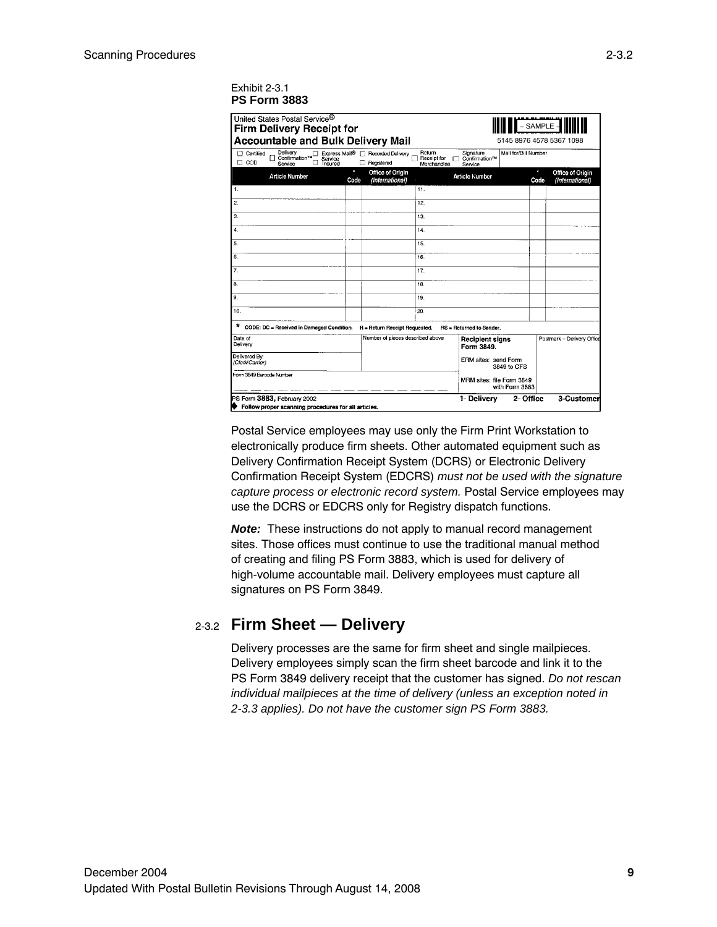#### <span id="page-18-0"></span>Exhibit 2-3.1 **PS Form 3883**

| United States Postal Service <sup>®</sup><br>Firm Delivery Receipt for                                                 |                                                   |                                      |                                                               | - SAMPLE -                                              |
|------------------------------------------------------------------------------------------------------------------------|---------------------------------------------------|--------------------------------------|---------------------------------------------------------------|---------------------------------------------------------|
| <b>Accountable and Bulk Delivery Mail</b>                                                                              |                                                   |                                      |                                                               | 5145 8976 4578 5367 1098                                |
| Delivery<br>□ Certified<br>Express Mail®<br>□ Confirmation <sup>™</sup><br>Service<br>$\Box$ COD<br>Insured<br>Service | П<br><b>Recorded Delivery</b><br>Registered<br>п  | Return<br>Receipt for<br>Merchandise | Signature<br>Mail for/Bill Number<br>Contirmation™<br>Service |                                                         |
| <b>Article Number</b>                                                                                                  | ż.<br>Office of Origin<br>Code<br>(International) |                                      | <b>Article Number</b>                                         | $\Delta$<br>Office of Origin<br>Code<br>(international) |
| $\overline{1}$ .                                                                                                       |                                                   | 11.                                  |                                                               |                                                         |
| $\overline{2}$                                                                                                         |                                                   | 12.                                  |                                                               |                                                         |
| 3.                                                                                                                     |                                                   | 13.                                  |                                                               |                                                         |
| 4.                                                                                                                     |                                                   | 14.                                  |                                                               |                                                         |
| 5.                                                                                                                     |                                                   | 15.                                  |                                                               |                                                         |
| 6.                                                                                                                     |                                                   | 16                                   |                                                               |                                                         |
| 7.                                                                                                                     |                                                   | 17.                                  |                                                               |                                                         |
| 8.                                                                                                                     |                                                   | 18                                   |                                                               |                                                         |
| 9.                                                                                                                     |                                                   | 19.                                  |                                                               |                                                         |
| 10.                                                                                                                    |                                                   | 20.                                  |                                                               |                                                         |
| *<br>CODE: DC = Received in Damaged Condition.                                                                         | R = Return Receipt Requested.                     |                                      | RS = Returned to Sender.                                      |                                                         |
| Date of<br>Delivery                                                                                                    | Number of pieces described above                  |                                      | <b>Recipient signs</b><br>Form 3849.                          | Postmark - Delivery Office                              |
| Delivered Bv:<br>(Clerk/Carrier)                                                                                       |                                                   |                                      | ERM sites: send Form<br>3849 to CFS                           |                                                         |
| Form 3849 Barcode Number                                                                                               |                                                   |                                      | MRM sites: file Form 3849<br>with Form 3883                   |                                                         |
| PS Form 3883, February 2002<br>Follow proper scanning procedures for all articles.                                     |                                                   |                                      | 1 Delivery<br>2-Office                                        | 3-Customer                                              |

Postal Service employees may use only the Firm Print Workstation to electronically produce firm sheets. Other automated equipment such as Delivery Confirmation Receipt System (DCRS) or Electronic Delivery Confirmation Receipt System (EDCRS) *must not be used with the signature capture process or electronic record system.* Postal Service employees may use the DCRS or EDCRS only for Registry dispatch functions.

**Note:** These instructions do not apply to manual record management sites. Those offices must continue to use the traditional manual method of creating and filing PS Form 3883, which is used for delivery of high-volume accountable mail. Delivery employees must capture all signatures on PS Form 3849.

## 2-3.2 **Firm Sheet — Delivery**

Delivery processes are the same for firm sheet and single mailpieces. Delivery employees simply scan the firm sheet barcode and link it to the PS Form 3849 delivery receipt that the customer has signed. *Do not rescan individual mailpieces at the time of delivery (unless an exception noted in 2-3.3 applies). Do not have the customer sign PS Form 3883.*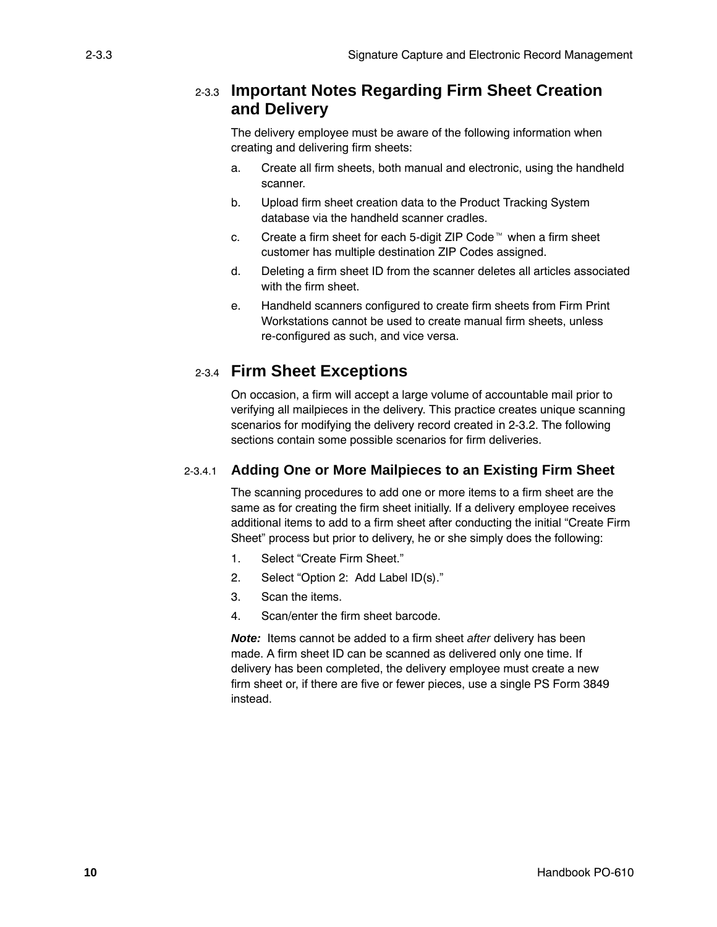## <span id="page-19-0"></span>2-3.3 **Important Notes Regarding Firm Sheet Creation and Delivery**

The delivery employee must be aware of the following information when creating and delivering firm sheets:

- a. Create all firm sheets, both manual and electronic, using the handheld scanner.
- b. Upload firm sheet creation data to the Product Tracking System database via the handheld scanner cradles.
- c. Create a firm sheet for each 5-digit ZIP Code™ when a firm sheet customer has multiple destination ZIP Codes assigned.
- d. Deleting a firm sheet ID from the scanner deletes all articles associated with the firm sheet.
- e. Handheld scanners configured to create firm sheets from Firm Print Workstations cannot be used to create manual firm sheets, unless re-configured as such, and vice versa.

## 2-3.4 **Firm Sheet Exceptions**

On occasion, a firm will accept a large volume of accountable mail prior to verifying all mailpieces in the delivery. This practice creates unique scanning scenarios for modifying the delivery record created in 2-3.2. The following sections contain some possible scenarios for firm deliveries.

#### 2-3.4.1 **Adding One or More Mailpieces to an Existing Firm Sheet**

The scanning procedures to add one or more items to a firm sheet are the same as for creating the firm sheet initially. If a delivery employee receives additional items to add to a firm sheet after conducting the initial "Create Firm Sheet" process but prior to delivery, he or she simply does the following:

- 1. Select "Create Firm Sheet."
- 2. Select "Option 2: Add Label ID(s)."
- 3. Scan the items.
- 4. Scan/enter the firm sheet barcode.

*Note:*Items cannot be added to a firm sheet *after* delivery has been made. A firm sheet ID can be scanned as delivered only one time. If delivery has been completed, the delivery employee must create a new firm sheet or, if there are five or fewer pieces, use a single PS Form 3849 instead.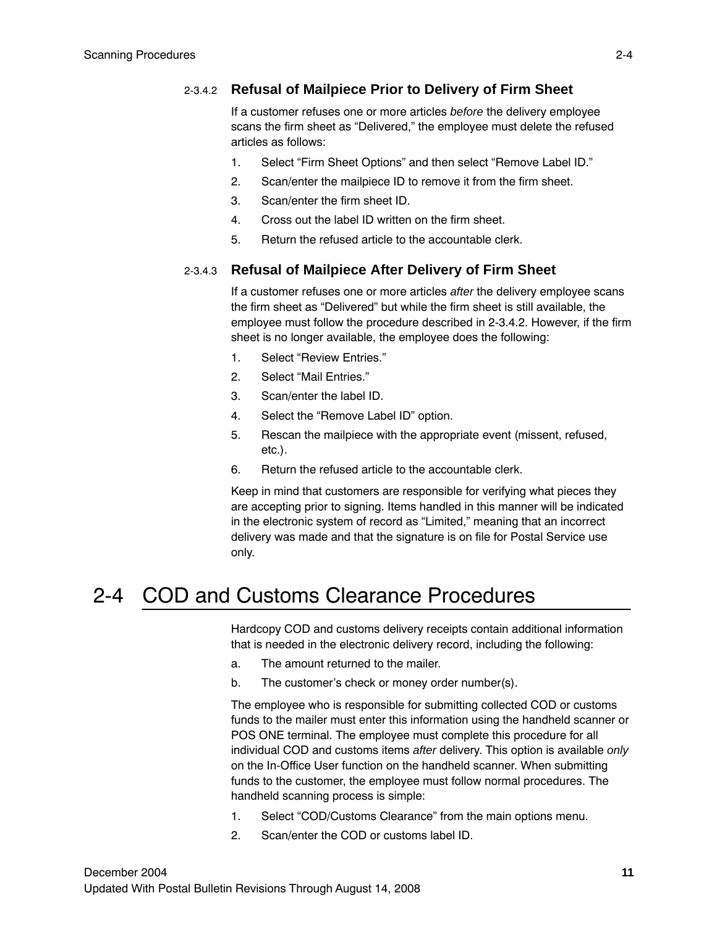#### <span id="page-20-0"></span>2-3.4.2 **Refusal of Mailpiece Prior to Delivery of Firm Sheet**

If a customer refuses one or more articles *before* the delivery employee scans the firm sheet as "Delivered," the employee must delete the refused articles as follows:

- 1. Select "Firm Sheet Options" and then select "Remove Label ID."
- 2. Scan/enter the mailpiece ID to remove it from the firm sheet.
- 3. Scan/enter the firm sheet ID.
- 4. Cross out the label ID written on the firm sheet.
- 5. Return the refused article to the accountable clerk.

#### 2-3.4.3 **Refusal of Mailpiece After Delivery of Firm Sheet**

If a customer refuses one or more articles *after* the delivery employee scans the firm sheet as "Delivered" but while the firm sheet is still available, the employee must follow the procedure described in 2-3.4.2. However, if the firm sheet is no longer available, the employee does the following:

- 1. Select "Review Entries."
- 2. Select "Mail Entries."
- 3. Scan/enter the label ID.
- 4. Select the "Remove Label ID" option.
- 5. Rescan the mailpiece with the appropriate event (missent, refused, etc.).
- 6. Return the refused article to the accountable clerk.

Keep in mind that customers are responsible for verifying what pieces they are accepting prior to signing. Items handled in this manner will be indicated in the electronic system of record as "Limited," meaning that an incorrect delivery was made and that the signature is on file for Postal Service use only.

# 2-4 COD and Customs Clearance Procedures

Hardcopy COD and customs delivery receipts contain additional information that is needed in the electronic delivery record, including the following:

- a. The amount returned to the mailer.
- b. The customer's check or money order number(s).

The employee who is responsible for submitting collected COD or customs funds to the mailer must enter this information using the handheld scanner or POS ONE terminal. The employee must complete this procedure for all individual COD and customs items *after* delivery. This option is available *only* on the In-Office User function on the handheld scanner. When submitting funds to the customer, the employee must follow normal procedures. The handheld scanning process is simple:

- 1. Select "COD/Customs Clearance" from the main options menu.
- 2. Scan/enter the COD or customs label ID.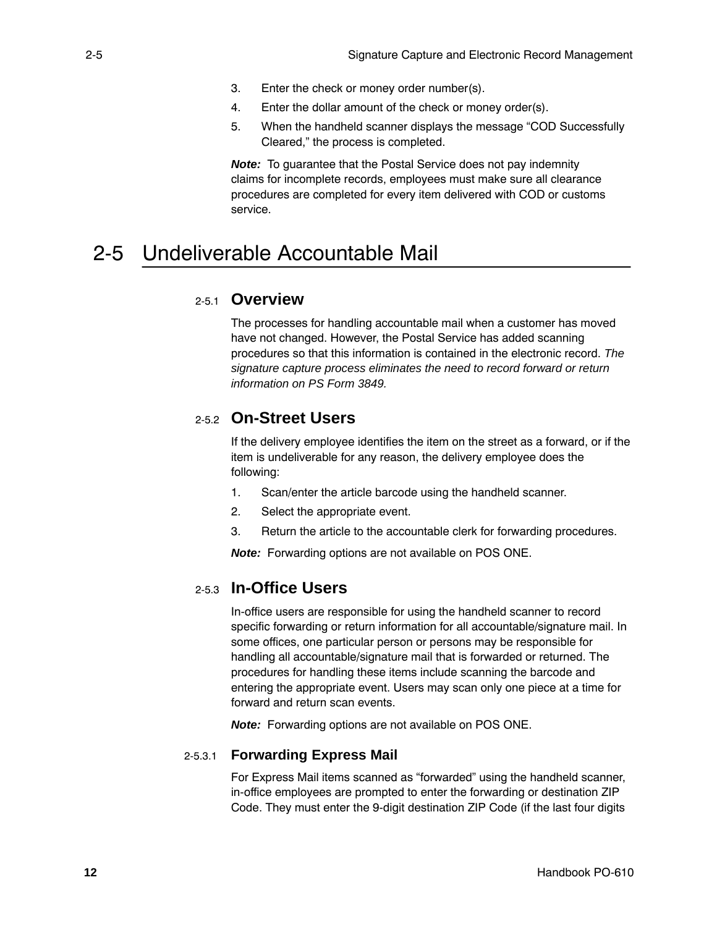- <span id="page-21-0"></span>3. Enter the check or money order number(s).
- 4. Enter the dollar amount of the check or money order(s).
- 5. When the handheld scanner displays the message "COD Successfully Cleared," the process is completed.

*Note:*To guarantee that the Postal Service does not pay indemnity claims for incomplete records, employees must make sure all clearance procedures are completed for every item delivered with COD or customs service.

## 2-5 Undeliverable Accountable Mail

#### 2-5.1 **Overview**

The processes for handling accountable mail when a customer has moved have not changed. However, the Postal Service has added scanning procedures so that this information is contained in the electronic record. *The signature capture process eliminates the need to record forward or return information on PS Form 3849.*

## 2-5.2 **On-Street Users**

If the delivery employee identifies the item on the street as a forward, or if the item is undeliverable for any reason, the delivery employee does the following:

- 1. Scan/enter the article barcode using the handheld scanner.
- 2. Select the appropriate event.
- 3. Return the article to the accountable clerk for forwarding procedures.

*Note:*Forwarding options are not available on POS ONE.

#### 2-5.3 **In-Office Users**

In-office users are responsible for using the handheld scanner to record specific forwarding or return information for all accountable/signature mail. In some offices, one particular person or persons may be responsible for handling all accountable/signature mail that is forwarded or returned. The procedures for handling these items include scanning the barcode and entering the appropriate event. Users may scan only one piece at a time for forward and return scan events.

*Note:*Forwarding options are not available on POS ONE.

#### 2-5.3.1 **Forwarding Express Mail**

For Express Mail items scanned as "forwarded" using the handheld scanner, in-office employees are prompted to enter the forwarding or destination ZIP Code. They must enter the 9-digit destination ZIP Code (if the last four digits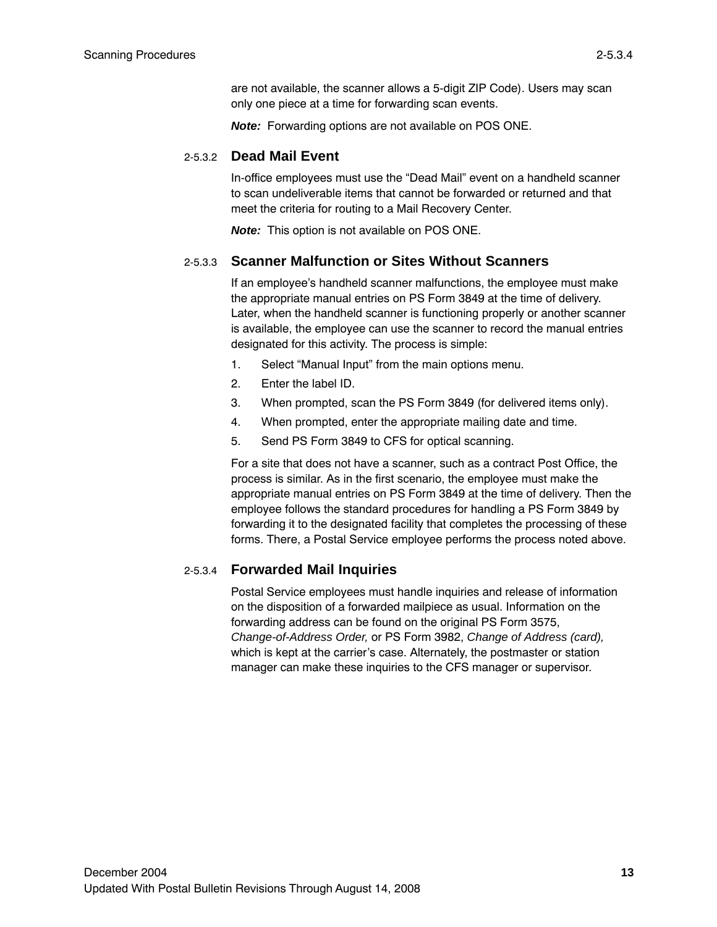are not available, the scanner allows a 5-digit ZIP Code). Users may scan only one piece at a time for forwarding scan events.

*Note:*Forwarding options are not available on POS ONE.

#### <span id="page-22-0"></span>2-5.3.2 **Dead Mail Event**

In-office employees must use the "Dead Mail" event on a handheld scanner to scan undeliverable items that cannot be forwarded or returned and that meet the criteria for routing to a Mail Recovery Center.

*Note:*This option is not available on POS ONE.

#### 2-5.3.3 **Scanner Malfunction or Sites Without Scanners**

If an employee's handheld scanner malfunctions, the employee must make the appropriate manual entries on PS Form 3849 at the time of delivery. Later, when the handheld scanner is functioning properly or another scanner is available, the employee can use the scanner to record the manual entries designated for this activity. The process is simple:

- 1. Select "Manual Input" from the main options menu.
- 2. Enter the label ID.
- 3. When prompted, scan the PS Form 3849 (for delivered items only).
- 4. When prompted, enter the appropriate mailing date and time.
- 5. Send PS Form 3849 to CFS for optical scanning.

For a site that does not have a scanner, such as a contract Post Office, the process is similar. As in the first scenario, the employee must make the appropriate manual entries on PS Form 3849 at the time of delivery. Then the employee follows the standard procedures for handling a PS Form 3849 by forwarding it to the designated facility that completes the processing of these forms. There, a Postal Service employee performs the process noted above.

#### 2-5.3.4 **Forwarded Mail Inquiries**

Postal Service employees must handle inquiries and release of information on the disposition of a forwarded mailpiece as usual. Information on the forwarding address can be found on the original PS Form 3575, *Change-of-Address Order,* or PS Form 3982, *Change of Address (card),* which is kept at the carrier's case. Alternately, the postmaster or station manager can make these inquiries to the CFS manager or supervisor.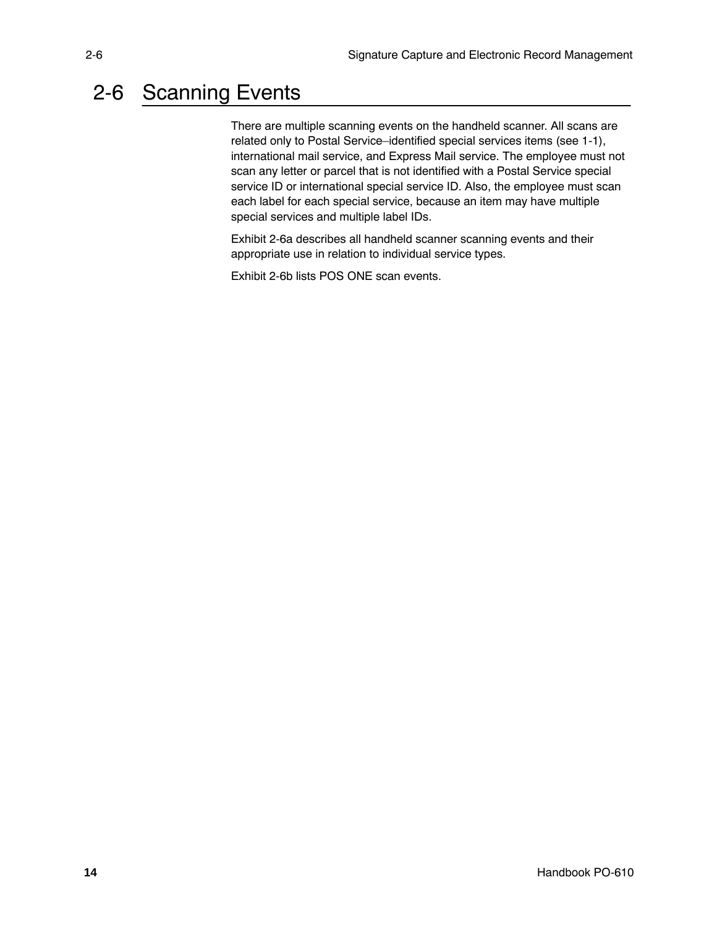# <span id="page-23-0"></span>2-6 Scanning Events

There are multiple scanning events on the handheld scanner. All scans are related only to Postal Service–identified special services items (see 1-1), international mail service, and Express Mail service. The employee must not scan any letter or parcel that is not identified with a Postal Service special service ID or international special service ID. Also, the employee must scan each label for each special service, because an item may have multiple special services and multiple label IDs.

Exhibit 2-6a describes all handheld scanner scanning events and their appropriate use in relation to individual service types.

Exhibit 2-6b lists POS ONE scan events.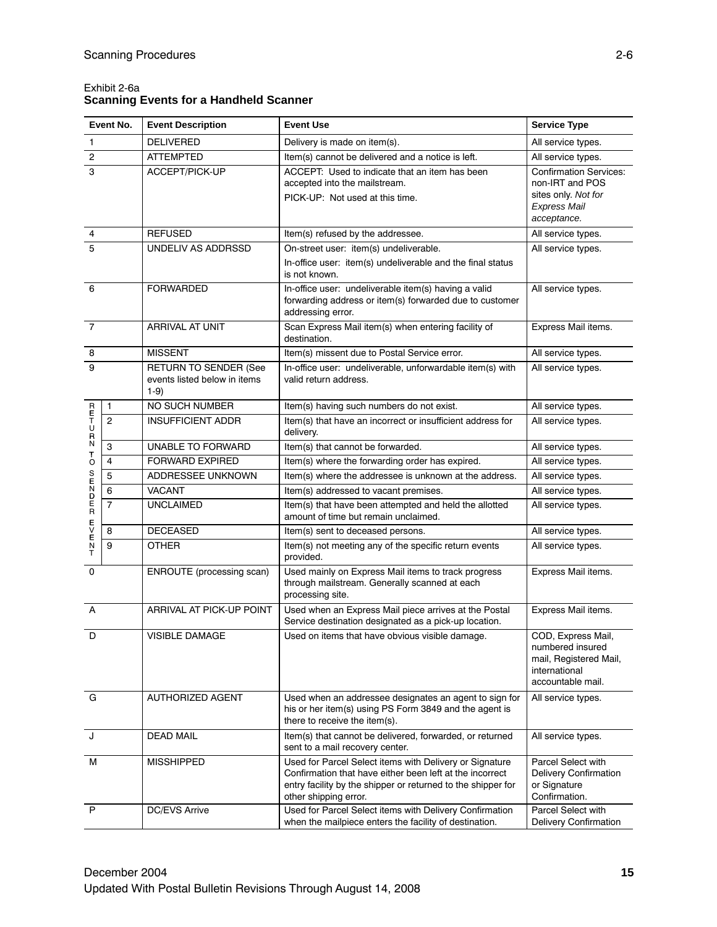#### <span id="page-24-0"></span>Exhibit 2-6a **Scanning Events for a Handheld Scanner**

|                         | Event No.      | <b>Event Description</b>                                               | <b>Event Use</b>                                                                                                                                                                                             | <b>Service Type</b>                                                                                           |
|-------------------------|----------------|------------------------------------------------------------------------|--------------------------------------------------------------------------------------------------------------------------------------------------------------------------------------------------------------|---------------------------------------------------------------------------------------------------------------|
| 1                       |                | <b>DELIVERED</b>                                                       | Delivery is made on item(s).                                                                                                                                                                                 | All service types.                                                                                            |
| 2                       |                | ATTEMPTED                                                              | Item(s) cannot be delivered and a notice is left.                                                                                                                                                            | All service types.                                                                                            |
| 3                       |                | ACCEPT/PICK-UP                                                         | ACCEPT: Used to indicate that an item has been<br>accepted into the mailstream.<br>PICK-UP: Not used at this time.                                                                                           | <b>Confirmation Services:</b><br>non-IRT and POS<br>sites only. Not for<br><b>Express Mail</b><br>acceptance. |
| 4                       |                | <b>REFUSED</b>                                                         | Item(s) refused by the addressee.                                                                                                                                                                            | All service types.                                                                                            |
| 5<br>UNDELIV AS ADDRSSD |                |                                                                        | On-street user: item(s) undeliverable.<br>In-office user: item(s) undeliverable and the final status<br>is not known.                                                                                        | All service types.                                                                                            |
| 6                       |                | <b>FORWARDED</b>                                                       | In-office user: undeliverable item(s) having a valid<br>forwarding address or item(s) forwarded due to customer<br>addressing error.                                                                         | All service types.                                                                                            |
| $\overline{7}$          |                | ARRIVAL AT UNIT                                                        | Scan Express Mail item(s) when entering facility of<br>destination.                                                                                                                                          | Express Mail items.                                                                                           |
| 8                       |                | <b>MISSENT</b>                                                         | Item(s) missent due to Postal Service error.                                                                                                                                                                 | All service types.                                                                                            |
| 9                       |                | <b>RETURN TO SENDER (See</b><br>events listed below in items<br>$1-9)$ | In-office user: undeliverable, unforwardable item(s) with<br>valid return address.                                                                                                                           | All service types.                                                                                            |
| R<br>E<br>T             | 1              | <b>NO SUCH NUMBER</b>                                                  | Item(s) having such numbers do not exist.                                                                                                                                                                    | All service types.                                                                                            |
| U<br>R<br>N             | $\overline{2}$ | <b>INSUFFICIENT ADDR</b>                                               | Item(s) that have an incorrect or insufficient address for<br>delivery.                                                                                                                                      | All service types.                                                                                            |
|                         | 3              | UNABLE TO FORWARD                                                      | Item(s) that cannot be forwarded.                                                                                                                                                                            | All service types.                                                                                            |
| T<br>O                  | 4              | <b>FORWARD EXPIRED</b>                                                 | Item(s) where the forwarding order has expired.                                                                                                                                                              | All service types.                                                                                            |
|                         | 5              | ADDRESSEE UNKNOWN                                                      | Item(s) where the addressee is unknown at the address.                                                                                                                                                       | All service types.                                                                                            |
|                         | 6              | <b>VACANT</b>                                                          | Item(s) addressed to vacant premises.                                                                                                                                                                        | All service types.                                                                                            |
| SENDER                  | $\overline{7}$ | <b>UNCLAIMED</b>                                                       | Item(s) that have been attempted and held the allotted<br>amount of time but remain unclaimed.                                                                                                               | All service types.                                                                                            |
|                         | 8              | <b>DECEASED</b>                                                        | Item(s) sent to deceased persons.                                                                                                                                                                            | All service types.                                                                                            |
| コンロヘア                   | 9              | <b>OTHER</b>                                                           | Item(s) not meeting any of the specific return events<br>provided.                                                                                                                                           | All service types.                                                                                            |
| 0                       |                | ENROUTE (processing scan)                                              | Used mainly on Express Mail items to track progress<br>through mailstream. Generally scanned at each<br>processing site.                                                                                     | Express Mail items.                                                                                           |
| A                       |                | ARRIVAL AT PICK-UP POINT                                               | Used when an Express Mail piece arrives at the Postal<br>Service destination designated as a pick-up location.                                                                                               | Express Mail items.                                                                                           |
| D                       |                | <b>VISIBLE DAMAGE</b>                                                  | Used on items that have obvious visible damage.                                                                                                                                                              | COD. Express Mail.<br>numbered insured<br>mail, Registered Mail,<br>international<br>accountable mail.        |
| G                       |                | <b>AUTHORIZED AGENT</b>                                                | Used when an addressee designates an agent to sign for<br>his or her item(s) using PS Form 3849 and the agent is<br>there to receive the item(s).                                                            | All service types.                                                                                            |
| J                       |                | <b>DEAD MAIL</b>                                                       | Item(s) that cannot be delivered, forwarded, or returned<br>sent to a mail recovery center.                                                                                                                  | All service types.                                                                                            |
| М                       |                | <b>MISSHIPPED</b>                                                      | Used for Parcel Select items with Delivery or Signature<br>Confirmation that have either been left at the incorrect<br>entry facility by the shipper or returned to the shipper for<br>other shipping error. | Parcel Select with<br>Delivery Confirmation<br>or Signature<br>Confirmation.                                  |
| P                       |                | <b>DC/EVS Arrive</b>                                                   | Used for Parcel Select items with Delivery Confirmation<br>when the mailpiece enters the facility of destination.                                                                                            | Parcel Select with<br>Delivery Confirmation                                                                   |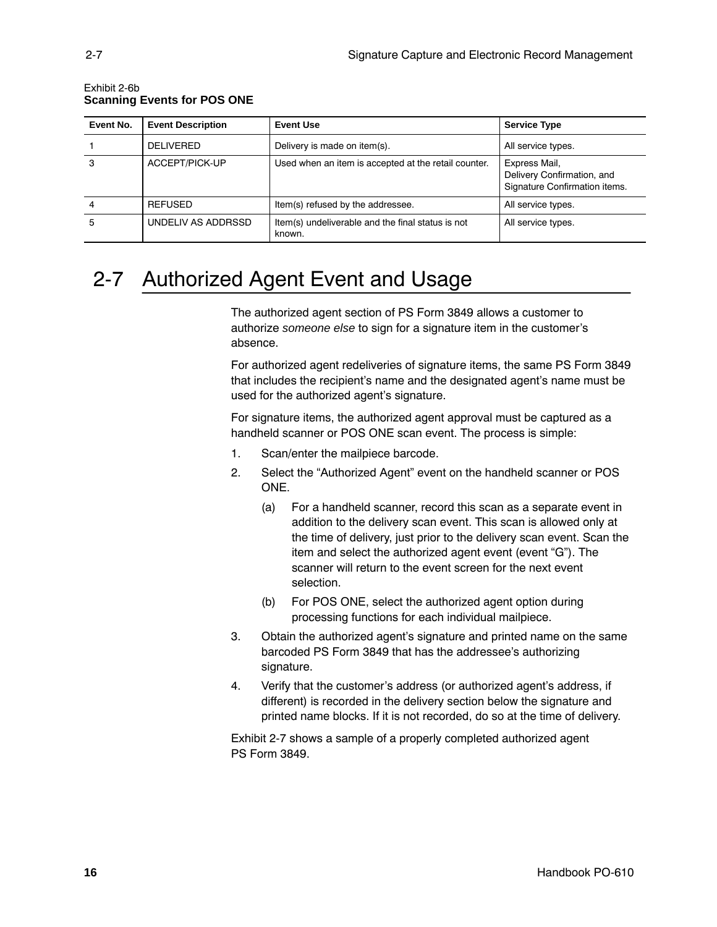| Event No. | <b>Event Description</b> | <b>Event Use</b>                                            | <b>Service Type</b>                                                          |
|-----------|--------------------------|-------------------------------------------------------------|------------------------------------------------------------------------------|
|           | <b>DELIVERED</b>         | Delivery is made on item(s).                                | All service types.                                                           |
|           | ACCEPT/PICK-UP           | Used when an item is accepted at the retail counter.        | Express Mail,<br>Delivery Confirmation, and<br>Signature Confirmation items. |
|           | <b>REFUSED</b>           | Item(s) refused by the addressee.                           | All service types.                                                           |
| 5         | UNDELIV AS ADDRSSD       | Item(s) undeliverable and the final status is not<br>known. | All service types.                                                           |

#### Exhibit 2-6b **Scanning Events for POS ONE**

# 2-7 Authorized Agent Event and Usage

The authorized agent section of PS Form 3849 allows a customer to authorize *someone else* to sign for a signature item in the customer's absence.

For authorized agent redeliveries of signature items, the same PS Form 3849 that includes the recipient's name and the designated agent's name must be used for the authorized agent's signature.

For signature items, the authorized agent approval must be captured as a handheld scanner or POS ONE scan event. The process is simple:

- 1. Scan/enter the mailpiece barcode.
- 2. Select the "Authorized Agent" event on the handheld scanner or POS ONE.
	- (a) For a handheld scanner, record this scan as a separate event in addition to the delivery scan event. This scan is allowed only at the time of delivery, just prior to the delivery scan event. Scan the item and select the authorized agent event (event "G"). The scanner will return to the event screen for the next event selection.
	- (b) For POS ONE, select the authorized agent option during processing functions for each individual mailpiece.
- 3. Obtain the authorized agent's signature and printed name on the same barcoded PS Form 3849 that has the addressee's authorizing signature.
- 4. Verify that the customer's address (or authorized agent's address, if different) is recorded in the delivery section below the signature and printed name blocks. If it is not recorded, do so at the time of delivery.

Exhibit 2-7 shows a sample of a properly completed authorized agent PS Form 3849.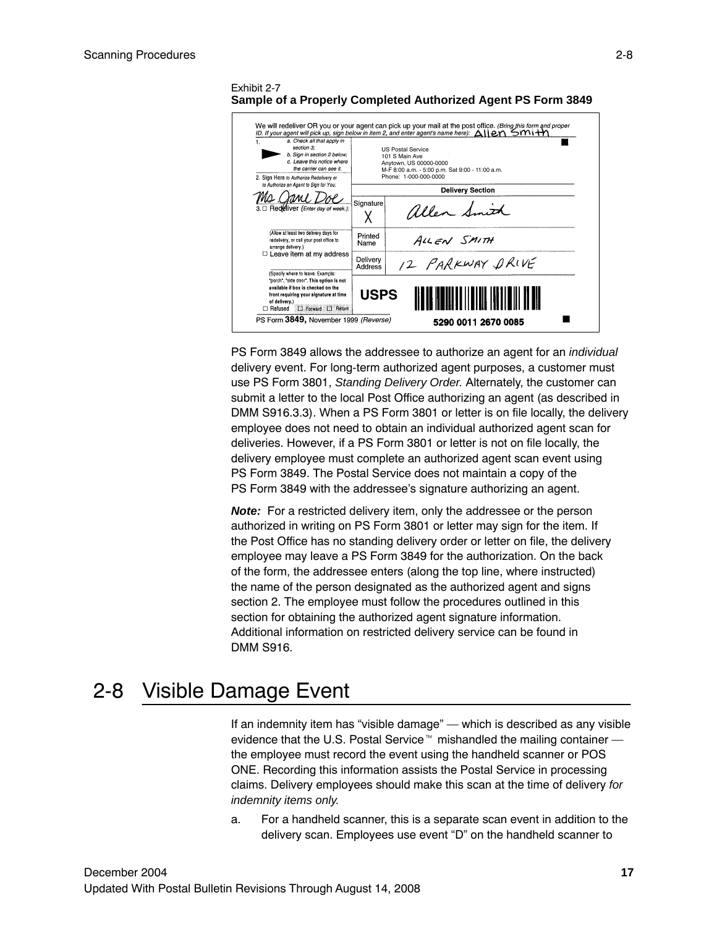| a. Check all that apply in<br>section 3:<br>b. Sign in section 2 below;<br>c. Leave this notice where<br>the carrier can see it.<br>2. Sign Here to Authorize Redelivery or                                            | ID. If your agent will pick up, sign below in item 2, and enter agent's name here): $\triangle$ is $en \cap \cdots$<br><b>US Postal Service</b><br>101 S Main Ave<br>Anvtown, US 00000-0000<br>M-F 8:00 a.m. - 5:00 p.m. Sat 9:00 - 11:00 a.m.<br>Phone: 1-000-000-0000 |                         |  |
|------------------------------------------------------------------------------------------------------------------------------------------------------------------------------------------------------------------------|-------------------------------------------------------------------------------------------------------------------------------------------------------------------------------------------------------------------------------------------------------------------------|-------------------------|--|
| to Authorize an Agent to Sign for You:                                                                                                                                                                                 |                                                                                                                                                                                                                                                                         | <b>Delivery Section</b> |  |
| 3. [ Redeliver (Enter day of week.):                                                                                                                                                                                   | Signature                                                                                                                                                                                                                                                               | allen Smith             |  |
| (Allow at least two delivery days for<br>redelivery, or call your post office to<br>arrange delivery.)                                                                                                                 | Printed<br>Name                                                                                                                                                                                                                                                         | ALLEN SMITH             |  |
| $\Box$ Leave item at my address                                                                                                                                                                                        | Delivery<br>Address                                                                                                                                                                                                                                                     | 12 PARKWAY DRIVE        |  |
| (Specify where to leave. Example:<br>"porch", "side door". This option is not<br>available if box is checked on the<br>front requiring your signature at time<br>of delivery.)<br>D Forward D Return<br>$\Box$ Refused | <b>USPS</b>                                                                                                                                                                                                                                                             |                         |  |

<span id="page-26-0"></span>Exhibit 2-7 **Sample of a Properly Completed Authorized Agent PS Form 3849**

PS Form 3849 allows the addressee to authorize an agent for an *individual* delivery event. For long-term authorized agent purposes, a customer must use PS Form 3801, *Standing Delivery Order.* Alternately, the customer can submit a letter to the local Post Office authorizing an agent (as described in DMM S916.3.3). When a PS Form 3801 or letter is on file locally, the delivery employee does not need to obtain an individual authorized agent scan for deliveries. However, if a PS Form 3801 or letter is not on file locally, the delivery employee must complete an authorized agent scan event using PS Form 3849. The Postal Service does not maintain a copy of the PS Form 3849 with the addressee's signature authorizing an agent.

*Note:* For a restricted delivery item, only the addressee or the person authorized in writing on PS Form 3801 or letter may sign for the item. If the Post Office has no standing delivery order or letter on file, the delivery employee may leave a PS Form 3849 for the authorization. On the back of the form, the addressee enters (along the top line, where instructed) the name of the person designated as the authorized agent and signs section 2. The employee must follow the procedures outlined in this section for obtaining the authorized agent signature information. Additional information on restricted delivery service can be found in DMM S916.

# 2-8 Visible Damage Event

If an indemnity item has "visible damage" — which is described as any visible evidence that the U.S. Postal Service™ mishandled the mailing container the employee must record the event using the handheld scanner or POS ONE. Recording this information assists the Postal Service in processing claims. Delivery employees should make this scan at the time of delivery *for indemnity items only.*

a. For a handheld scanner, this is a separate scan event in addition to the delivery scan. Employees use event "D" on the handheld scanner to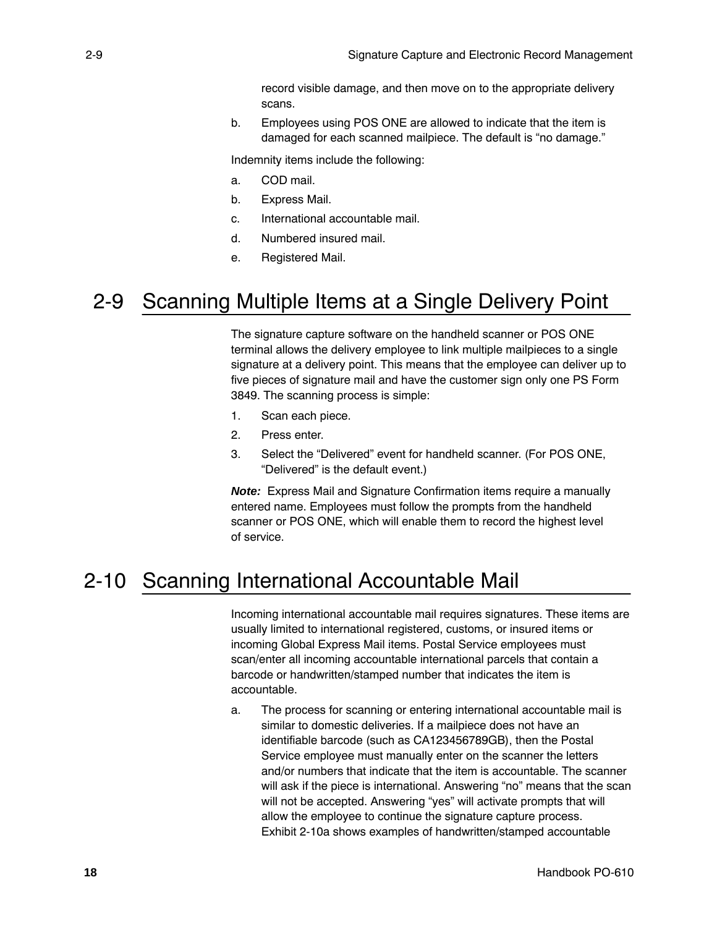record visible damage, and then move on to the appropriate delivery scans.

<span id="page-27-0"></span>b. Employees using POS ONE are allowed to indicate that the item is damaged for each scanned mailpiece. The default is "no damage."

Indemnity items include the following:

- a. COD mail.
- b. Express Mail.
- c. International accountable mail.
- d. Numbered insured mail.
- e. Registered Mail.

# 2-9 Scanning Multiple Items at a Single Delivery Point

The signature capture software on the handheld scanner or POS ONE terminal allows the delivery employee to link multiple mailpieces to a single signature at a delivery point. This means that the employee can deliver up to five pieces of signature mail and have the customer sign only one PS Form 3849. The scanning process is simple:

- 1. Scan each piece.
- 2. Press enter.
- 3. Select the "Delivered" event for handheld scanner. (For POS ONE, "Delivered" is the default event.)

*Note:*Express Mail and Signature Confirmation items require a manually entered name. Employees must follow the prompts from the handheld scanner or POS ONE, which will enable them to record the highest level of service.

# 2-10 Scanning International Accountable Mail

Incoming international accountable mail requires signatures. These items are usually limited to international registered, customs, or insured items or incoming Global Express Mail items. Postal Service employees must scan/enter all incoming accountable international parcels that contain a barcode or handwritten/stamped number that indicates the item is accountable.

a. The process for scanning or entering international accountable mail is similar to domestic deliveries. If a mailpiece does not have an identifiable barcode (such as CA123456789GB), then the Postal Service employee must manually enter on the scanner the letters and/or numbers that indicate that the item is accountable. The scanner will ask if the piece is international. Answering "no" means that the scan will not be accepted. Answering "yes" will activate prompts that will allow the employee to continue the signature capture process. Exhibit 2-10a shows examples of handwritten/stamped accountable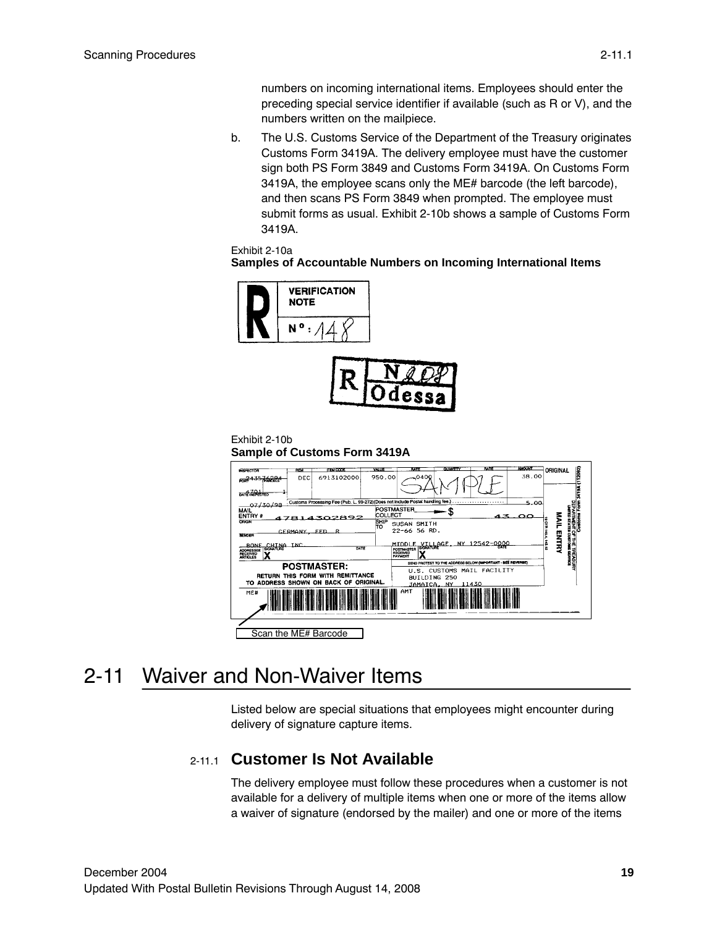numbers on incoming international items. Employees should enter the preceding special service identifier if available (such as R or V), and the numbers written on the mailpiece.

<span id="page-28-0"></span>b. The U.S. Customs Service of the Department of the Treasury originates Customs Form 3419A. The delivery employee must have the customer sign both PS Form 3849 and Customs Form 3419A. On Customs Form 3419A, the employee scans only the ME# barcode (the left barcode), and then scans PS Form 3849 when prompted. The employee must submit forms as usual. Exhibit 2-10b shows a sample of Customs Form 3419A.

#### Exhibit 2-10a

```
Samples of Accountable Numbers on Incoming International Items
```




Exhibit 2-10b **Sample of Customs Form 3419A**



# 2-11 Waiver and Non-Waiver Items

Listed below are special situations that employees might encounter during delivery of signature capture items.

## 2-11.1 **Customer Is Not Available**

The delivery employee must follow these procedures when a customer is not available for a delivery of multiple items when one or more of the items allow a waiver of signature (endorsed by the mailer) and one or more of the items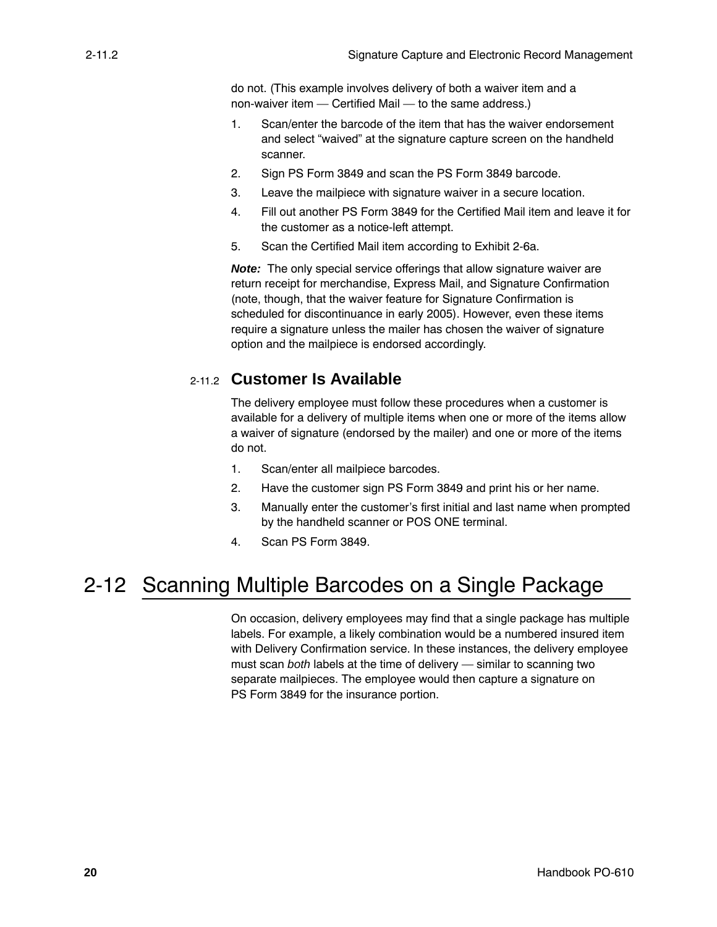<span id="page-29-0"></span>do not. (This example involves delivery of both a waiver item and a non-waiver item — Certified Mail — to the same address.)

- 1. Scan/enter the barcode of the item that has the waiver endorsement and select "waived" at the signature capture screen on the handheld scanner.
- 2. Sign PS Form 3849 and scan the PS Form 3849 barcode.
- 3. Leave the mailpiece with signature waiver in a secure location.
- 4. Fill out another PS Form 3849 for the Certified Mail item and leave it for the customer as a notice-left attempt.
- 5. Scan the Certified Mail item according to Exhibit 2-6a.

**Note:** The only special service offerings that allow signature waiver are return receipt for merchandise, Express Mail, and Signature Confirmation (note, though, that the waiver feature for Signature Confirmation is scheduled for discontinuance in early 2005). However, even these items require a signature unless the mailer has chosen the waiver of signature option and the mailpiece is endorsed accordingly.

## 2-11.2 **Customer Is Available**

The delivery employee must follow these procedures when a customer is available for a delivery of multiple items when one or more of the items allow a waiver of signature (endorsed by the mailer) and one or more of the items do not.

- 1. Scan/enter all mailpiece barcodes.
- 2. Have the customer sign PS Form 3849 and print his or her name.
- 3. Manually enter the customer's first initial and last name when prompted by the handheld scanner or POS ONE terminal.
- 4. Scan PS Form 3849.

# 2-12 Scanning Multiple Barcodes on a Single Package

On occasion, delivery employees may find that a single package has multiple labels. For example, a likely combination would be a numbered insured item with Delivery Confirmation service. In these instances, the delivery employee must scan *both* labels at the time of delivery — similar to scanning two separate mailpieces. The employee would then capture a signature on PS Form 3849 for the insurance portion.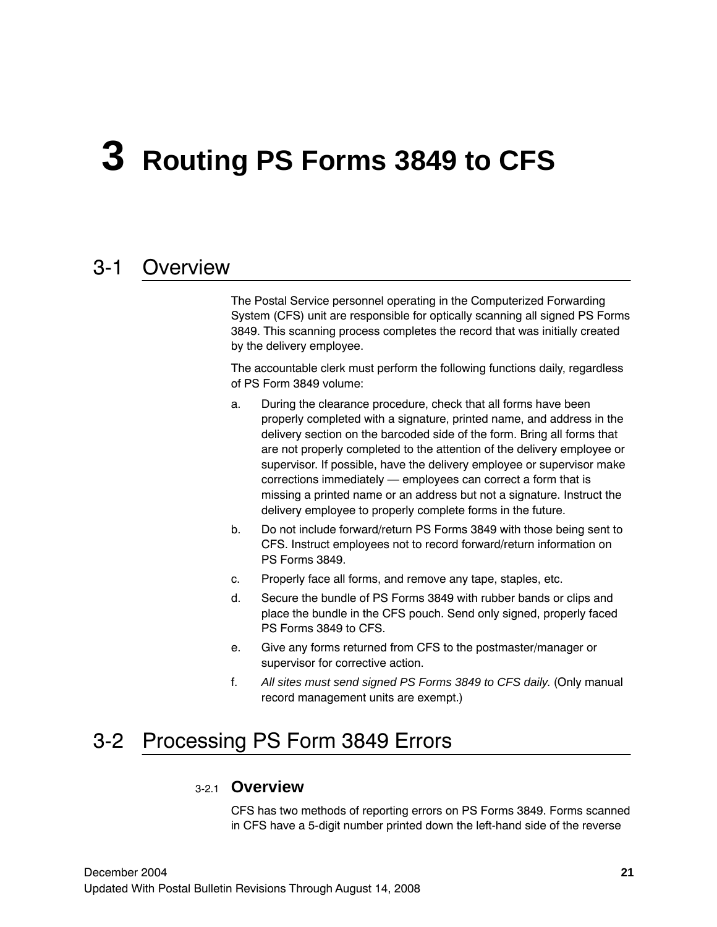# <span id="page-30-0"></span>**3 Routing PS Forms 3849 to CFS**

## 3-1 Overview

The Postal Service personnel operating in the Computerized Forwarding System (CFS) unit are responsible for optically scanning all signed PS Forms 3849. This scanning process completes the record that was initially created by the delivery employee.

The accountable clerk must perform the following functions daily, regardless of PS Form 3849 volume:

- a. During the clearance procedure, check that all forms have been properly completed with a signature, printed name, and address in the delivery section on the barcoded side of the form. Bring all forms that are not properly completed to the attention of the delivery employee or supervisor. If possible, have the delivery employee or supervisor make corrections immediately — employees can correct a form that is missing a printed name or an address but not a signature. Instruct the delivery employee to properly complete forms in the future.
- b. Do not include forward/return PS Forms 3849 with those being sent to CFS. Instruct employees not to record forward/return information on PS Forms 3849.
- c. Properly face all forms, and remove any tape, staples, etc.
- d. Secure the bundle of PS Forms 3849 with rubber bands or clips and place the bundle in the CFS pouch. Send only signed, properly faced PS Forms 3849 to CFS.
- e. Give any forms returned from CFS to the postmaster/manager or supervisor for corrective action.
- f. *All sites must send signed PS Forms 3849 to CFS daily*. (Only manual record management units are exempt.)

# 3-2 Processing PS Form 3849 Errors

#### 3-2.1 **Overview**

CFS has two methods of reporting errors on PS Forms 3849. Forms scanned in CFS have a 5-digit number printed down the left-hand side of the reverse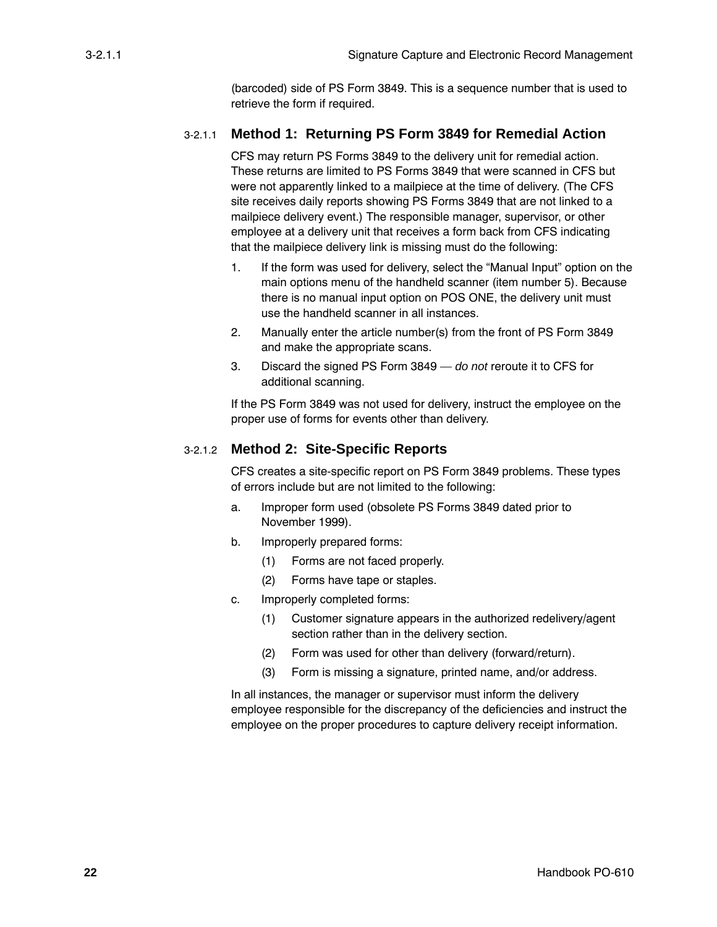(barcoded) side of PS Form 3849. This is a sequence number that is used to retrieve the form if required.

#### <span id="page-31-0"></span>3-2.1.1 **Method 1: Returning PS Form 3849 for Remedial Action**

CFS may return PS Forms 3849 to the delivery unit for remedial action. These returns are limited to PS Forms 3849 that were scanned in CFS but were not apparently linked to a mailpiece at the time of delivery. (The CFS site receives daily reports showing PS Forms 3849 that are not linked to a mailpiece delivery event.) The responsible manager, supervisor, or other employee at a delivery unit that receives a form back from CFS indicating that the mailpiece delivery link is missing must do the following:

- 1. If the form was used for delivery, select the "Manual Input" option on the main options menu of the handheld scanner (item number 5). Because there is no manual input option on POS ONE, the delivery unit must use the handheld scanner in all instances.
- 2. Manually enter the article number(s) from the front of PS Form 3849 and make the appropriate scans.
- 3. Discard the signed PS Form 3849 *do not* reroute it to CFS for additional scanning.

If the PS Form 3849 was not used for delivery, instruct the employee on the proper use of forms for events other than delivery.

#### 3-2.1.2 **Method 2: Site-Specific Reports**

CFS creates a site-specific report on PS Form 3849 problems. These types of errors include but are not limited to the following:

- a. Improper form used (obsolete PS Forms 3849 dated prior to November 1999).
- b. Improperly prepared forms:
	- (1) Forms are not faced properly.
	- (2) Forms have tape or staples.
- c. Improperly completed forms:
	- (1) Customer signature appears in the authorized redelivery/agent section rather than in the delivery section.
	- (2) Form was used for other than delivery (forward/return).
	- (3) Form is missing a signature, printed name, and/or address.

In all instances, the manager or supervisor must inform the delivery employee responsible for the discrepancy of the deficiencies and instruct the employee on the proper procedures to capture delivery receipt information.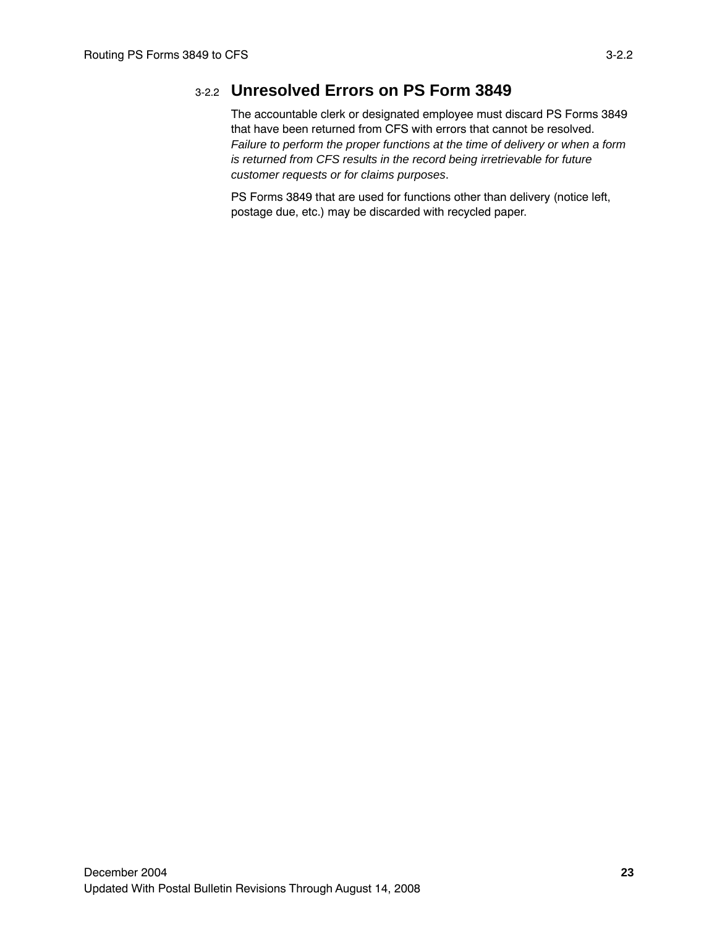## <span id="page-32-0"></span>3-2.2 **Unresolved Errors on PS Form 3849**

The accountable clerk or designated employee must discard PS Forms 3849 that have been returned from CFS with errors that cannot be resolved. *Failure to perform the proper functions at the time of delivery or when a form is returned from CFS results in the record being irretrievable for future customer requests or for claims purposes*.

PS Forms 3849 that are used for functions other than delivery (notice left, postage due, etc.) may be discarded with recycled paper.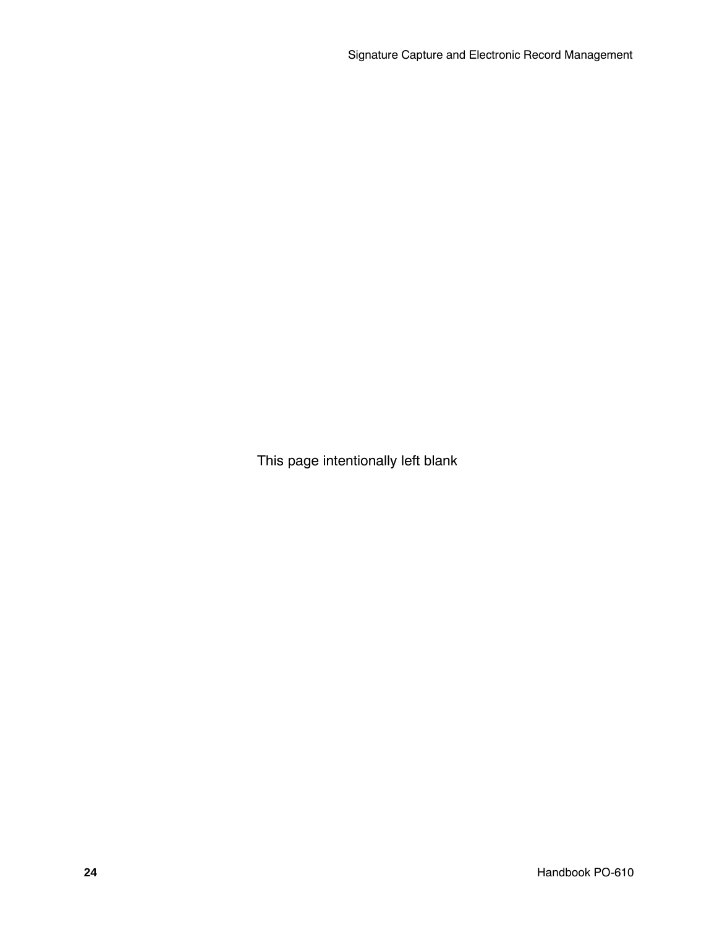This page intentionally left blank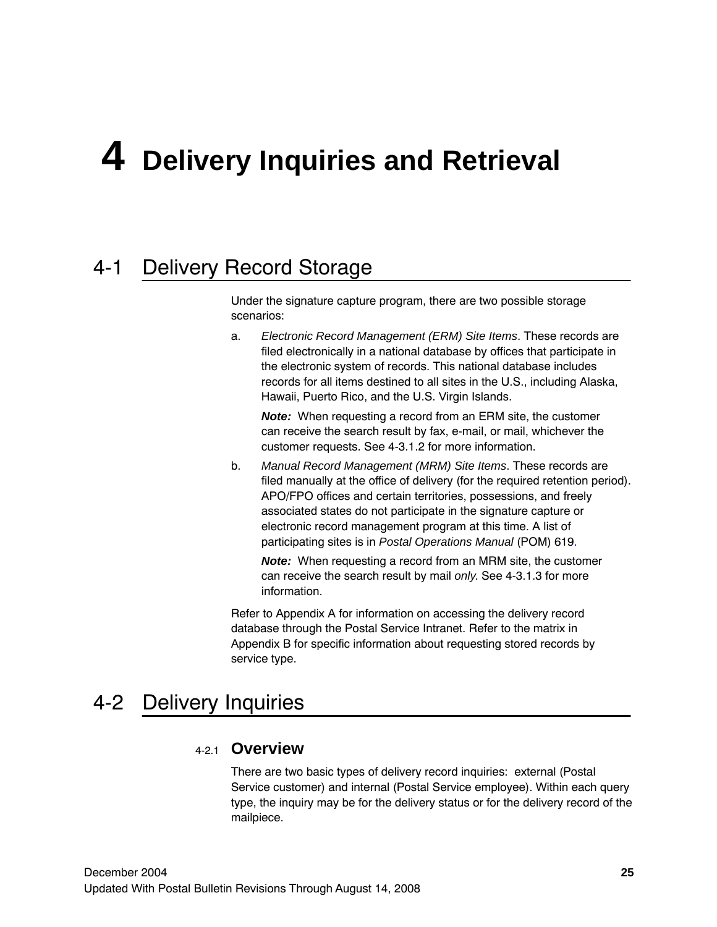# <span id="page-34-0"></span>**4 Delivery Inquiries and Retrieval**

# 4-1 Delivery Record Storage

Under the signature capture program, there are two possible storage scenarios:

a. *Electronic Record Management (ERM) Site Items*. These records are filed electronically in a national database by offices that participate in the electronic system of records. This national database includes records for all items destined to all sites in the U.S., including Alaska, Hawaii, Puerto Rico, and the U.S. Virgin Islands.

*Note:* When requesting a record from an ERM site, the customer can receive the search result by fax, e-mail, or mail, whichever the customer requests. See 4-3.1.2 for more information.

b. *Manual Record Management (MRM) Site Items*. These records are filed manually at the office of delivery (for the required retention period). APO/FPO offices and certain territories, possessions, and freely associated states do not participate in the signature capture or electronic record management program at this time. A list of participating sites is in *Postal Operations Manual* (POM) 619.

*Note:* When requesting a record from an MRM site, the customer can receive the search result by mail *only*. See 4-3.1.3 for more information.

Refer to Appendix A for information on accessing the delivery record database through the Postal Service Intranet. Refer to the matrix in Appendix B for specific information about requesting stored records by service type.

# 4-2 Delivery Inquiries

## 4-2.1 **Overview**

There are two basic types of delivery record inquiries: external (Postal Service customer) and internal (Postal Service employee). Within each query type, the inquiry may be for the delivery status or for the delivery record of the mailpiece.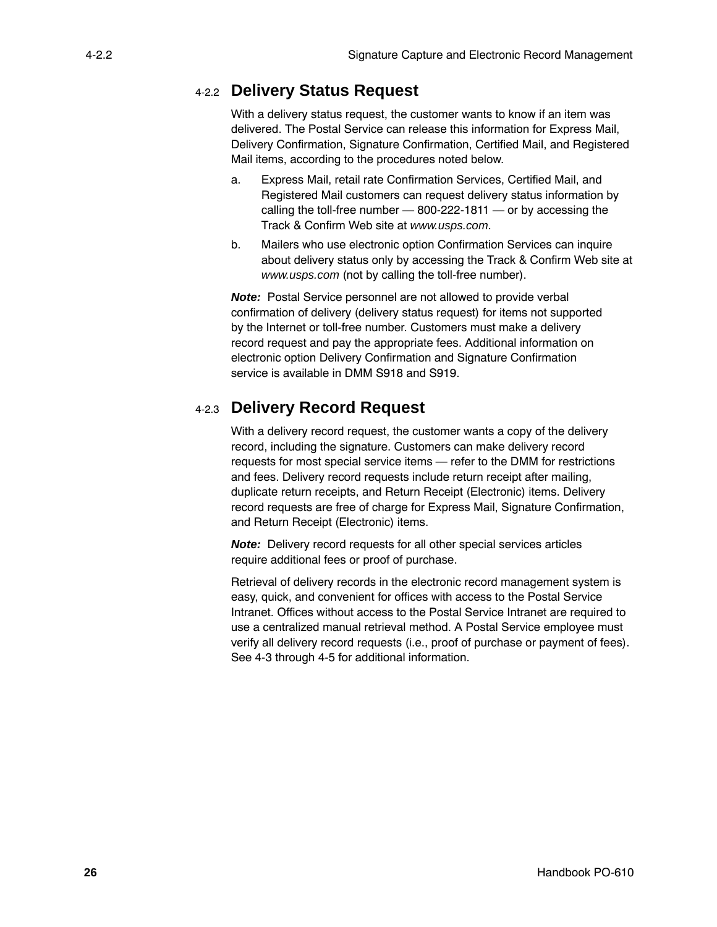#### <span id="page-35-0"></span>4-2.2 **Delivery Status Request**

With a delivery status request, the customer wants to know if an item was delivered. The Postal Service can release this information for Express Mail, Delivery Confirmation, Signature Confirmation, Certified Mail, and Registered Mail items, according to the procedures noted below.

- a. Express Mail, retail rate Confirmation Services, Certified Mail, and Registered Mail customers can request delivery status information by calling the toll-free number — 800-222-1811 — or by accessing the Track & Confirm Web site at *www.usps.com*.
- b. Mailers who use electronic option Confirmation Services can inquire about delivery status only by accessing the Track & Confirm Web site at *www.usps.com* (not by calling the toll-free number).

**Note:** Postal Service personnel are not allowed to provide verbal confirmation of delivery (delivery status request) for items not supported by the Internet or toll-free number. Customers must make a delivery record request and pay the appropriate fees. Additional information on electronic option Delivery Confirmation and Signature Confirmation service is available in DMM S918 and S919.

#### 4-2.3 **Delivery Record Request**

With a delivery record request, the customer wants a copy of the delivery record, including the signature. Customers can make delivery record requests for most special service items — refer to the DMM for restrictions and fees. Delivery record requests include return receipt after mailing, duplicate return receipts, and Return Receipt (Electronic) items. Delivery record requests are free of charge for Express Mail, Signature Confirmation, and Return Receipt (Electronic) items.

*Note:* Delivery record requests for all other special services articles require additional fees or proof of purchase.

Retrieval of delivery records in the electronic record management system is easy, quick, and convenient for offices with access to the Postal Service Intranet. Offices without access to the Postal Service Intranet are required to use a centralized manual retrieval method. A Postal Service employee must verify all delivery record requests (i.e., proof of purchase or payment of fees). See 4-3 through 4-5 for additional information.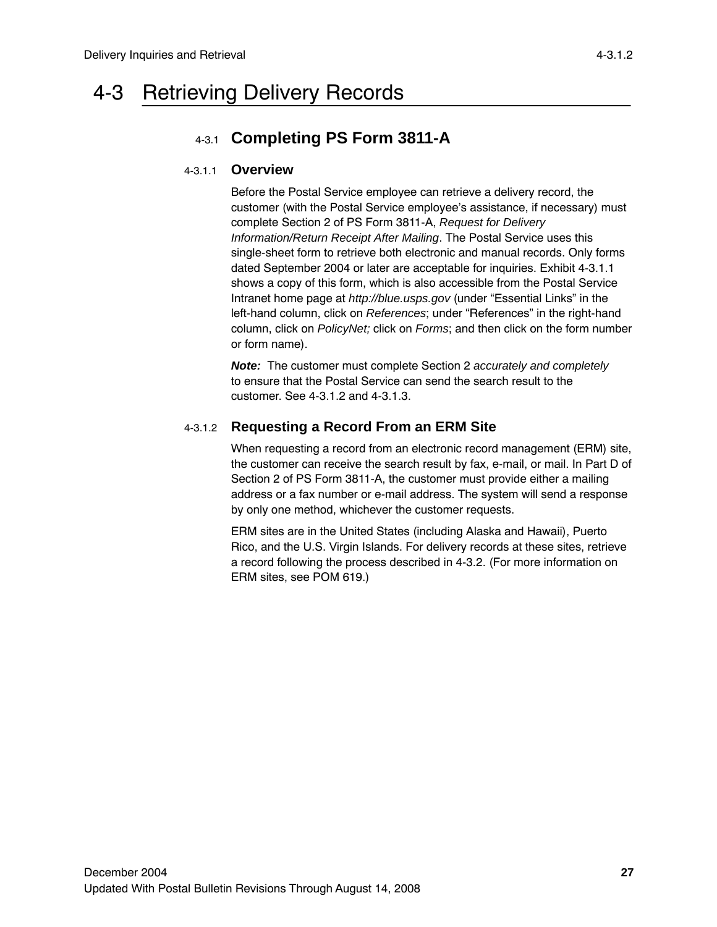# <span id="page-36-0"></span>4-3 Retrieving Delivery Records

## 4-3.1 **Completing PS Form 3811-A**

#### 4-3.1.1 **Overview**

Before the Postal Service employee can retrieve a delivery record, the customer (with the Postal Service employee's assistance, if necessary) must complete Section 2 of PS Form 3811-A, *Request for Delivery Information/Return Receipt After Mailing*. The Postal Service uses this single-sheet form to retrieve both electronic and manual records. Only forms dated September 2004 or later are acceptable for inquiries. Exhibit 4-3.1.1 shows a copy of this form, which is also accessible from the Postal Service Intranet home page at *http://blue.usps.gov* (under "Essential Links" in the left-hand column, click on *References*; under "References" in the right-hand column, click on *PolicyNet;* click on *Forms*; and then click on the form number or form name).

*Note:*The customer must complete Section 2 *accurately and completely* to ensure that the Postal Service can send the search result to the customer. See 4-3.1.2 and 4-3.1.3.

#### 4-3.1.2 **Requesting a Record From an ERM Site**

When requesting a record from an electronic record management (ERM) site, the customer can receive the search result by fax, e-mail, or mail. In Part D of Section 2 of PS Form 3811-A, the customer must provide either a mailing address or a fax number or e-mail address. The system will send a response by only one method, whichever the customer requests.

ERM sites are in the United States (including Alaska and Hawaii), Puerto Rico, and the U.S. Virgin Islands. For delivery records at these sites, retrieve a record following the process described in 4-3.2. (For more information on ERM sites, see POM 619.)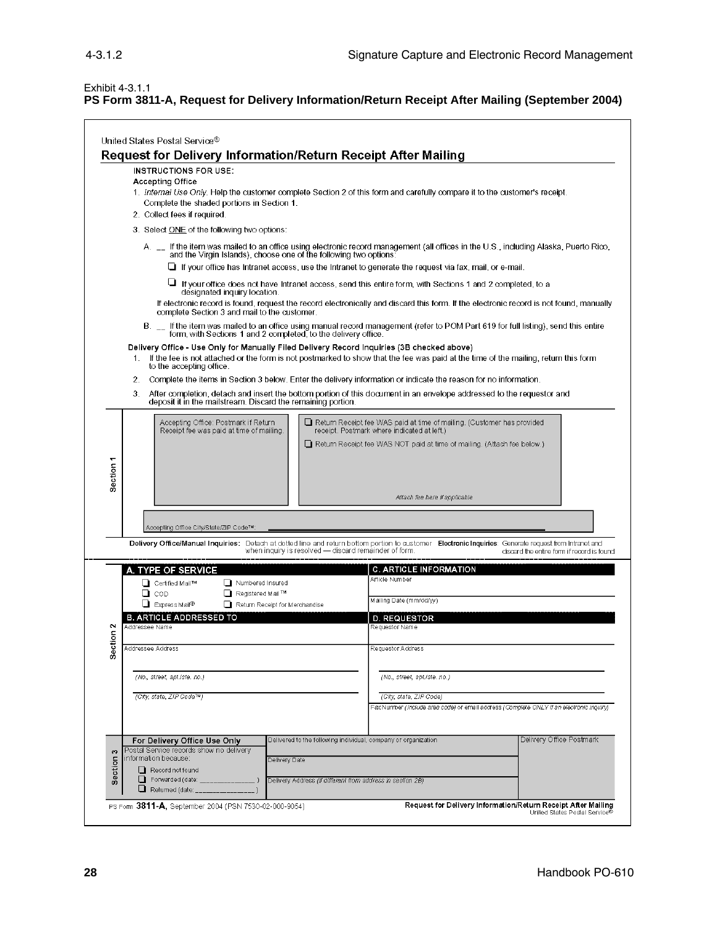#### <span id="page-37-0"></span>Exhibit 4-3.1.1 **PS Form 3811-A, Request for Delivery Information/Return Receipt After Mailing (September 2004)**

|                         | <b>Request for Delivery Information/Return Receipt After Mailing</b><br><b>INSTRUCTIONS FOR USE:</b>                              |                                                                                                                                                                                                                                                        |
|-------------------------|-----------------------------------------------------------------------------------------------------------------------------------|--------------------------------------------------------------------------------------------------------------------------------------------------------------------------------------------------------------------------------------------------------|
|                         | <b>Accepting Office</b><br>Complete the shaded portions in Section 1.<br>2. Collect fees if required.                             | 1. Internal Use Only. Help the customer complete Section 2 of this form and carefully compare it to the customer's receipt.                                                                                                                            |
|                         | 3. Select ONE of the following two options:                                                                                       |                                                                                                                                                                                                                                                        |
|                         | and the Virgin Islands), choose one of the following two options.                                                                 | A. __ If the item was mailed to an office using electronic record management (all offices in the U.S., including Alaska, Puerto Rico,<br>$\Box$ If your office has Intranet access, use the Intranet to generate the request via fax, mail, or e-mail. |
|                         |                                                                                                                                   | If your office does not have Intranet access, send this entire form, with Sections 1 and 2 completed, to a                                                                                                                                             |
|                         | designated inquiry location.<br>complete Section 3 and mail to the customer.                                                      | If electronic record is found, request the record electronically and discard this form. If the electronic record is not found, manually                                                                                                                |
|                         | form, with Sections 1 and 2 completed, to the delivery office.                                                                    | B. __ If the item was mailed to an office using manual record management (refer to POM Part 619 for full listing), send this entire                                                                                                                    |
|                         | Delivery Office - Use Only for Manually Filed Delivery Record Inquiries (3B checked above)<br>$1_{-}$<br>to the accepting office. | If the fee is not attached or the form is not postmarked to show that the fee was paid at the time of the mailing, return this form                                                                                                                    |
|                         | 2.                                                                                                                                | Complete the items in Section 3 below. Enter the delivery information or indicate the reason for no information.                                                                                                                                       |
|                         | 3.<br>deposit it in the mailstream. Discard the remaining portion.                                                                | After completion, detach and insert the bottom portion of this document in an envelope addressed to the requestor and                                                                                                                                  |
|                         |                                                                                                                                   |                                                                                                                                                                                                                                                        |
| Section 1               |                                                                                                                                   | Attach fee here if applicable                                                                                                                                                                                                                          |
|                         | Accepting Office City/State/ZIP Code™                                                                                             |                                                                                                                                                                                                                                                        |
|                         | Delivery Office/Manual Inquiries:<br>when inquiry is resolved - discard remainder of form.                                        | Detach at dotted line and return bottom portion to customer Electronic Inquiries: Generate request from Intranet and<br>discard the entire form if record is found.                                                                                    |
|                         | A. TYPE OF SERVICE                                                                                                                | <b>C. ARTICLE INFORMATION</b>                                                                                                                                                                                                                          |
|                         | □ Certified Mail™<br>Numbered Insured                                                                                             | Article Number                                                                                                                                                                                                                                         |
|                         | □ сор<br>Registered Mail <sup>TM</sup><br>Express Mail <sup>®</sup><br>Return Receipt for Merchandise                             | Mailing Date (mm/dd/w)                                                                                                                                                                                                                                 |
| N                       | <b>B. ARTICLE ADDRESSED TO</b><br>Addressee Name                                                                                  | <b>D. REQUESTOR</b><br>Requestor Name                                                                                                                                                                                                                  |
| $\overline{5}$<br>Secti | Addressee Address                                                                                                                 | Requestor Address                                                                                                                                                                                                                                      |
|                         | (No., street, apt./ste. no.)                                                                                                      | (No., street, apt/ste. no.)                                                                                                                                                                                                                            |
|                         | (City, state, ZIP Code™)                                                                                                          | (City, state, ZIP Gode)                                                                                                                                                                                                                                |
|                         |                                                                                                                                   | Fax Number (Include area code) or email address (Complete ONLY if an electronic inquiry)                                                                                                                                                               |
|                         | For Delivery Office Use Only                                                                                                      | Delivery Office Postmark<br>Delivered to the following individual, company or organization                                                                                                                                                             |
| S<br>Section            | Postal Service records show no delivery<br>information because:<br>Delivery Date<br>Record not found                              |                                                                                                                                                                                                                                                        |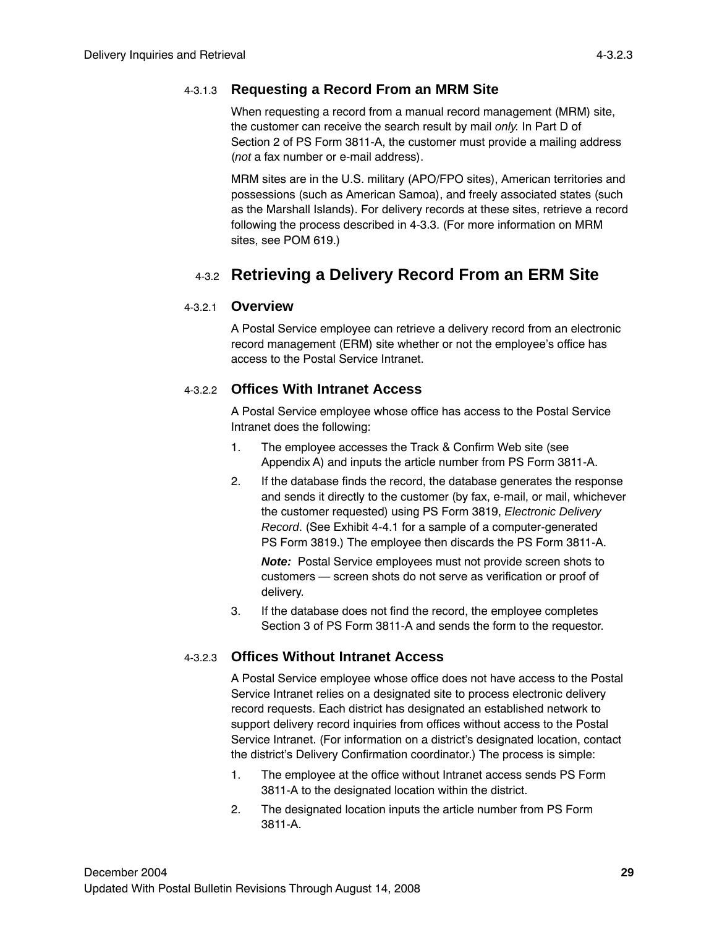#### <span id="page-38-0"></span>4-3.1.3 **Requesting a Record From an MRM Site**

When requesting a record from a manual record management (MRM) site, the customer can receive the search result by mail *only.* In Part D of Section 2 of PS Form 3811-A, the customer must provide a mailing address (*not* a fax number or e-mail address).

MRM sites are in the U.S. military (APO/FPO sites), American territories and possessions (such as American Samoa), and freely associated states (such as the Marshall Islands). For delivery records at these sites, retrieve a record following the process described in 4-3.3. (For more information on MRM sites, see POM 619.)

## 4-3.2 **Retrieving a Delivery Record From an ERM Site**

#### 4-3.2.1 **Overview**

A Postal Service employee can retrieve a delivery record from an electronic record management (ERM) site whether or not the employee's office has access to the Postal Service Intranet.

#### 4-3.2.2 **Offices With Intranet Access**

A Postal Service employee whose office has access to the Postal Service Intranet does the following:

- 1. The employee accesses the Track & Confirm Web site (see Appendix A) and inputs the article number from PS Form 3811-A.
- 2. If the database finds the record, the database generates the response and sends it directly to the customer (by fax, e-mail, or mail, whichever the customer requested) using PS Form 3819, *Electronic Delivery Record*. (See Exhibit 4-4.1 for a sample of a computer-generated PS Form 3819.) The employee then discards the PS Form 3811-A.

*Note:* Postal Service employees must not provide screen shots to customers — screen shots do not serve as verification or proof of delivery.

3. If the database does not find the record, the employee completes Section 3 of PS Form 3811-A and sends the form to the requestor.

## 4-3.2.3 **Offices Without Intranet Access**

A Postal Service employee whose office does not have access to the Postal Service Intranet relies on a designated site to process electronic delivery record requests. Each district has designated an established network to support delivery record inquiries from offices without access to the Postal Service Intranet. (For information on a district's designated location, contact the district's Delivery Confirmation coordinator.) The process is simple:

- 1. The employee at the office without Intranet access sends PS Form 3811-A to the designated location within the district.
- 2. The designated location inputs the article number from PS Form 3811-A.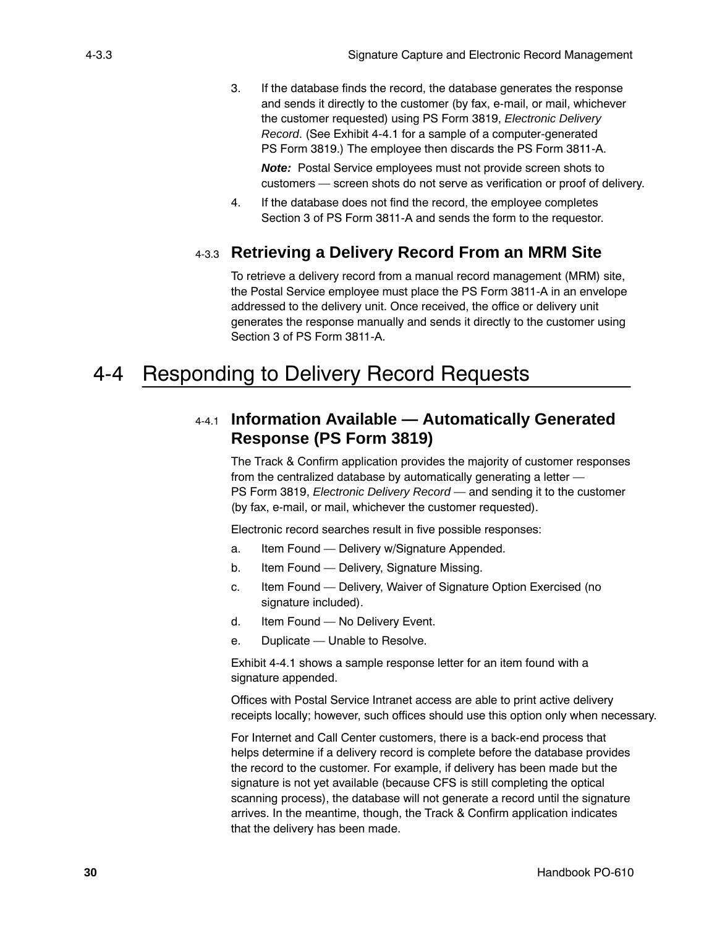<span id="page-39-0"></span>3. If the database finds the record, the database generates the response and sends it directly to the customer (by fax, e-mail, or mail, whichever the customer requested) using PS Form 3819, *Electronic Delivery Record*. (See Exhibit 4-4.1 for a sample of a computer-generated PS Form 3819.) The employee then discards the PS Form 3811-A.

*Note:* Postal Service employees must not provide screen shots to customers — screen shots do not serve as verification or proof of delivery.

4. If the database does not find the record, the employee completes Section 3 of PS Form 3811-A and sends the form to the requestor.

#### 4-3.3 **Retrieving a Delivery Record From an MRM Site**

To retrieve a delivery record from a manual record management (MRM) site, the Postal Service employee must place the PS Form 3811-A in an envelope addressed to the delivery unit. Once received, the office or delivery unit generates the response manually and sends it directly to the customer using Section 3 of PS Form 3811-A.

# 4-4 Responding to Delivery Record Requests

## 4-4.1 **Information Available — Automatically Generated Response (PS Form 3819)**

The Track & Confirm application provides the majority of customer responses from the centralized database by automatically generating a letter — PS Form 3819, *Electronic Delivery Record* — and sending it to the customer (by fax, e-mail, or mail, whichever the customer requested).

Electronic record searches result in five possible responses:

- a. Item Found Delivery w/Signature Appended.
- b. Item Found Delivery, Signature Missing.
- c. Item Found Delivery, Waiver of Signature Option Exercised (no signature included).
- d. Item Found No Delivery Event.
- e. Duplicate Unable to Resolve.

Exhibit 4-4.1 shows a sample response letter for an item found with a signature appended.

Offices with Postal Service Intranet access are able to print active delivery receipts locally; however, such offices should use this option only when necessary.

For Internet and Call Center customers, there is a back-end process that helps determine if a delivery record is complete before the database provides the record to the customer. For example, if delivery has been made but the signature is not yet available (because CFS is still completing the optical scanning process), the database will not generate a record until the signature arrives. In the meantime, though, the Track & Confirm application indicates that the delivery has been made.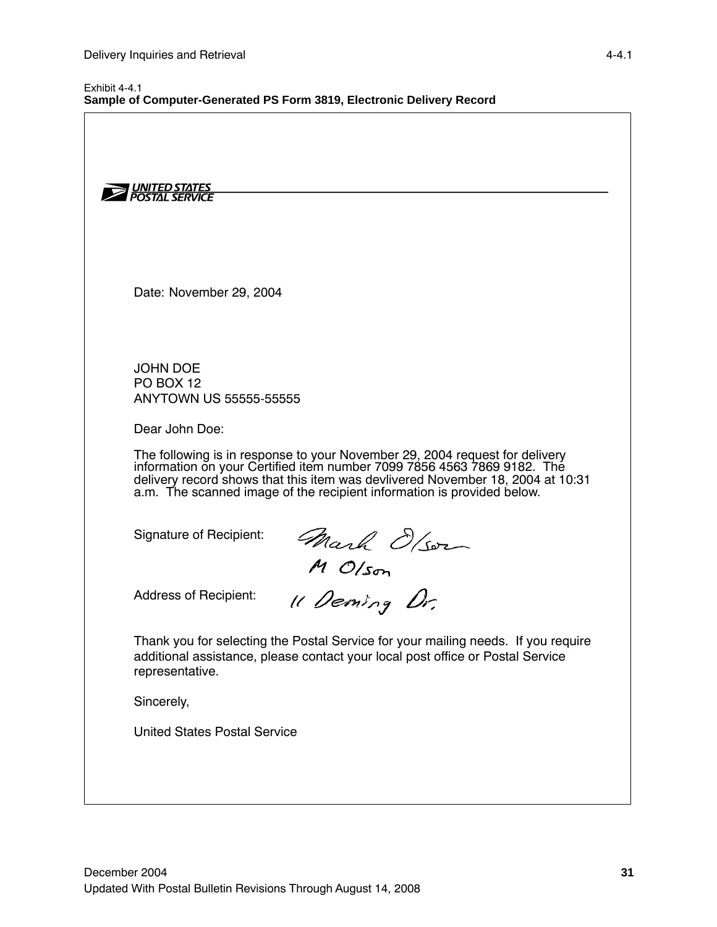<span id="page-40-0"></span>**EXAMPLED STATES** Date: November 29, 2004 JOHN DOE PO BOX 12 ANYTOWN US 55555-55555 Dear John Doe: The following is in response to your November 29, 2004 request for delivery information on your Certified item number 7099 7856 4563 7869 9182. The delivery record shows that this item was devlivered November 18, 2004 at 10:31 a.m. The scanned image of the recipient information is provided below.Mark Olsor<br>M Olson<br>Il Deming Dr. Signature of Recipient: Address of Recipient: Thank you for selecting the Postal Service for your mailing needs. If you require additional assistance, please contact your local post office or Postal Service representative. Sincerely, United States Postal Service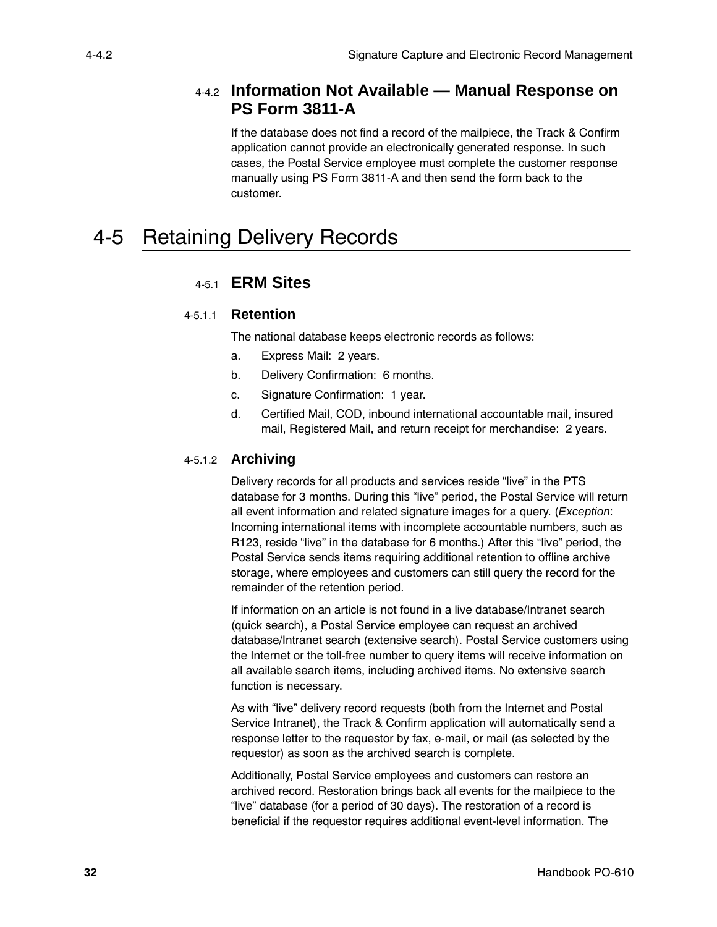## <span id="page-41-0"></span>4-4.2 **Information Not Available — Manual Response on PS Form 3811-A**

If the database does not find a record of the mailpiece, the Track & Confirm application cannot provide an electronically generated response. In such cases, the Postal Service employee must complete the customer response manually using PS Form 3811-A and then send the form back to the customer.

# 4-5 Retaining Delivery Records

#### 4-5.1 **ERM Sites**

#### 4-5.1.1 **Retention**

The national database keeps electronic records as follows:

- a. Express Mail: 2 years.
- b. Delivery Confirmation: 6 months.
- c. Signature Confirmation: 1 year.
- d. Certified Mail, COD, inbound international accountable mail, insured mail, Registered Mail, and return receipt for merchandise: 2 years.

#### 4-5.1.2 **Archiving**

Delivery records for all products and services reside "live" in the PTS database for 3 months. During this "live" period, the Postal Service will return all event information and related signature images for a query. (*Exception*: Incoming international items with incomplete accountable numbers, such as R123, reside "live" in the database for 6 months.) After this "live" period, the Postal Service sends items requiring additional retention to offline archive storage, where employees and customers can still query the record for the remainder of the retention period.

If information on an article is not found in a live database/Intranet search (quick search), a Postal Service employee can request an archived database/Intranet search (extensive search). Postal Service customers using the Internet or the toll-free number to query items will receive information on all available search items, including archived items. No extensive search function is necessary.

As with "live" delivery record requests (both from the Internet and Postal Service Intranet), the Track & Confirm application will automatically send a response letter to the requestor by fax, e-mail, or mail (as selected by the requestor) as soon as the archived search is complete.

Additionally, Postal Service employees and customers can restore an archived record. Restoration brings back all events for the mailpiece to the "live" database (for a period of 30 days). The restoration of a record is beneficial if the requestor requires additional event-level information. The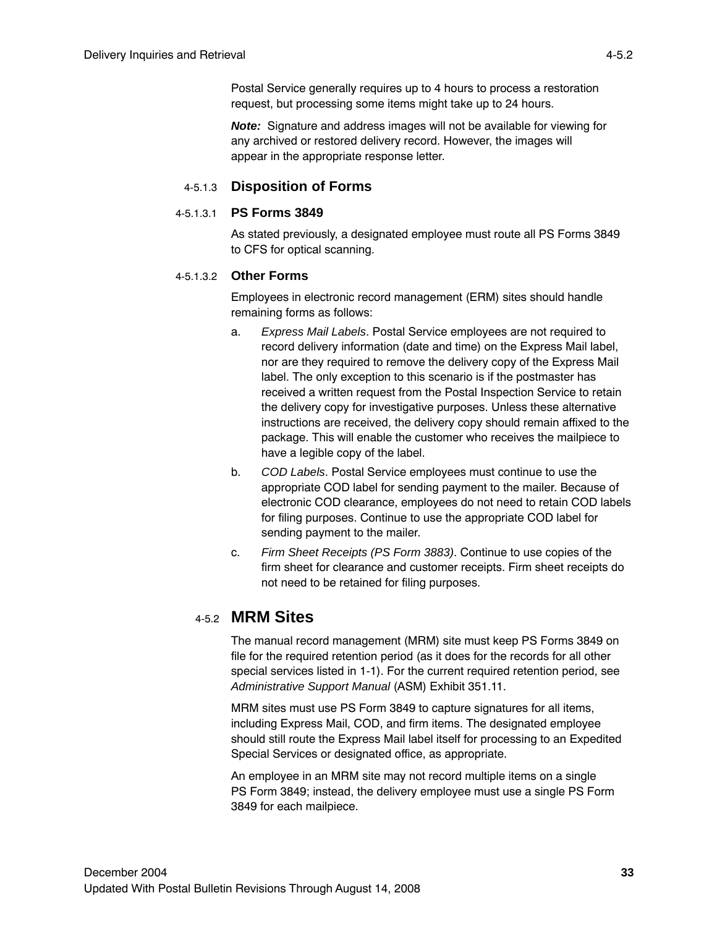<span id="page-42-0"></span>Postal Service generally requires up to 4 hours to process a restoration request, but processing some items might take up to 24 hours.

*Note:*Signature and address images will not be available for viewing for any archived or restored delivery record. However, the images will appear in the appropriate response letter.

#### 4-5.1.3 **Disposition of Forms**

#### 4-5.1.3.1 **PS Forms 3849**

As stated previously, a designated employee must route all PS Forms 3849 to CFS for optical scanning.

#### 4-5.1.3.2 **Other Forms**

Employees in electronic record management (ERM) sites should handle remaining forms as follows:

- a. *Express Mail Labels*. Postal Service employees are not required to record delivery information (date and time) on the Express Mail label, nor are they required to remove the delivery copy of the Express Mail label. The only exception to this scenario is if the postmaster has received a written request from the Postal Inspection Service to retain the delivery copy for investigative purposes. Unless these alternative instructions are received, the delivery copy should remain affixed to the package. This will enable the customer who receives the mailpiece to have a legible copy of the label.
- b. *COD Labels*. Postal Service employees must continue to use the appropriate COD label for sending payment to the mailer. Because of electronic COD clearance, employees do not need to retain COD labels for filing purposes. Continue to use the appropriate COD label for sending payment to the mailer.
- c. *Firm Sheet Receipts (PS Form 3883)*. Continue to use copies of the firm sheet for clearance and customer receipts. Firm sheet receipts do not need to be retained for filing purposes.

## 4-5.2 **MRM Sites**

The manual record management (MRM) site must keep PS Forms 3849 on file for the required retention period (as it does for the records for all other special services listed in 1-1). For the current required retention period, see *Administrative Support Manual* (ASM) Exhibit 351.11.

MRM sites must use PS Form 3849 to capture signatures for all items, including Express Mail, COD, and firm items. The designated employee should still route the Express Mail label itself for processing to an Expedited Special Services or designated office, as appropriate.

An employee in an MRM site may not record multiple items on a single PS Form 3849; instead, the delivery employee must use a single PS Form 3849 for each mailpiece.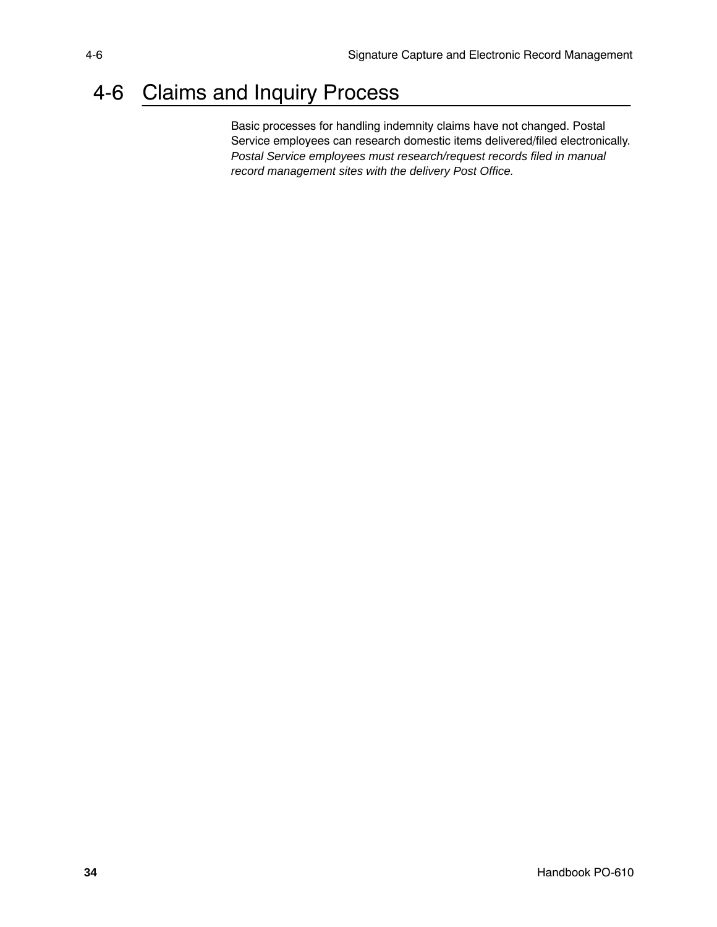# <span id="page-43-0"></span>4-6 Claims and Inquiry Process

Basic processes for handling indemnity claims have not changed. Postal Service employees can research domestic items delivered/filed electronically. *Postal Service employees must research/request records filed in manual record management sites with the delivery Post Office.*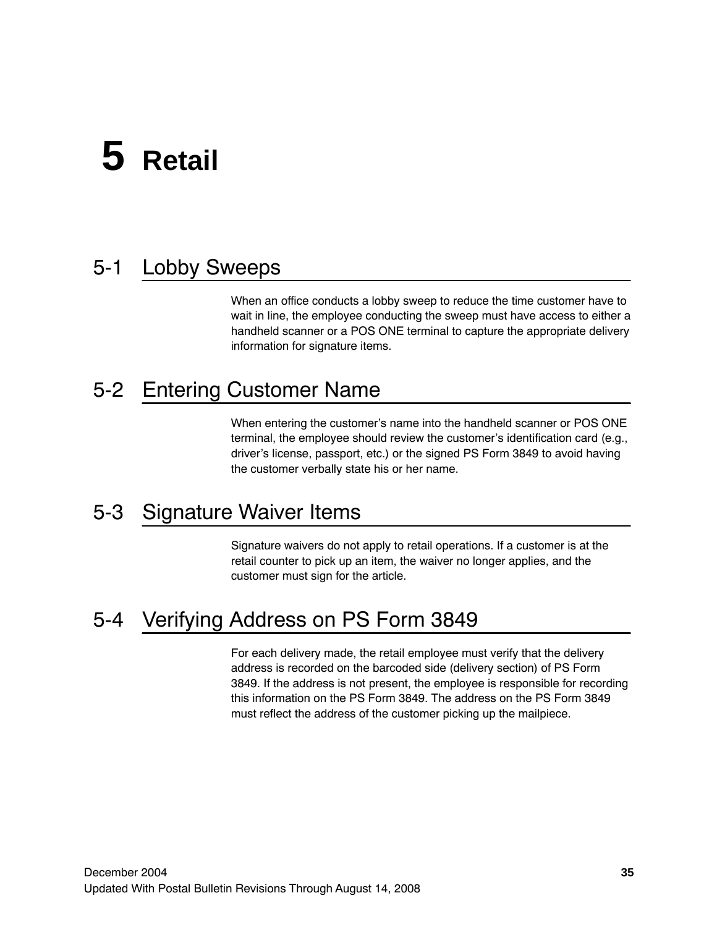# <span id="page-44-0"></span>**5 Retail**

# 5-1 Lobby Sweeps

When an office conducts a lobby sweep to reduce the time customer have to wait in line, the employee conducting the sweep must have access to either a handheld scanner or a POS ONE terminal to capture the appropriate delivery information for signature items.

# 5-2 Entering Customer Name

When entering the customer's name into the handheld scanner or POS ONE terminal, the employee should review the customer's identification card (e.g., driver's license, passport, etc.) or the signed PS Form 3849 to avoid having the customer verbally state his or her name.

## 5-3 Signature Waiver Items

Signature waivers do not apply to retail operations. If a customer is at the retail counter to pick up an item, the waiver no longer applies, and the customer must sign for the article.

# 5-4 Verifying Address on PS Form 3849

For each delivery made, the retail employee must verify that the delivery address is recorded on the barcoded side (delivery section) of PS Form 3849. If the address is not present, the employee is responsible for recording this information on the PS Form 3849. The address on the PS Form 3849 must reflect the address of the customer picking up the mailpiece.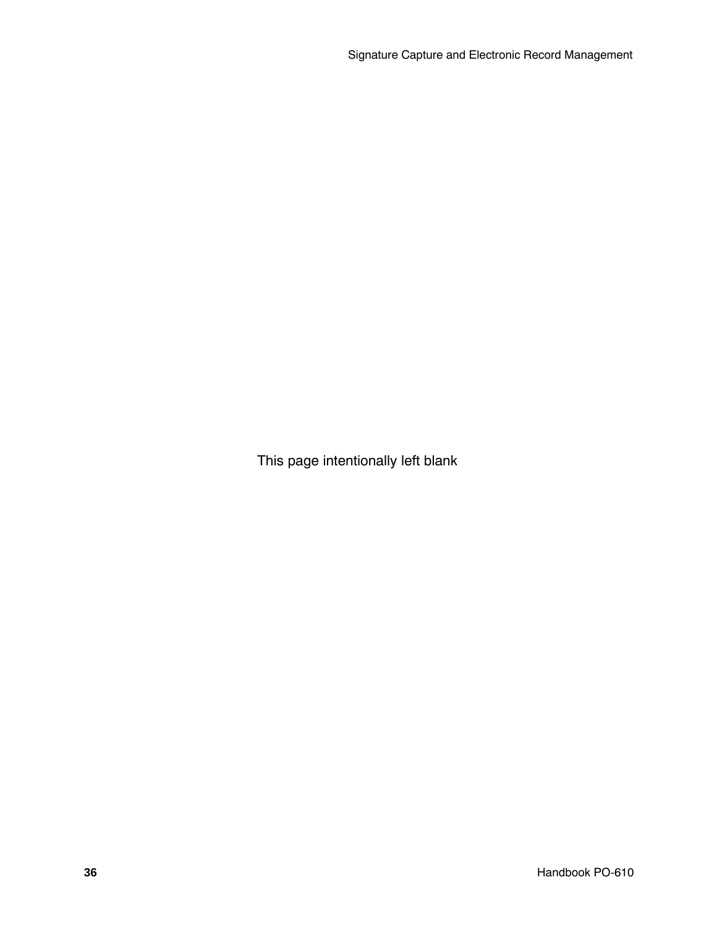This page intentionally left blank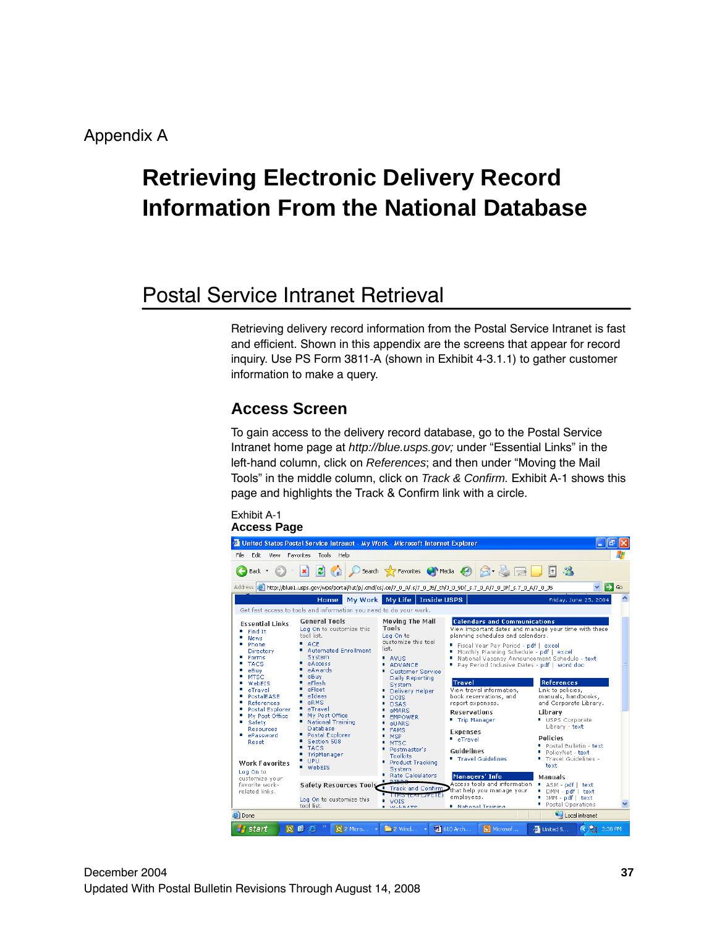# <span id="page-46-0"></span>**Retrieving Electronic Delivery Record Information From the National Database**

# Postal Service Intranet Retrieval

Retrieving delivery record information from the Postal Service Intranet is fast and efficient. Shown in this appendix are the screens that appear for record inquiry. Use PS Form 3811-A (shown in Exhibit 4-3.1.1) to gather customer information to make a query.

## **Access Screen**

To gain access to the delivery record database, go to the Postal Service Intranet home page at *http://blue.usps.gov;* under "Essential Links" in the left-hand column, click on *References*; and then under "Moving the Mail Tools" in the middle column, click on *Track & Confirm.* Exhibit A-1 shows this page and highlights the Track & Confirm link with a circle.

#### Exhibit A-1 **Access Page**<sup>2</sup> United States Postal Service Intranet - My Work - Microsoft Internet Explorer  $\Box$ e $\boxtimes$ File Edit View Favorites Tools Help 4. Address **@** http://blue1.usps.gov/wps/portal/!ut/p/.cmd/cs/.ce/7\_0\_A/.s/7\_0\_J5/\_th/J\_0\_9D/\_s.7\_0\_A/7\_0\_JP/\_s.7\_0\_A/7\_0\_J5  $\Box$  Go Home My Work My Life | Inside USPS | Get fast access to tools and information you need to do your work **General Tools** Moving The Mail **Calendars and Communications Essential Links** liew important dates and manage your time with these Log On to customize this<br>tool list. Tools  $\begin{tabular}{ll} \hline \textbf{Find It} \\ \textbf{News} \\ \textbf{Phone} \end{tabular}$ Louis<br>Log On to<br>customize this tool<br>list. planning schedules and calendars. ■ ACE<br>■ ACE<br>■ Automated Enrollment ■ Fiscal Year Pay Period - pdf | excel<br>■ Monthly Planning Schedule - pdf | excel<br>■ National Vacancy Announcement Schedule - text<br>■ Pay Period Inclusive Dates - pdf | word doc Phone<br>Directory<br>Forms<br>TACS<br>eBuy<br>MTSC<br>WebEIS<br>Praternas<br>PostallEASE<br>References ò. - Addomad<br>System<br>■ eAccess<br>■ eAwards ■ AVUS<br>■ ADVANCE<br>■ Customer Service<br>■ Daily Reporting e Awards<br>e Buy<br>e Flesh<br>Fleet<br>e RMS<br>e Travel<br>My Post Office<br>My Post Office<br>My Post Traini **Travel References** System<br>Delivery Helper View travel information,<br>book reservations, and Link to policies **DOIS** manuals, handb DOIS<br>DSAS<br>eMARS<br>EMPOWER<br>eUARS<br>FAMS<br>MSP<br>MISC<br>Matmats References report expenses. and Corporate Library Postal Explorer **Reservations** Library ■ Postal Explorer<br>■ My Post Office<br>■ Safety<br>■ Resources<br>■ Reset ■ Trip Manage USPS Corporate<br>Library - text National Training Database<br>Postal Explorer Expenses Postal Explor<br>Section 508<br>TACS<br>TripManager<br>UPU<br>WebEIS **Policies** eTravel Postal Bulletin - text<br>PolicyNet - text Postmaster's Guidelines **Toolkits** ■ Travel Guidelines Travel Guidelines ä, **Product Tracking Work Favorites** text System<br>Rate Calculators<br>RIBBS Log On to<br>customize your<br>favorite work-<br>related links. Managers' Info Manuals Safety Resources Tools Track and Confir ASM - pdf | text<br>DMM - pdf | text<br>IMM - pdf | text<br>Postal Operations cess tools and information that help you manage your ł TTMS (E)<br>Wakaati employees Log On to customize this<br>tool list. ¥, **I** National Traini Local intranet e Done <sup>P</sup>i start  $200$  $\boxed{8}$  2 Micro...  $\leftarrow$  2 Wind... 610 Arch. <mark>回</mark> Microsof.. <sup>3</sup> United S...  $\overline{R}$ ର ।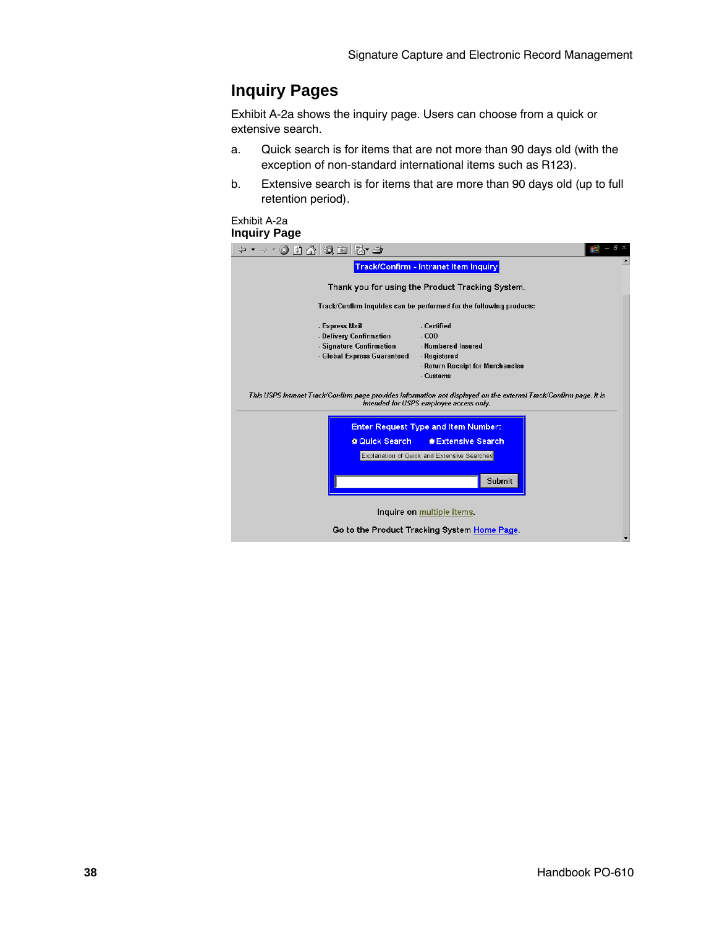## <span id="page-47-0"></span>**Inquiry Pages**

Exhibit A-2a shows the inquiry page. Users can choose from a quick or extensive search.

- a. Quick search is for items that are not more than 90 days old (with the exception of non-standard international items such as R123).
- b. Extensive search is for items that are more than 90 days old (up to full retention period).

#### Exhibit A-2a **Inquiry Page**

| ø<br>$  \psi \rangle$<br>ଭ<br>*                                                                      | 骨<br>$\times$<br>驑                                                                                                                                                                                                                                                            |  |
|------------------------------------------------------------------------------------------------------|-------------------------------------------------------------------------------------------------------------------------------------------------------------------------------------------------------------------------------------------------------------------------------|--|
|                                                                                                      | Track/Confirm - Intranet Item Inquiry                                                                                                                                                                                                                                         |  |
|                                                                                                      | Thank you for using the Product Tracking System.                                                                                                                                                                                                                              |  |
|                                                                                                      | Track/Confirm inquiries can be performed for the following products:                                                                                                                                                                                                          |  |
| - Express Mail<br>- Delivery Confirmation<br>- Signature Confirmation<br>- Global Express Guaranteed | - Certified<br>$-COD$<br>- Numbered Insured<br>- Registered<br>- Return Receipt for Merchandise<br>- Customs<br>This USPS Intranet Track/Confirm page provides information not displayed on the external Track/Confirm page. It is<br>intended for USPS employee access only. |  |
|                                                                                                      | <b>Enter Request Type and Item Number:</b><br><b>O Quick Search</b><br><b>CExtensive Search</b><br>Explanation of Quick and Extensive Searches<br>Submit                                                                                                                      |  |
|                                                                                                      |                                                                                                                                                                                                                                                                               |  |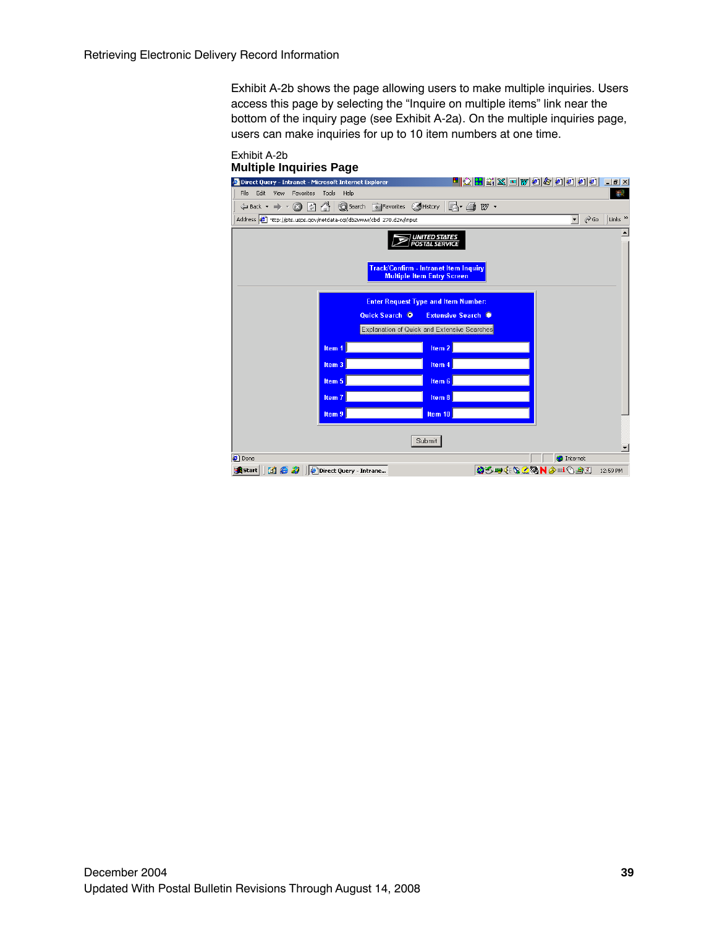<span id="page-48-0"></span>Exhibit A-2b shows the page allowing users to make multiple inquiries. Users access this page by selecting the "Inquire on multiple items" link near the bottom of the inquiry page (see Exhibit A-2a). On the multiple inquiries page, users can make inquiries for up to 10 item numbers at one time.

#### Exhibit A-2b **Multiple Inquiries Page**<sup>5</sup> Direct Query - Intranet - Microsoft Internet Explorer <u> 대소[H]서 제미17 (히 이 이 이 이 이 그리지</u> File Edit View Favorites Tools Help  $\leftarrow$  Back • → • ◎ □ △ ③ Search ★ Favorites → History | 忌• ● w • Address <sup>2</sup> http://pts.usps.gov/netdata-cgi/db2www/cbd\_270.d2w/input  $\boxed{\blacksquare}$   $\phi$  Go  $\parallel$  Links  $\blacktriangleright$  $\overline{\blacksquare}$ **DINITED STATES** <mark>ıck/Confirm - Intranet Item Inquiry</mark><br>Multiple Item Entry Screen **Enter Request Type and Item Number:** Quick Search <sup>O</sup> Extensive Search <sup>O</sup> Explanation of Quick and Extensive Searches Item  $2<sup>1</sup>$ **Itam A** Item f Item 8 Item  $10$ Submit **Done** nternet Start || 3 8 3 || 8 Direct Query - Intrane... **QS型 (安全数N企画) 2:59PM**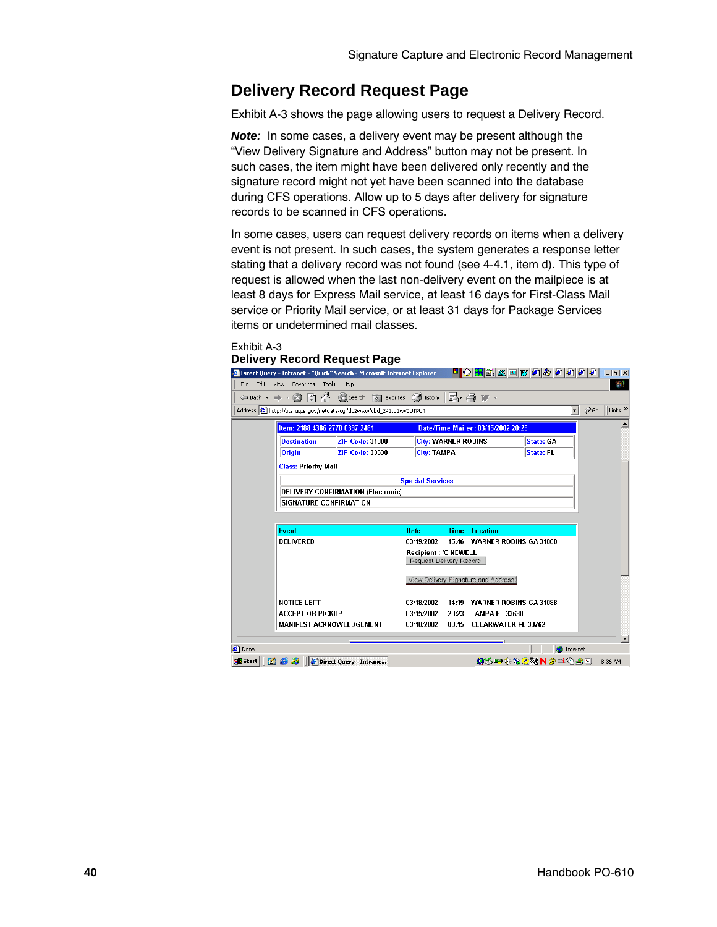## <span id="page-49-0"></span>**Delivery Record Request Page**

Exhibit A-3 shows the page allowing users to request a Delivery Record.

*Note:*In some cases, a delivery event may be present although the "View Delivery Signature and Address" button may not be present. In such cases, the item might have been delivered only recently and the signature record might not yet have been scanned into the database during CFS operations. Allow up to 5 days after delivery for signature records to be scanned in CFS operations.

In some cases, users can request delivery records on items when a delivery event is not present. In such cases, the system generates a response letter stating that a delivery record was not found (see 4-4.1, item d). This type of request is allowed when the last non-delivery event on the mailpiece is at least 8 days for Express Mail service, at least 16 days for First-Class Mail service or Priority Mail service, or at least 31 days for Package Services items or undetermined mail classes.

#### Exhibit A-3

#### **Delivery Record Request Page**

|                 |                                            | Direct Query - Intranet - "Quick" Search - Microsoft Internet Explorer         |                            |             | <b>비公園저</b> 지회@(이어진이어이 그리지          |                   |                   |                     |
|-----------------|--------------------------------------------|--------------------------------------------------------------------------------|----------------------------|-------------|-------------------------------------|-------------------|-------------------|---------------------|
| Edit<br>File    | View<br>Favorites<br>Tools                 | Help                                                                           |                            |             |                                     |                   |                   | 御                   |
| ← Back →        | A<br>ø<br>$ \phi \rangle$<br>$\rightarrow$ | Search <b>Favorites SHistory</b> $\mathbb{R}$ <b>Fig. 17</b> -                 |                            |             |                                     |                   |                   |                     |
|                 |                                            | Address $\ket{\phi}$ http://pts.usps.gov/netdata-cgi/db2www/cbd 242.d2w/OUTPUT |                            |             |                                     | ▾                 | $\hat{\alpha}$ Go | Links $\rightarrow$ |
|                 | Item: 2188 4386 2770 0337 2481             |                                                                                |                            |             | Date/Time Mailed: 03/15/2002 20:23  |                   |                   | $\blacktriangle$    |
|                 | <b>Destination</b>                         | <b>ZIP Code: 31088</b>                                                         | <b>City: WARNER ROBINS</b> |             |                                     | <b>State: GA</b>  |                   |                     |
|                 | <b>Origin</b>                              | <b>ZIP Code: 33630</b>                                                         | <b>City: TAMPA</b>         |             |                                     | <b>State: FL</b>  |                   |                     |
|                 | <b>Class: Priority Mail</b>                |                                                                                |                            |             |                                     |                   |                   |                     |
|                 |                                            |                                                                                | <b>Special Services</b>    |             |                                     |                   |                   |                     |
|                 |                                            | <b>DELIVERY CONFIRMATION (Electronic)</b>                                      |                            |             |                                     |                   |                   |                     |
|                 | SIGNATURE CONFIRMATION                     |                                                                                |                            |             |                                     |                   |                   |                     |
|                 |                                            |                                                                                |                            |             |                                     |                   |                   |                     |
|                 | Event                                      |                                                                                | <b>Date</b>                | <b>Time</b> | Location                            |                   |                   |                     |
|                 | DELIVERED                                  |                                                                                | 03/19/2002                 |             | 15:46 WARNER ROBINS GA 31088        |                   |                   |                     |
|                 |                                            |                                                                                | Recipient: 'C NEWELL'      |             |                                     |                   |                   |                     |
|                 |                                            |                                                                                | Request Delivery Record    |             |                                     |                   |                   |                     |
|                 |                                            |                                                                                |                            |             | View Delivery Signature and Address |                   |                   |                     |
|                 | <b>NOTICE LEFT</b>                         |                                                                                | 03/18/2002                 | 14:19       | <b>WARNER ROBINS GA 31088</b>       |                   |                   |                     |
|                 | <b>ACCEPT OR PICKUP</b>                    |                                                                                | 03/15/2002                 | 20:23       | <b>TAMPA FL 33630</b>               |                   |                   |                     |
|                 | <b>MANIFEST ACKNOWLEDGEMENT</b>            |                                                                                | 03/18/2002                 | 08:15       | <b>CLEARWATER FL 33762</b>          |                   |                   |                     |
|                 |                                            |                                                                                |                            |             |                                     |                   |                   |                     |
| <b>∉</b> ] Done |                                            |                                                                                |                            |             |                                     | <b>O</b> Internet |                   |                     |
| <b>R</b> Start  | <b>1 @</b> 2 <b>Direct Query - Intrane</b> |                                                                                |                            |             |                                     | QS™4&Z®N⊘⊞⊙£9     |                   | 8:36 AM             |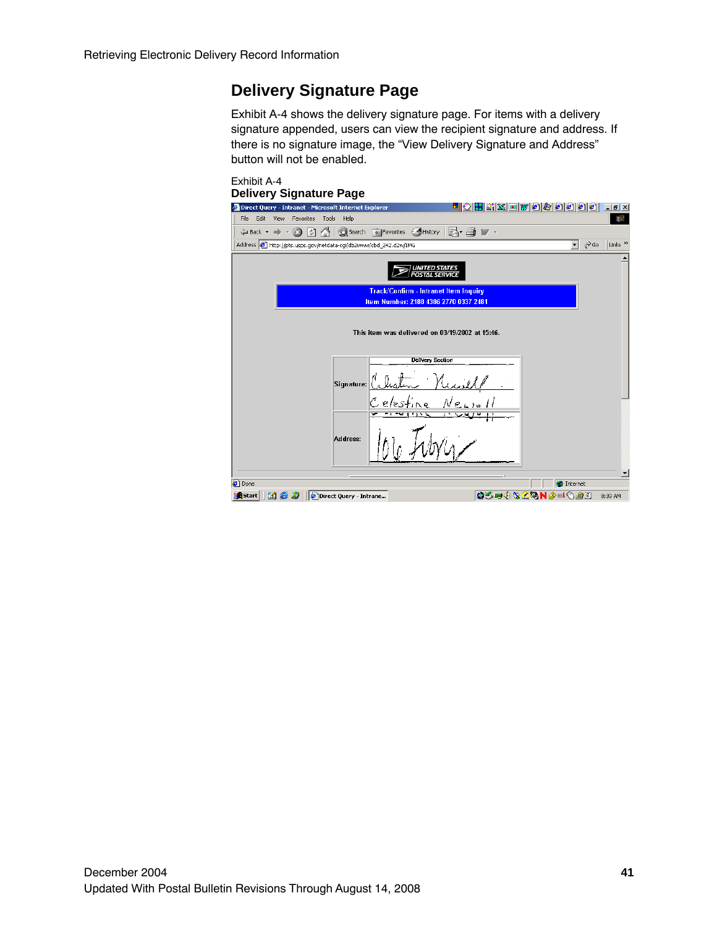## <span id="page-50-0"></span>**Delivery Signature Page**

Exhibit A-4 shows the delivery signature page. For items with a delivery signature appended, users can view the recipient signature and address. If there is no signature image, the "View Delivery Signature and Address" button will not be enabled.

| Exhibit A-4<br><b>Delivery Signature Page</b>                                         |                                                     |
|---------------------------------------------------------------------------------------|-----------------------------------------------------|
| Direct Query - Intranet - Microsoft Internet Explorer                                 | <b>비소[H</b> ]저조[피[W][2][2][2][2][2][그리지             |
| File<br>Edit View Favorites<br>Tools<br>Help                                          | 11                                                  |
| Search Fileworites Collistory   A - O W -<br>⇔Back ▼ ⇒ ▼ 図   ☆                        |                                                     |
| Address $\bigcirc$ http://pts.usps.gov/netdata-cgi/db2www/cbd_242.d2w/IMG             | $\hat{\alpha}$ Go<br>Links <sup>&gt;&gt;</sup><br>▾ |
| UNITED STATES<br>POSTAL SERVICE                                                       |                                                     |
| <b>Track/Confirm - Intranet Item Inquiry</b><br>Item Number: 2188 4386 2770 0337 2481 |                                                     |
| This item was delivered on 03/19/2002 at 15:46.                                       |                                                     |
| <b>Delivery Section</b><br>Signature:                                                 |                                                     |
| Celestine                                                                             | Ne <sub>12</sub>                                    |
| Address:                                                                              |                                                     |
| <sup>2</sup> Done                                                                     | <b>O</b> Internet                                   |
|                                                                                       | <b>QS™432%N0™O£</b> 2<br>8:39 AM                    |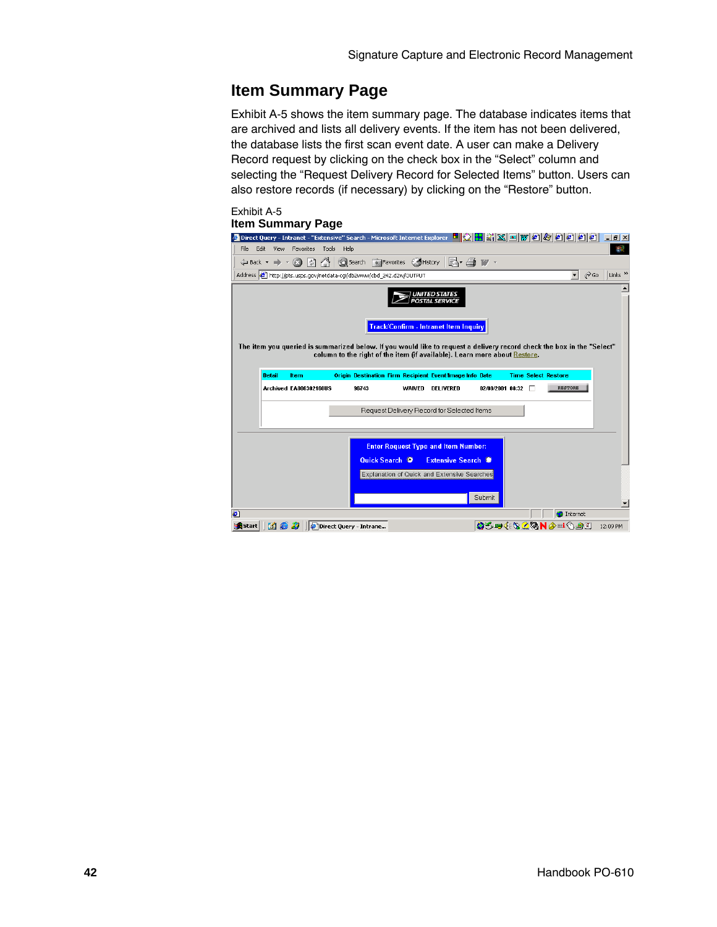## <span id="page-51-0"></span>**Item Summary Page**

Exhibit A-5 shows the item summary page. The database indicates items that are archived and lists all delivery events. If the item has not been delivered, the database lists the first scan event date. A user can make a Delivery Record request by clicking on the check box in the "Select" column and selecting the "Request Delivery Record for Selected Items" button. Users can also restore records (if necessary) by clicking on the "Restore" button.

#### Exhibit A-5

#### **Item Summary Page**

| File                    |                                                                               |                    |                                                                                                                                                                                                     |        |                                                                                                                      |                                       |                            |                   |                                |
|-------------------------|-------------------------------------------------------------------------------|--------------------|-----------------------------------------------------------------------------------------------------------------------------------------------------------------------------------------------------|--------|----------------------------------------------------------------------------------------------------------------------|---------------------------------------|----------------------------|-------------------|--------------------------------|
|                         | Edit<br>View                                                                  | Tools<br>Favorites | Help                                                                                                                                                                                                |        |                                                                                                                      |                                       |                            |                   | 199                            |
|                         | $\circledcirc$<br>$\leftarrow$ Back $\rightarrow$ $\rightarrow$ $\rightarrow$ | AI.<br>ी           | Search & Favorites & History                                                                                                                                                                        |        |                                                                                                                      | $\mathbb{R}\cdot \oplus \mathbb{W}$ . |                            |                   |                                |
|                         |                                                                               |                    | Address   1 http://pts.usps.gov/netdata-cgi/db2www/cbd 242.d2w/OUTPUT                                                                                                                               |        |                                                                                                                      |                                       |                            | ▾                 | $\hat{\alpha}$ Go<br>Links $"$ |
|                         |                                                                               |                    | The item you queried is summarized below. If you would like to request a delivery record check the box in the "Select"<br>column to the right of the item (if available). Learn more about Restore. |        | UNITED STATES<br>POSTAL SERVICE<br><b>Track/Confirm - Intranet Item Inquiry</b>                                      |                                       |                            |                   |                                |
|                         | <b>Detail</b><br><b>Item</b>                                                  |                    | Origin Destination Firm Recipient Event/Image Info Date                                                                                                                                             |        |                                                                                                                      |                                       | <b>Time Select Restore</b> |                   |                                |
|                         | Archived EA006302160US                                                        |                    | 96743                                                                                                                                                                                               | WAIVED | DELIVERED                                                                                                            | 02/08/2001 08:32                      | Е                          | <b>RESTORE</b>    |                                |
|                         |                                                                               |                    |                                                                                                                                                                                                     |        | Request Delivery Record for Selected Items                                                                           |                                       |                            |                   |                                |
|                         |                                                                               |                    |                                                                                                                                                                                                     |        |                                                                                                                      |                                       |                            |                   |                                |
|                         |                                                                               |                    | <b>Quick Search O</b>                                                                                                                                                                               |        | <b>Enter Request Type and Item Number:</b><br><b>Extensive Search</b><br>Explanation of Quick and Extensive Searches |                                       |                            |                   |                                |
| $\overline{\mathbf{c}}$ |                                                                               |                    |                                                                                                                                                                                                     |        |                                                                                                                      | Submit                                |                            | <b>O</b> Internet |                                |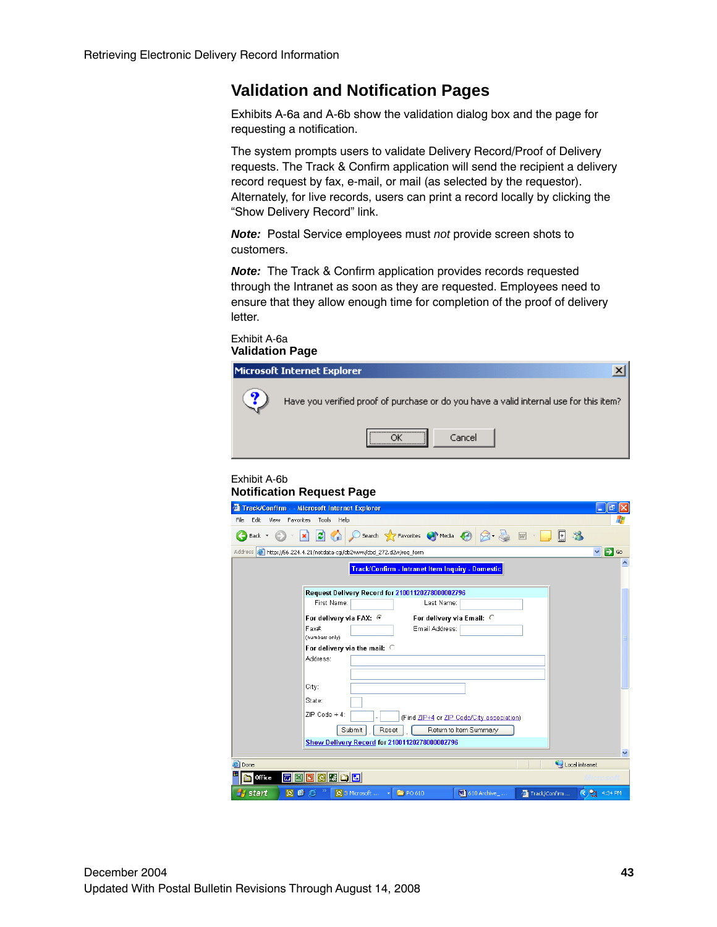## <span id="page-52-0"></span>**Validation and Notification Pages**

Exhibits A-6a and A-6b show the validation dialog box and the page for requesting a notification.

The system prompts users to validate Delivery Record/Proof of Delivery requests. The Track & Confirm application will send the recipient a delivery record request by fax, e-mail, or mail (as selected by the requestor). Alternately, for live records, users can print a record locally by clicking the "Show Delivery Record" link.

*Note:*Postal Service employees must *not* provide screen shots to customers.

*Note:* The Track & Confirm application provides records requested through the Intranet as soon as they are requested. Employees need to ensure that they allow enough time for completion of the proof of delivery letter.

Exhibit A-6a **Validation Page**

| Microsoft Internet Explorer |                                                                                        |  |  |  |  |  |
|-----------------------------|----------------------------------------------------------------------------------------|--|--|--|--|--|
| GI                          | Have you verified proof of purchase or do you have a valid internal use for this item? |  |  |  |  |  |
|                             | Cancel                                                                                 |  |  |  |  |  |

#### Exhibit A-6b **Notification Request Page**

|                                                    | NOtification Request Page                                                                                                                                                       |                                  |
|----------------------------------------------------|---------------------------------------------------------------------------------------------------------------------------------------------------------------------------------|----------------------------------|
| Ø                                                  | Track/Confirm - - Microsoft Internet Explorer                                                                                                                                   | lo<br>$\blacksquare$             |
| Edit<br>Favorites<br>File<br>View                  | Tools<br>Help                                                                                                                                                                   |                                  |
| Back *                                             | Search $\sqrt{\phantom{a}}$ Favorites $\bigoplus$ Media $\bigoplus$ $\bigotimes$ $\bigoplus$ $\bigoplus$ $\bigoplus$ $\bigoplus$<br>$\vert z \vert$<br>□ 国 28<br>$ \mathbf{x} $ |                                  |
|                                                    | Address 8 http://56.224.4.21/netdata-cgi/db2www/cbd_272.d2w/req_form                                                                                                            | $\Rightarrow$ Go<br>$\checkmark$ |
|                                                    | <b>Track/Confirm - Intranet Item Inquiry - Domestic</b>                                                                                                                         |                                  |
|                                                    | Request Delivery Record for 21001120278000002796                                                                                                                                |                                  |
|                                                    | First Name:<br>Last Name:                                                                                                                                                       |                                  |
|                                                    | For delivery via Email: $\circ$<br>For delivery via FAX: <sup>6</sup>                                                                                                           |                                  |
|                                                    | Email Address:<br>Fax#<br>(numbers only)                                                                                                                                        |                                  |
|                                                    | For delivery via the mail: $\bigcirc$                                                                                                                                           |                                  |
|                                                    | Address:                                                                                                                                                                        |                                  |
|                                                    |                                                                                                                                                                                 |                                  |
|                                                    | City:                                                                                                                                                                           |                                  |
|                                                    | State:                                                                                                                                                                          |                                  |
|                                                    | $ZIP Code + 4$ :<br>(Find ZIP+4 or ZIP Code/City association)                                                                                                                   |                                  |
|                                                    | Submit<br>Reset<br>Return to Item Summary                                                                                                                                       |                                  |
|                                                    | Show Delivery Record for 21001120278000002796                                                                                                                                   |                                  |
|                                                    |                                                                                                                                                                                 | $\checkmark$                     |
| <b>e</b> Done                                      | Local intranet                                                                                                                                                                  |                                  |
| Office                                             | <b>FEEDSCH</b>                                                                                                                                                                  |                                  |
| <b>P</b> start<br>$\boxtimes$ $\blacksquare$ $\in$ | 3 Microsoft<br>$P$ PO 610<br>610 Archive_<br>Track/Confirm<br>$\overline{\mathcal{A}}$                                                                                          | <b>EQ 4:34 PM</b>                |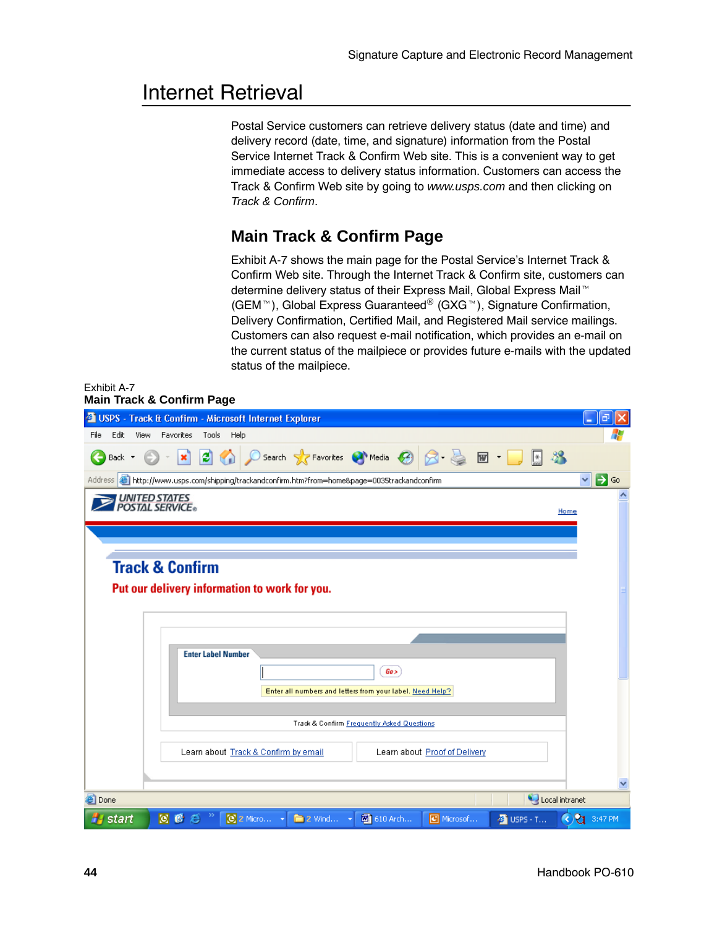# <span id="page-53-0"></span>Internet Retrieval

Postal Service customers can retrieve delivery status (date and time) and delivery record (date, time, and signature) information from the Postal Service Internet Track & Confirm Web site. This is a convenient way to get immediate access to delivery status information. Customers can access the Track & Confirm Web site by going to *www.usps.com* and then clicking on *Track & Confirm*.

## **Main Track & Confirm Page**

Exhibit A-7 shows the main page for the Postal Service's Internet Track & Confirm Web site. Through the Internet Track & Confirm site, customers can determine delivery status of their Express Mail, Global Express Mail<sup>™</sup> (GEM<sup>™</sup>), Global Express Guaranteed<sup>®</sup> (GXG™), Signature Confirmation, Delivery Confirmation, Certified Mail, and Registered Mail service mailings. Customers can also request e-mail notification, which provides an e-mail on the current status of the mailpiece or provides future e-mails with the updated status of the mailpiece.

|                                         | <b>Main Track &amp; Confirm Page</b>                                                                     |                     |
|-----------------------------------------|----------------------------------------------------------------------------------------------------------|---------------------|
|                                         | <b>3 USPS</b> - Track & Confirm - Microsoft Internet Explorer                                            | $\sim$              |
| Edit<br>View<br>File                    | Favorites<br>Tools Help                                                                                  |                     |
| Back *                                  | Search <b>A</b> Favorites <b>CA</b> Media<br>Ð<br>88<br>$\pmb{\times}$<br>丽<br>¦∗<br>$\mathcal{G}$       |                     |
|                                         | Address <b>&amp;</b> http://www.usps.com/shipping/trackandconfirm.htm?from=home&page=0035trackandconfirm | Е<br>v<br>Go        |
| <b>UNITED STATES</b><br>POSTAL SERVICE® | Home                                                                                                     |                     |
|                                         |                                                                                                          |                     |
|                                         | <b>Track &amp; Confirm</b><br>Put our delivery information to work for you.                              |                     |
|                                         |                                                                                                          |                     |
|                                         |                                                                                                          |                     |
|                                         | <b>Enter Label Number</b><br>Go >                                                                        |                     |
|                                         | Enter all numbers and letters from your label. Need Help?                                                |                     |
|                                         | Track & Confirm Frequently Asked Questions                                                               |                     |
|                                         | Learn about Track & Confirm by email<br>Learn about Proof of Delivery                                    |                     |
|                                         |                                                                                                          |                     |
| <b>Done</b>                             | Local intranet                                                                                           |                     |
| start                                   | $\boxtimes$ $\bullet$ $\approx$<br>网 610 Arch<br>图 USPS - T<br>C Microsof                                | <b>E 21 3:47 PM</b> |

Exhibit A-7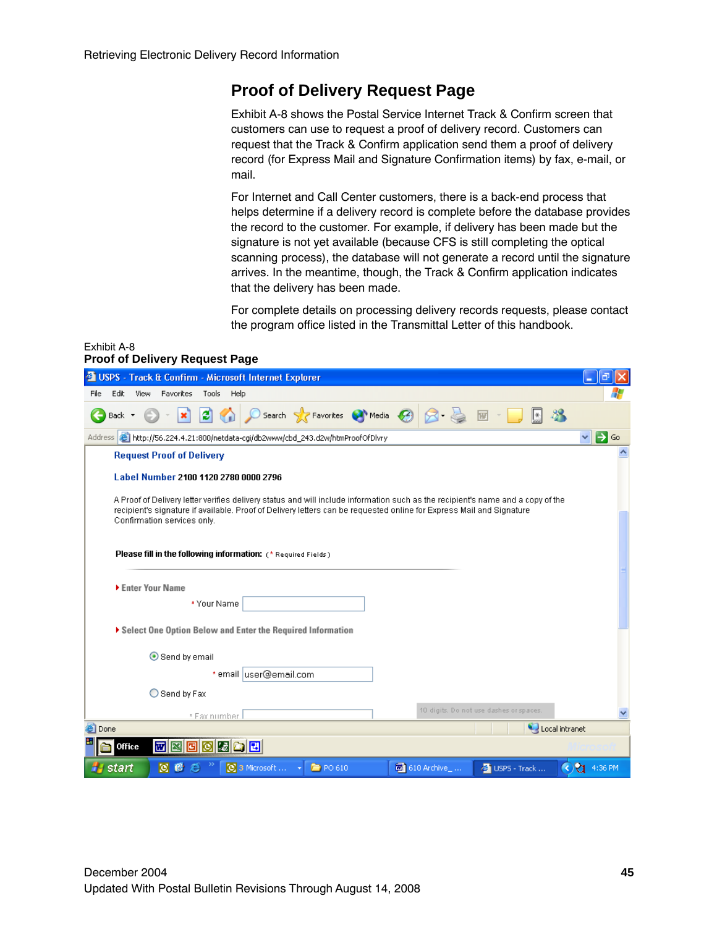## <span id="page-54-0"></span>**Proof of Delivery Request Page**

Exhibit A-8 shows the Postal Service Internet Track & Confirm screen that customers can use to request a proof of delivery record. Customers can request that the Track & Confirm application send them a proof of delivery record (for Express Mail and Signature Confirmation items) by fax, e-mail, or mail.

For Internet and Call Center customers, there is a back-end process that helps determine if a delivery record is complete before the database provides the record to the customer. For example, if delivery has been made but the signature is not yet available (because CFS is still completing the optical scanning process), the database will not generate a record until the signature arrives. In the meantime, though, the Track & Confirm application indicates that the delivery has been made.

For complete details on processing delivery records requests, please contact the program office listed in the Transmittal Letter of this handbook.

#### Exhibit A-8 **Proof of Delivery Request Page**

| <b>3 USPS</b> - Track & Confirm - Microsoft Internet Explorer                                                                                                                                                                                                                          | ō<br>ш            |  |  |  |  |  |
|----------------------------------------------------------------------------------------------------------------------------------------------------------------------------------------------------------------------------------------------------------------------------------------|-------------------|--|--|--|--|--|
| Tools<br>Edit<br>View<br>Favorites<br>Help<br>File                                                                                                                                                                                                                                     |                   |  |  |  |  |  |
| E<br>Search > Favorites Or Media<br>$\mathcal{G}$<br>Back *                                                                                                                                                                                                                            |                   |  |  |  |  |  |
| Address <b>@</b> http://56.224.4.21:800/netdata-cgi/db2www/cbd_243.d2w/htmProofOfDlvry                                                                                                                                                                                                 | Е<br>$\vee$<br>Go |  |  |  |  |  |
| <b>Request Proof of Delivery</b>                                                                                                                                                                                                                                                       |                   |  |  |  |  |  |
| Label Number 2100 1120 2780 0000 2796                                                                                                                                                                                                                                                  |                   |  |  |  |  |  |
| A Proof of Delivery letter verifies delivery status and will include information such as the recipient's name and a copy of the<br>recipient's signature if available. Proof of Delivery letters can be requested online for Express Mail and Signature<br>Confirmation services only. |                   |  |  |  |  |  |
| Please fill in the following information: (* Required Fields)                                                                                                                                                                                                                          |                   |  |  |  |  |  |
| Enter Your Name                                                                                                                                                                                                                                                                        |                   |  |  |  |  |  |
| * Your Name                                                                                                                                                                                                                                                                            |                   |  |  |  |  |  |
| Select One Option Below and Enter the Required Information                                                                                                                                                                                                                             |                   |  |  |  |  |  |
| ⊙ Send by email                                                                                                                                                                                                                                                                        |                   |  |  |  |  |  |
| * email user@email.com                                                                                                                                                                                                                                                                 |                   |  |  |  |  |  |
| $\bigcirc$ Send by Fax                                                                                                                                                                                                                                                                 |                   |  |  |  |  |  |
| 10 digits. Do not use dashes or spaces.<br>* Fax number                                                                                                                                                                                                                                |                   |  |  |  |  |  |
| Local intranet<br><b>B</b> Done                                                                                                                                                                                                                                                        |                   |  |  |  |  |  |
| Bod<br>网图<br>ø<br><b>Office</b><br>回                                                                                                                                                                                                                                                   |                   |  |  |  |  |  |
| start<br>$\boxtimes$ $\otimes$<br>3 Microsoft<br>$P$ PO 610<br>网 610 Archive_<br>图 USPS - Track<br>e<br>$\overline{\mathbf{R}}$                                                                                                                                                        | $Q$ 4:36 PM       |  |  |  |  |  |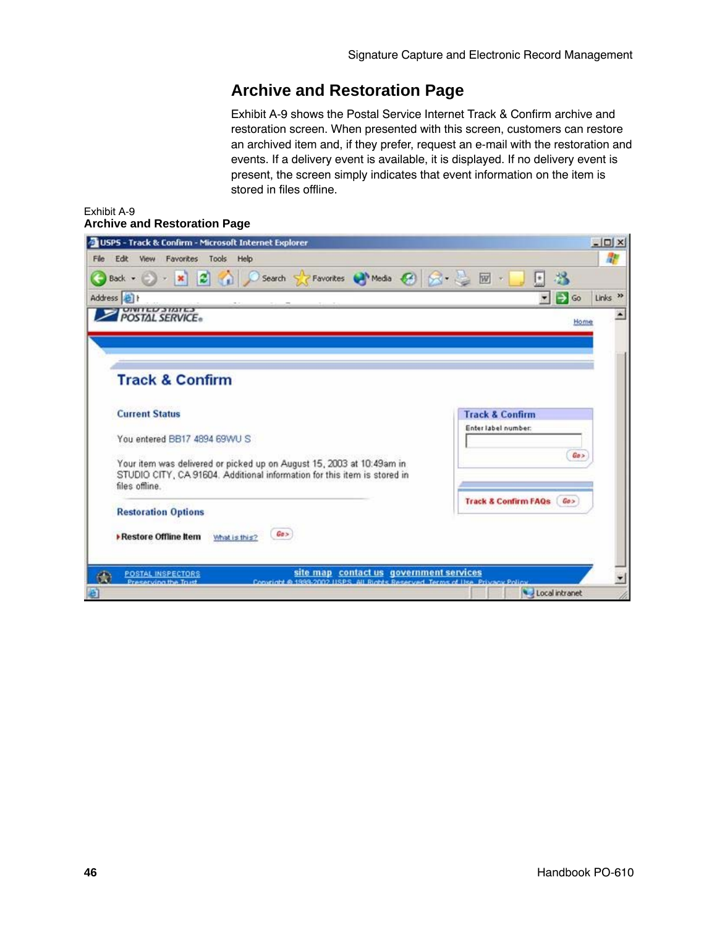## **Archive and Restoration Page**

Exhibit A-9 shows the Postal Service Internet Track & Confirm archive and restoration screen. When presented with this screen, customers can restore an archived item and, if they prefer, request an e-mail with the restoration and events. If a delivery event is available, it is displayed. If no delivery event is present, the screen simply indicates that event information on the item is stored in files offline.

#### <span id="page-55-0"></span>Exhibit A-9 **Archive and Restoration Page**

| USPS - Track & Confirm - Microsoft Internet Explorer                     |                            |
|--------------------------------------------------------------------------|----------------------------|
| Favorites Tools Help<br>Edit<br>View                                     |                            |
| Back - 2 2 2 Search & Favorites to Media @ 2 - E E -                     | ۵<br>塔                     |
| Address <b>a</b> t                                                       | $\Rightarrow$ Go<br>×I.    |
| POSTAL SERVICE®                                                          | Home                       |
|                                                                          |                            |
|                                                                          |                            |
| <b>Track &amp; Confirm</b>                                               |                            |
| <b>Current Status</b>                                                    | <b>Track &amp; Confirm</b> |
|                                                                          | Enter label number:        |
| You entered BB17 4894 69WU S                                             |                            |
| Your item was delivered or picked up on August 15, 2003 at 10:49am in    | Gn >                       |
| STUDIO CITY, CA 91604. Additional information for this item is stored in |                            |
| files offline.                                                           | Track & Confirm FAQs Go>   |
| <b>Restoration Options</b>                                               |                            |
| What is this?<br>Ga<br><b>ERestore Offline Item</b>                      |                            |
|                                                                          |                            |
|                                                                          |                            |
| site map contact us government services<br><b>POSTAL INSPECTORS</b>      |                            |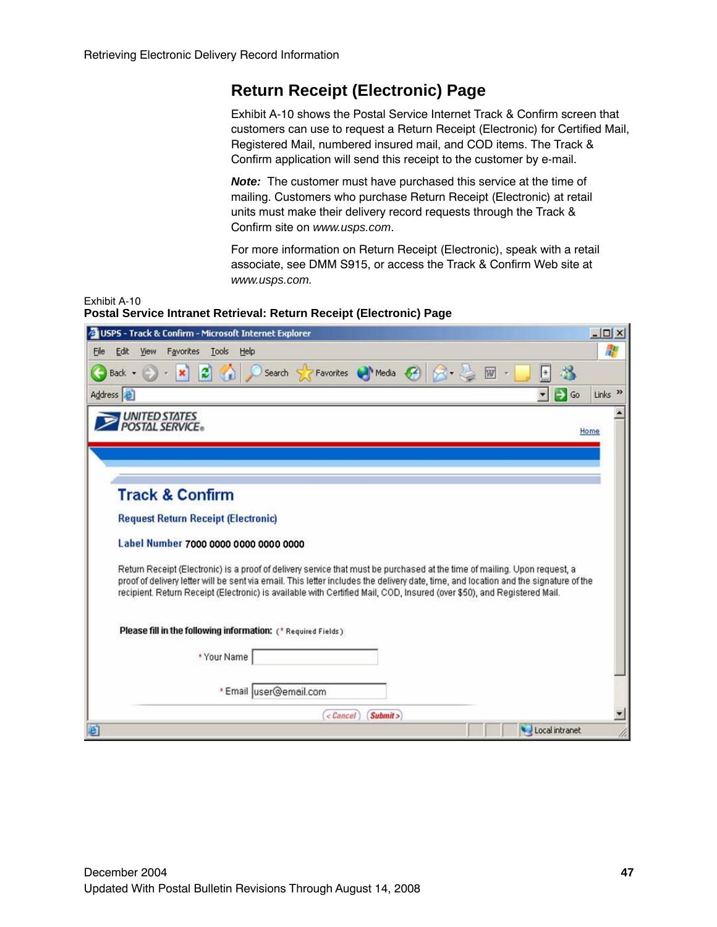## <span id="page-56-0"></span>**Return Receipt (Electronic) Page**

Exhibit A-10 shows the Postal Service Internet Track & Confirm screen that customers can use to request a Return Receipt (Electronic) for Certified Mail, Registered Mail, numbered insured mail, and COD items. The Track & Confirm application will send this receipt to the customer by e-mail.

**Note:** The customer must have purchased this service at the time of mailing. Customers who purchase Return Receipt (Electronic) at retail units must make their delivery record requests through the Track & Confirm site on *www.usps.com*.

For more information on Return Receipt (Electronic), speak with a retail associate, see DMM S915, or access the Track & Confirm Web site at *www.usps.com.*

#### Exhibit A-10 **Postal Service Intranet Retrieval: Return Receipt (Electronic) Page**

| USPS - Track & Confirm - Microsoft Internet Explorer                                                                                                                                                                                                                                                                                                                                         | $ \Box$ $\times$                              |
|----------------------------------------------------------------------------------------------------------------------------------------------------------------------------------------------------------------------------------------------------------------------------------------------------------------------------------------------------------------------------------------------|-----------------------------------------------|
| Edit<br><b>Tools</b><br>File<br>View<br>Favorites<br>Help                                                                                                                                                                                                                                                                                                                                    | $\mathcal{X}$                                 |
| $\bigcirc$<br>Search > Favorites ( Media (4)<br>례<br>×<br>Back +                                                                                                                                                                                                                                                                                                                             | 33<br>网<br>E.                                 |
| Address                                                                                                                                                                                                                                                                                                                                                                                      | $\rightarrow$ Go<br>Links <sup>&gt;&gt;</sup> |
| <b>UNITED STATES<br/>POSTAL SERVICE®</b>                                                                                                                                                                                                                                                                                                                                                     |                                               |
|                                                                                                                                                                                                                                                                                                                                                                                              | Home                                          |
|                                                                                                                                                                                                                                                                                                                                                                                              |                                               |
|                                                                                                                                                                                                                                                                                                                                                                                              |                                               |
| <b>Track &amp; Confirm</b>                                                                                                                                                                                                                                                                                                                                                                   |                                               |
| <b>Request Return Receipt (Electronic)</b>                                                                                                                                                                                                                                                                                                                                                   |                                               |
| Label Number 7000 0000 0000 0000 0000                                                                                                                                                                                                                                                                                                                                                        |                                               |
| Return Receipt (Electronic) is a proof of delivery service that must be purchased at the time of mailing. Upon request, a<br>proof of delivery letter will be sent via email. This letter includes the delivery date, time, and location and the signature of the<br>recipient. Return Receipt (Electronic) is available with Certified Mail, COD, Insured (over \$50), and Registered Mail. |                                               |
| Please fill in the following information: (* Required Fields)                                                                                                                                                                                                                                                                                                                                |                                               |
| * Your Name                                                                                                                                                                                                                                                                                                                                                                                  |                                               |
| * Email user@email.com                                                                                                                                                                                                                                                                                                                                                                       |                                               |
| < Cancel<br>Submit >                                                                                                                                                                                                                                                                                                                                                                         |                                               |
|                                                                                                                                                                                                                                                                                                                                                                                              | Local intranet                                |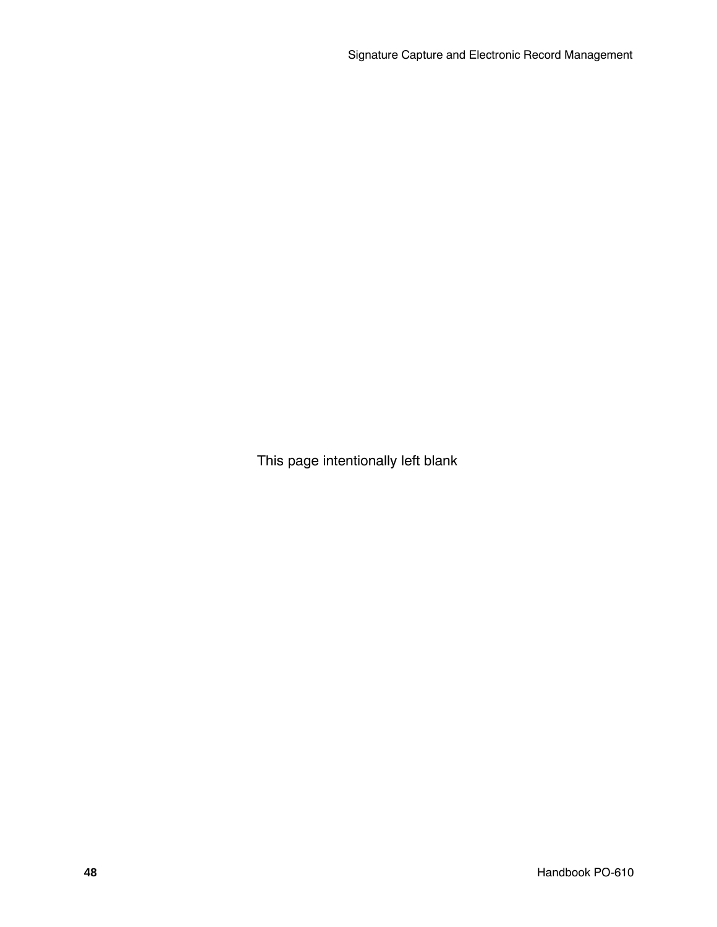This page intentionally left blank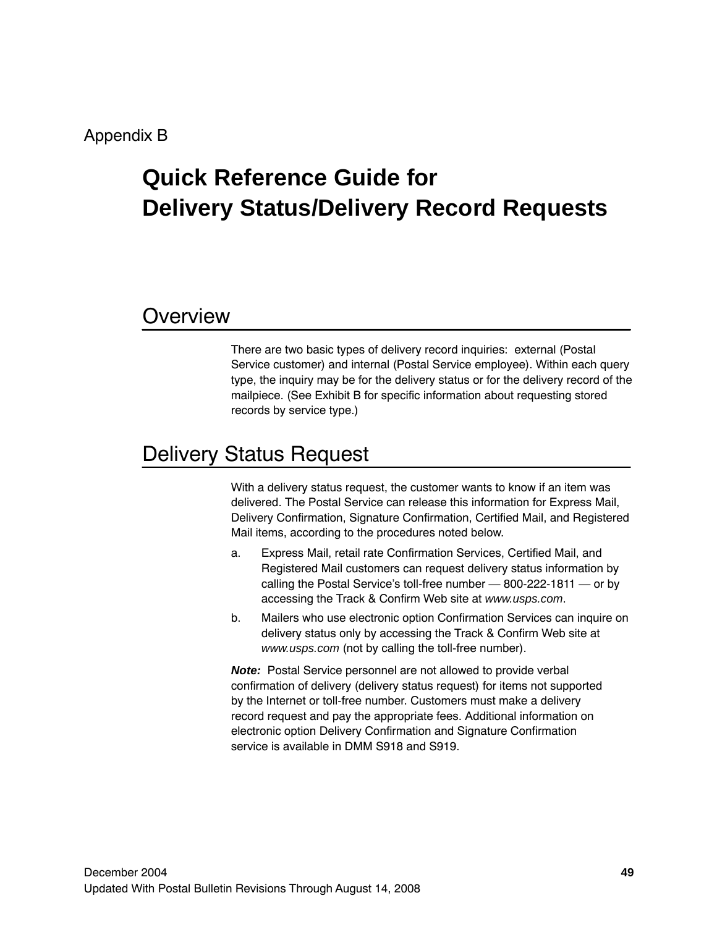## <span id="page-58-0"></span>Appendix B

# **Quick Reference Guide for Delivery Status/Delivery Record Requests**

## **Overview**

There are two basic types of delivery record inquiries: external (Postal Service customer) and internal (Postal Service employee). Within each query type, the inquiry may be for the delivery status or for the delivery record of the mailpiece. (See Exhibit B for specific information about requesting stored records by service type.)

# Delivery Status Request

With a delivery status request, the customer wants to know if an item was delivered. The Postal Service can release this information for Express Mail, Delivery Confirmation, Signature Confirmation, Certified Mail, and Registered Mail items, according to the procedures noted below.

- a. Express Mail, retail rate Confirmation Services, Certified Mail, and Registered Mail customers can request delivery status information by calling the Postal Service's toll-free number — 800-222-1811 — or by accessing the Track & Confirm Web site at *www.usps.com*.
- b. Mailers who use electronic option Confirmation Services can inquire on delivery status only by accessing the Track & Confirm Web site at *www.usps.com* (not by calling the toll-free number).

*Note:*Postal Service personnel are not allowed to provide verbal confirmation of delivery (delivery status request) for items not supported by the Internet or toll-free number. Customers must make a delivery record request and pay the appropriate fees. Additional information on electronic option Delivery Confirmation and Signature Confirmation service is available in DMM S918 and S919.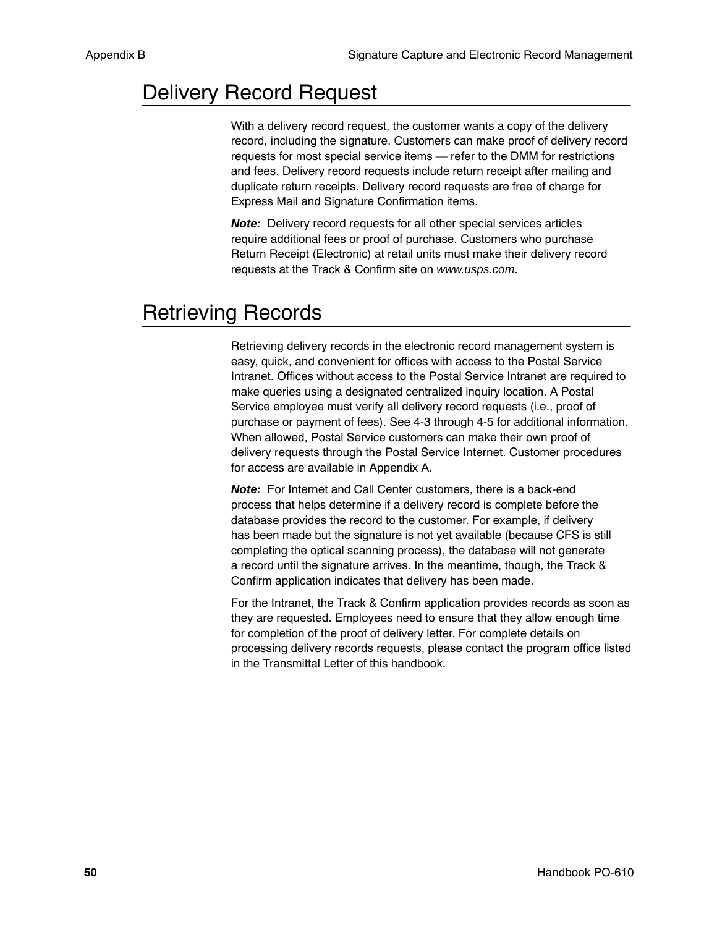# <span id="page-59-0"></span>Delivery Record Request

With a delivery record request, the customer wants a copy of the delivery record, including the signature. Customers can make proof of delivery record requests for most special service items — refer to the DMM for restrictions and fees. Delivery record requests include return receipt after mailing and duplicate return receipts. Delivery record requests are free of charge for Express Mail and Signature Confirmation items.

*Note:*Delivery record requests for all other special services articles require additional fees or proof of purchase. Customers who purchase Return Receipt (Electronic) at retail units must make their delivery record requests at the Track & Confirm site on *www.usps.com*.

# Retrieving Records

Retrieving delivery records in the electronic record management system is easy, quick, and convenient for offices with access to the Postal Service Intranet. Offices without access to the Postal Service Intranet are required to make queries using a designated centralized inquiry location. A Postal Service employee must verify all delivery record requests (i.e., proof of purchase or payment of fees). See 4-3 through 4-5 for additional information. When allowed, Postal Service customers can make their own proof of delivery requests through the Postal Service Internet. Customer procedures for access are available in Appendix A.

*Note:*For Internet and Call Center customers, there is a back-end process that helps determine if a delivery record is complete before the database provides the record to the customer. For example, if delivery has been made but the signature is not yet available (because CFS is still completing the optical scanning process), the database will not generate a record until the signature arrives. In the meantime, though, the Track & Confirm application indicates that delivery has been made.

For the Intranet, the Track & Confirm application provides records as soon as they are requested. Employees need to ensure that they allow enough time for completion of the proof of delivery letter. For complete details on processing delivery records requests, please contact the program office listed in the Transmittal Letter of this handbook.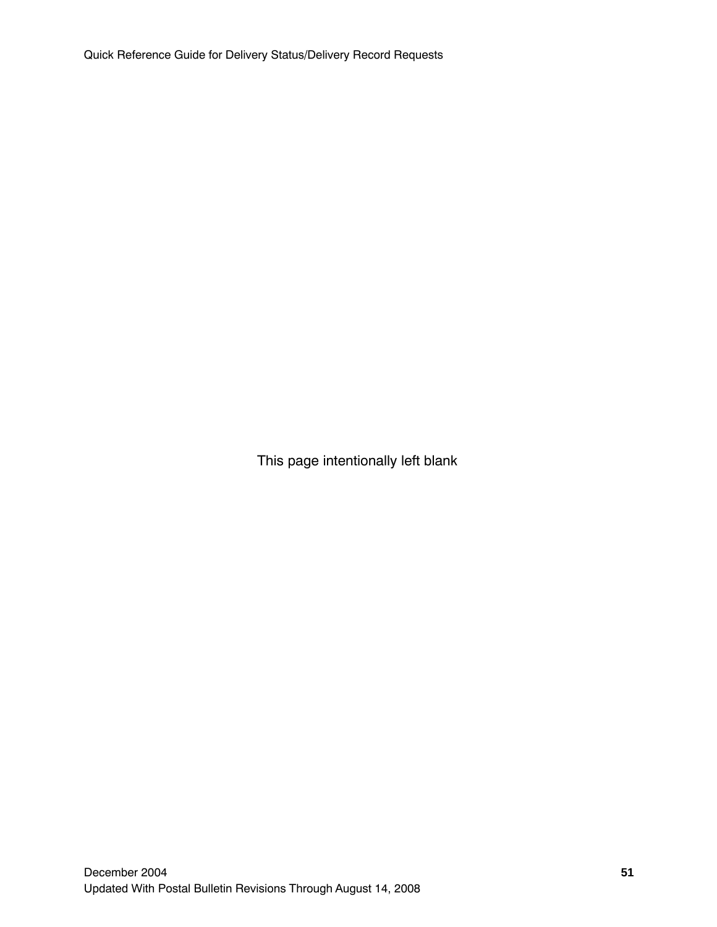Quick Reference Guide for Delivery Status/Delivery Record Requests

This page intentionally left blank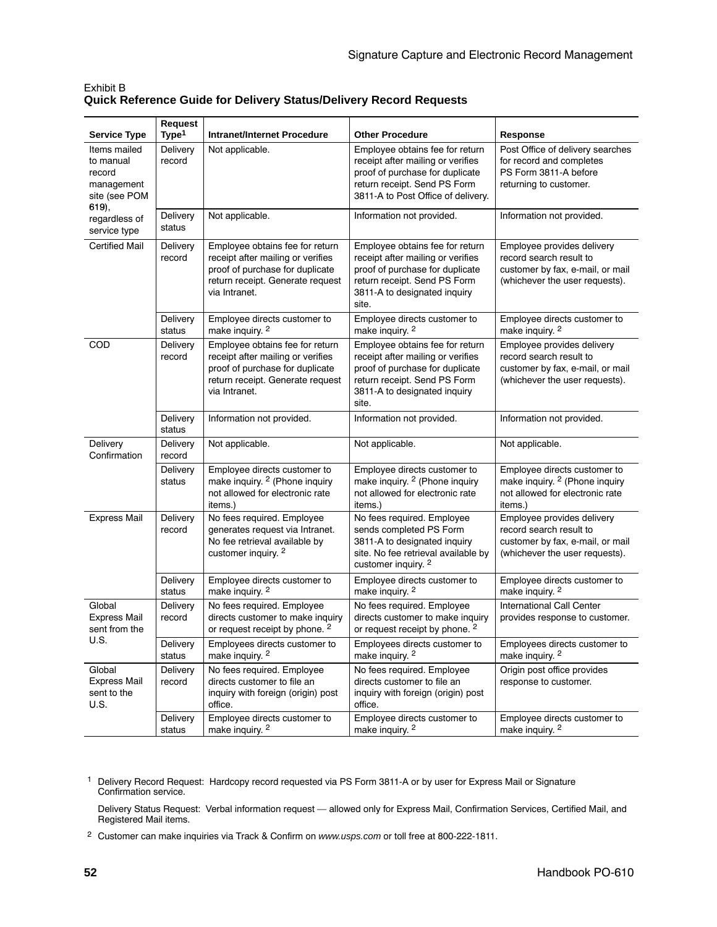#### <span id="page-61-0"></span>Exhibit B **Quick Reference Guide for Delivery Status/Delivery Record Requests**

|                                                                    | <b>Request</b>     |                                                                                                                                                              |                                                                                                                                                                                  |                                                                                                                             |
|--------------------------------------------------------------------|--------------------|--------------------------------------------------------------------------------------------------------------------------------------------------------------|----------------------------------------------------------------------------------------------------------------------------------------------------------------------------------|-----------------------------------------------------------------------------------------------------------------------------|
| <b>Service Type</b>                                                | Type <sup>1</sup>  | <b>Intranet/Internet Procedure</b>                                                                                                                           | <b>Other Procedure</b>                                                                                                                                                           | Response                                                                                                                    |
| Items mailed<br>to manual<br>record<br>management<br>site (see POM | Delivery<br>record | Not applicable.                                                                                                                                              | Employee obtains fee for return<br>receipt after mailing or verifies<br>proof of purchase for duplicate<br>return receipt. Send PS Form<br>3811-A to Post Office of delivery.    | Post Office of delivery searches<br>for record and completes<br>PS Form 3811-A before<br>returning to customer.             |
| 619,<br>regardless of<br>service type                              | Delivery<br>status | Not applicable.                                                                                                                                              | Information not provided.                                                                                                                                                        | Information not provided.                                                                                                   |
| <b>Certified Mail</b>                                              | Delivery<br>record | Employee obtains fee for return<br>receipt after mailing or verifies<br>proof of purchase for duplicate<br>return receipt. Generate request<br>via Intranet. | Employee obtains fee for return<br>receipt after mailing or verifies<br>proof of purchase for duplicate<br>return receipt. Send PS Form<br>3811-A to designated inquiry<br>site. | Employee provides delivery<br>record search result to<br>customer by fax, e-mail, or mail<br>(whichever the user requests). |
|                                                                    | Delivery<br>status | Employee directs customer to<br>make inquiry. <sup>2</sup>                                                                                                   | Employee directs customer to<br>make inquiry. <sup>2</sup>                                                                                                                       | Employee directs customer to<br>make inquiry. <sup>2</sup>                                                                  |
| COD                                                                | Delivery<br>record | Employee obtains fee for return<br>receipt after mailing or verifies<br>proof of purchase for duplicate<br>return receipt. Generate request<br>via Intranet. | Employee obtains fee for return<br>receipt after mailing or verifies<br>proof of purchase for duplicate<br>return receipt. Send PS Form<br>3811-A to designated inquiry<br>site. | Employee provides delivery<br>record search result to<br>customer by fax, e-mail, or mail<br>(whichever the user requests). |
|                                                                    | Delivery<br>status | Information not provided.                                                                                                                                    | Information not provided.                                                                                                                                                        | Information not provided.                                                                                                   |
| Delivery<br>Confirmation                                           | Delivery<br>record | Not applicable.                                                                                                                                              | Not applicable.                                                                                                                                                                  | Not applicable.                                                                                                             |
|                                                                    | Delivery<br>status | Employee directs customer to<br>make inquiry. <sup>2</sup> (Phone inquiry<br>not allowed for electronic rate<br>items.)                                      | Employee directs customer to<br>make inquiry. <sup>2</sup> (Phone inquiry<br>not allowed for electronic rate<br>items.)                                                          | Employee directs customer to<br>make inquiry. <sup>2</sup> (Phone inquiry<br>not allowed for electronic rate<br>items.)     |
| <b>Express Mail</b>                                                | Delivery<br>record | No fees required. Employee<br>generates request via Intranet.<br>No fee retrieval available by<br>customer inquiry. <sup>2</sup>                             | No fees required. Employee<br>sends completed PS Form<br>3811-A to designated inquiry<br>site. No fee retrieval available by<br>customer inquiry. <sup>2</sup>                   | Employee provides delivery<br>record search result to<br>customer by fax, e-mail, or mail<br>(whichever the user requests). |
|                                                                    | Delivery<br>status | Employee directs customer to<br>make inquiry. <sup>2</sup>                                                                                                   | Employee directs customer to<br>make inquiry. <sup>2</sup>                                                                                                                       | Employee directs customer to<br>make inquiry. <sup>2</sup>                                                                  |
| Global<br><b>Express Mail</b><br>sent from the                     | Delivery<br>record | No fees required. Employee<br>directs customer to make inquiry<br>or request receipt by phone. <sup>2</sup>                                                  | No fees required. Employee<br>directs customer to make inquiry<br>or request receipt by phone. <sup>2</sup>                                                                      | <b>International Call Center</b><br>provides response to customer.                                                          |
| U.S.                                                               | Delivery<br>status | Employees directs customer to<br>make inquiry. <sup>2</sup>                                                                                                  | Employees directs customer to<br>make inquiry. <sup>2</sup>                                                                                                                      | Employees directs customer to<br>make inquiry. <sup>2</sup>                                                                 |
| Global<br><b>Express Mail</b><br>sent to the<br><b>U.S.</b>        | Delivery<br>record | No fees required. Employee<br>directs customer to file an<br>inquiry with foreign (origin) post<br>office.                                                   | No fees required. Employee<br>directs customer to file an<br>inquiry with foreign (origin) post<br>office.                                                                       | Origin post office provides<br>response to customer.                                                                        |
|                                                                    | Delivery<br>status | Employee directs customer to<br>make inquiry. <sup>2</sup>                                                                                                   | Employee directs customer to<br>make inquiry. <sup>2</sup>                                                                                                                       | Employee directs customer to<br>make inquiry. <sup>2</sup>                                                                  |

1 Delivery Record Request: Hardcopy record requested via PS Form 3811-A or by user for Express Mail or Signature Confirmation service.

Delivery Status Request: Verbal information request — allowed only for Express Mail, Confirmation Services, Certified Mail, and Registered Mail items.

2 Customer can make inquiries via Track & Confirm on *www.usps.com* or toll free at 800-222-1811.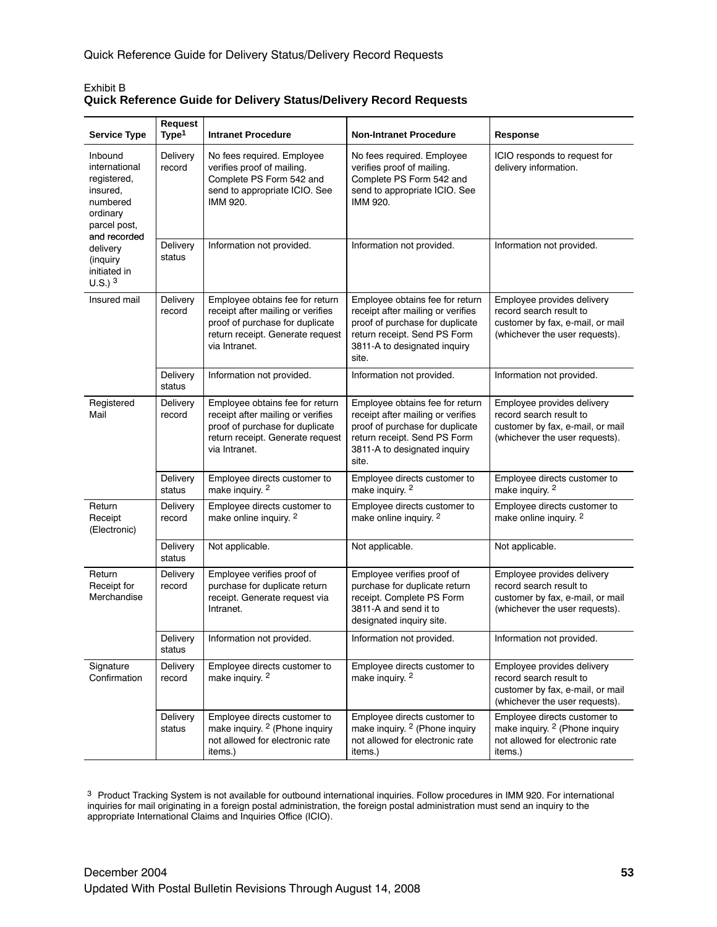| Exhibit B                                                                 |
|---------------------------------------------------------------------------|
| <b>Quick Reference Guide for Delivery Status/Delivery Record Requests</b> |

| <b>Service Type</b>                                                                                                                                                                         | <b>Request</b><br>Type <sup>1</sup> | <b>Intranet Procedure</b>                                                                                                                                    | <b>Non-Intranet Procedure</b>                                                                                                                                                    | Response                                                                                                                    |
|---------------------------------------------------------------------------------------------------------------------------------------------------------------------------------------------|-------------------------------------|--------------------------------------------------------------------------------------------------------------------------------------------------------------|----------------------------------------------------------------------------------------------------------------------------------------------------------------------------------|-----------------------------------------------------------------------------------------------------------------------------|
| Inbound<br>international<br>registered,<br>insured,<br>numbered<br>ordinary<br>parcel post,<br>and recorded<br>delivery<br>(inquiry<br>initiated in<br>$U.S.)$ <sup>3</sup><br>Insured mail | Delivery<br>record                  | No fees required. Employee<br>verifies proof of mailing.<br>Complete PS Form 542 and<br>send to appropriate ICIO. See<br>IMM 920.                            | No fees required. Employee<br>verifies proof of mailing.<br>Complete PS Form 542 and<br>send to appropriate ICIO. See<br>IMM 920.                                                | ICIO responds to request for<br>delivery information.                                                                       |
|                                                                                                                                                                                             | Delivery<br>status                  | Information not provided.                                                                                                                                    | Information not provided.                                                                                                                                                        | Information not provided.                                                                                                   |
|                                                                                                                                                                                             | Delivery<br>record                  | Employee obtains fee for return<br>receipt after mailing or verifies<br>proof of purchase for duplicate<br>return receipt. Generate request<br>via Intranet. | Employee obtains fee for return<br>receipt after mailing or verifies<br>proof of purchase for duplicate<br>return receipt. Send PS Form<br>3811-A to designated inquiry<br>site. | Employee provides delivery<br>record search result to<br>customer by fax, e-mail, or mail<br>(whichever the user requests). |
|                                                                                                                                                                                             | Delivery<br>status                  | Information not provided.                                                                                                                                    | Information not provided.                                                                                                                                                        | Information not provided.                                                                                                   |
| Registered<br>Mail                                                                                                                                                                          | Delivery<br>record                  | Employee obtains fee for return<br>receipt after mailing or verifies<br>proof of purchase for duplicate<br>return receipt. Generate request<br>via Intranet. | Employee obtains fee for return<br>receipt after mailing or verifies<br>proof of purchase for duplicate<br>return receipt. Send PS Form<br>3811-A to designated inquiry<br>site. | Employee provides delivery<br>record search result to<br>customer by fax, e-mail, or mail<br>(whichever the user requests). |
|                                                                                                                                                                                             | Delivery<br>status                  | Employee directs customer to<br>make inquiry. <sup>2</sup>                                                                                                   | Employee directs customer to<br>make inquiry. <sup>2</sup>                                                                                                                       | Employee directs customer to<br>make inquiry. <sup>2</sup>                                                                  |
| Return<br>Receipt<br>(Electronic)                                                                                                                                                           | Delivery<br>record                  | Employee directs customer to<br>make online inquiry. <sup>2</sup>                                                                                            | Employee directs customer to<br>make online inquiry. <sup>2</sup>                                                                                                                | Employee directs customer to<br>make online inquiry. <sup>2</sup>                                                           |
|                                                                                                                                                                                             | Delivery<br>status                  | Not applicable.                                                                                                                                              | Not applicable.                                                                                                                                                                  | Not applicable.                                                                                                             |
| Return<br>Receipt for<br>Merchandise                                                                                                                                                        | Delivery<br>record                  | Employee verifies proof of<br>purchase for duplicate return<br>receipt. Generate request via<br>Intranet.                                                    | Employee verifies proof of<br>purchase for duplicate return<br>receipt. Complete PS Form<br>3811-A and send it to<br>designated inquiry site.                                    | Employee provides delivery<br>record search result to<br>customer by fax, e-mail, or mail<br>(whichever the user requests). |
|                                                                                                                                                                                             | Delivery<br>status                  | Information not provided.                                                                                                                                    | Information not provided.                                                                                                                                                        | Information not provided.                                                                                                   |
| Signature<br>Confirmation                                                                                                                                                                   | Delivery<br>record                  | Employee directs customer to<br>make inquiry. <sup>2</sup>                                                                                                   | Employee directs customer to<br>make inquiry. <sup>2</sup>                                                                                                                       | Employee provides delivery<br>record search result to<br>customer by fax, e-mail, or mail<br>(whichever the user requests). |
|                                                                                                                                                                                             | Delivery<br>status                  | Employee directs customer to<br>make inquiry. <sup>2</sup> (Phone inquiry<br>not allowed for electronic rate<br>items.)                                      | Employee directs customer to<br>make inquiry. <sup>2</sup> (Phone inquiry<br>not allowed for electronic rate<br>items.)                                                          | Employee directs customer to<br>make inquiry. <sup>2</sup> (Phone inquiry<br>not allowed for electronic rate<br>items.)     |

<sup>3</sup> Product Tracking System is not available for outbound international inquiries. Follow procedures in IMM 920. For international inquiries for mail originating in a foreign postal administration, the foreign postal administration must send an inquiry to the appropriate International Claims and Inquiries Office (ICIO).